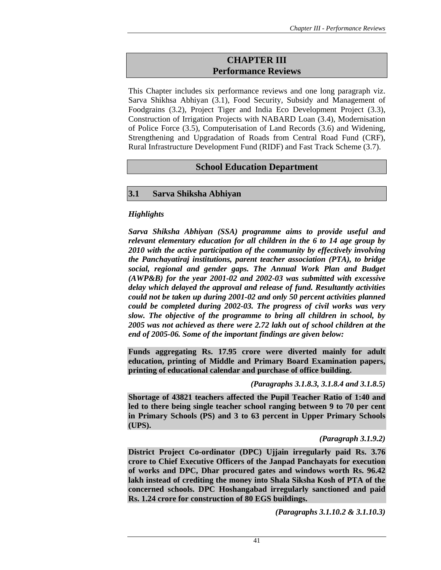# **CHAPTER III Performance Reviews**

This Chapter includes six performance reviews and one long paragraph viz. Sarva Shikhsa Abhiyan (3.1), Food Security, Subsidy and Management of Foodgrains (3.2), Project Tiger and India Eco Development Project (3.3), Construction of Irrigation Projects with NABARD Loan (3.4), Modernisation of Police Force (3.5), Computerisation of Land Records (3.6) and Widening, Strengthening and Upgradation of Roads from Central Road Fund (CRF), Rural Infrastructure Development Fund (RIDF) and Fast Track Scheme (3.7).

## **School Education Department**

## **3.1 Sarva Shiksha Abhiyan**

## *Highlights*

*Sarva Shiksha Abhiyan (SSA) programme aims to provide useful and relevant elementary education for all children in the 6 to 14 age group by 2010 with the active participation of the community by effectively involving the Panchayatiraj institutions, parent teacher association (PTA), to bridge social, regional and gender gaps. The Annual Work Plan and Budget (AWP&B) for the year 2001-02 and 2002-03 was submitted with excessive delay which delayed the approval and release of fund. Resultantly activities could not be taken up during 2001-02 and only 50 percent activities planned could be completed during 2002-03. The progress of civil works was very slow. The objective of the programme to bring all children in school, by 2005 was not achieved as there were 2.72 lakh out of school children at the end of 2005-06. Some of the important findings are given below:* 

**Funds aggregating Rs. 17.95 crore were diverted mainly for adult education, printing of Middle and Primary Board Examination papers, printing of educational calendar and purchase of office building.** 

*(Paragraphs 3.1.8.3, 3.1.8.4 and 3.1.8.5)* 

**Shortage of 43821 teachers affected the Pupil Teacher Ratio of 1:40 and led to there being single teacher school ranging between 9 to 70 per cent in Primary Schools (PS) and 3 to 63 percent in Upper Primary Schools (UPS).** 

*(Paragraph 3.1.9.2)* 

**District Project Co-ordinator (DPC) Ujjain irregularly paid Rs. 3.76 crore to Chief Executive Officers of the Janpad Panchayats for execution of works and DPC, Dhar procured gates and windows worth Rs. 96.42 lakh instead of crediting the money into Shala Siksha Kosh of PTA of the concerned schools. DPC Hoshangabad irregularly sanctioned and paid Rs. 1.24 crore for construction of 80 EGS buildings.** 

*(Paragraphs 3.1.10.2 & 3.1.10.3)*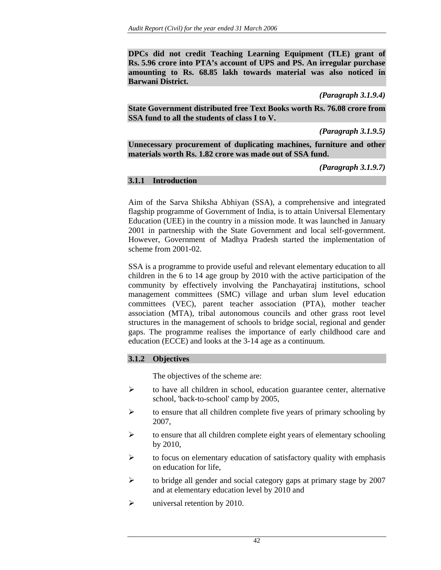**DPCs did not credit Teaching Learning Equipment (TLE) grant of Rs. 5.96 crore into PTA's account of UPS and PS. An irregular purchase amounting to Rs. 68.85 lakh towards material was also noticed in Barwani District.** 

*(Paragraph 3.1.9.4)* 

**State Government distributed free Text Books worth Rs. 76.08 crore from SSA fund to all the students of class I to V.** 

*(Paragraph 3.1.9.5)* 

**Unnecessary procurement of duplicating machines, furniture and other materials worth Rs. 1.82 crore was made out of SSA fund.** 

*(Paragraph 3.1.9.7)*

## **3.1.1 Introduction**

Aim of the Sarva Shiksha Abhiyan (SSA), a comprehensive and integrated flagship programme of Government of India, is to attain Universal Elementary Education (UEE) in the country in a mission mode. It was launched in January 2001 in partnership with the State Government and local self-government. However, Government of Madhya Pradesh started the implementation of scheme from 2001-02.

SSA is a programme to provide useful and relevant elementary education to all children in the 6 to 14 age group by 2010 with the active participation of the community by effectively involving the Panchayatiraj institutions, school management committees (SMC) village and urban slum level education committees (VEC), parent teacher association (PTA), mother teacher association (MTA), tribal autonomous councils and other grass root level structures in the management of schools to bridge social, regional and gender gaps. The programme realises the importance of early childhood care and education (ECCE) and looks at the 3-14 age as a continuum.

## **3.1.2 Objectives**

The objectives of the scheme are:

- ¾ to have all children in school, education guarantee center, alternative school, 'back-to-school' camp by 2005,
- $\triangleright$  to ensure that all children complete five years of primary schooling by 2007,
- $\triangleright$  to ensure that all children complete eight years of elementary schooling by 2010,
- $\triangleright$  to focus on elementary education of satisfactory quality with emphasis on education for life,
- ¾ to bridge all gender and social category gaps at primary stage by 2007 and at elementary education level by 2010 and
- $\blacktriangleright$  universal retention by 2010.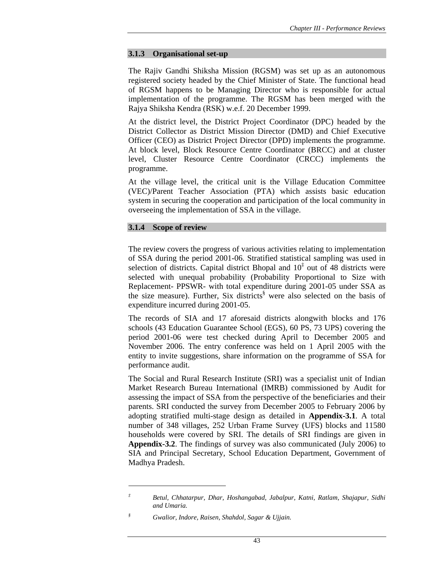#### **3.1.3 Organisational set-up**

The Rajiv Gandhi Shiksha Mission (RGSM) was set up as an autonomous registered society headed by the Chief Minister of State. The functional head of RGSM happens to be Managing Director who is responsible for actual implementation of the programme. The RGSM has been merged with the Rajya Shiksha Kendra (RSK) w.e.f. 20 December 1999.

At the district level, the District Project Coordinator (DPC) headed by the District Collector as District Mission Director (DMD) and Chief Executive Officer (CEO) as District Project Director (DPD) implements the programme. At block level, Block Resource Centre Coordinator (BRCC) and at cluster level, Cluster Resource Centre Coordinator (CRCC) implements the programme.

At the village level, the critical unit is the Village Education Committee (VEC)/Parent Teacher Association (PTA) which assists basic education system in securing the cooperation and participation of the local community in overseeing the implementation of SSA in the village.

### **3.1.4 Scope of review**

The review covers the progress of various activities relating to implementation of SSA during the period 2001-06. Stratified statistical sampling was used in selection of districts. Capital district Bhopal and  $10^{\ddagger}$  out of 48 districts were selected with unequal probability (Probability Proportional to Size with Replacement- PPSWR- with total expenditure during 2001-05 under SSA as the size measure). Further, Six districts§ were also selected on the basis of expenditure incurred during 2001-05.

The records of SIA and 17 aforesaid districts alongwith blocks and 176 schools (43 Education Guarantee School (EGS), 60 PS, 73 UPS) covering the period 2001-06 were test checked during April to December 2005 and November 2006. The entry conference was held on 1 April 2005 with the entity to invite suggestions, share information on the programme of SSA for performance audit.

The Social and Rural Research Institute (SRI) was a specialist unit of Indian Market Research Bureau International (IMRB) commissioned by Audit for assessing the impact of SSA from the perspective of the beneficiaries and their parents. SRI conducted the survey from December 2005 to February 2006 by adopting stratified multi-stage design as detailed in **Appendix-3.1***.* A total number of 348 villages, 252 Urban Frame Survey (UFS) blocks and 11580 households were covered by SRI. The details of SRI findings are given in **Appendix-3.2**. The findings of survey was also communicated (July 2006) to SIA and Principal Secretary, School Education Department, Government of Madhya Pradesh.

*<sup>‡</sup> Betul, Chhatarpur, Dhar, Hoshangabad, Jabalpur, Katni, Ratlam, Shajapur, Sidhi and Umaria.* 

*<sup>§</sup> Gwalior, Indore, Raisen, Shahdol, Sagar & Ujjain.*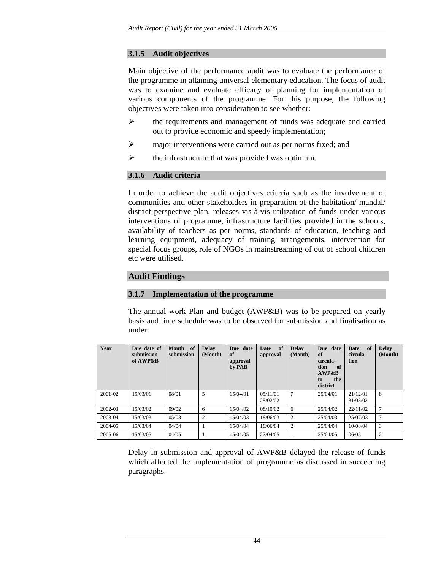## **3.1.5 Audit objectives**

Main objective of the performance audit was to evaluate the performance of the programme in attaining universal elementary education. The focus of audit was to examine and evaluate efficacy of planning for implementation of various components of the programme. For this purpose, the following objectives were taken into consideration to see whether:

- ¾ the requirements and management of funds was adequate and carried out to provide economic and speedy implementation;
- $\triangleright$  major interventions were carried out as per norms fixed; and
- $\triangleright$  the infrastructure that was provided was optimum.

## **3.1.6 Audit criteria**

In order to achieve the audit objectives criteria such as the involvement of communities and other stakeholders in preparation of the habitation/ mandal/ district perspective plan, releases vis-à-vis utilization of funds under various interventions of programme, infrastructure facilities provided in the schools, availability of teachers as per norms, standards of education, teaching and learning equipment, adequacy of training arrangements, intervention for special focus groups, role of NGOs in mainstreaming of out of school children etc were utilised.

## **Audit Findings**

### **3.1.7 Implementation of the programme**

The annual work Plan and budget (AWP&B) was to be prepared on yearly basis and time schedule was to be observed for submission and finalisation as under:

| Year    | Due date of<br>submission<br>of AWP&B | Month of<br>submission | <b>Delay</b><br>(Month) | Due date<br>of<br>approval<br>by PAB | of<br>Date<br>approval | <b>Delay</b><br>(Month) | Due date<br>of<br>circula-<br>tion<br>of<br>AWP&B<br>the<br>to<br>district | - of<br>Date<br>circula-<br>tion | <b>Delay</b><br>(Month) |
|---------|---------------------------------------|------------------------|-------------------------|--------------------------------------|------------------------|-------------------------|----------------------------------------------------------------------------|----------------------------------|-------------------------|
| 2001-02 | 15/03/01                              | 08/01                  | 5                       | 15/04/01                             | 0.5/11/01<br>28/02/02  | $\overline{7}$          | 25/04/01                                                                   | 21/12/01<br>31/03/02             | 8                       |
| 2002-03 | 15/03/02                              | 09/02                  | 6                       | 15/04/02                             | 08/10/02               | 6                       | 25/04/02                                                                   | 22/11/02                         | 7                       |
| 2003-04 | 15/03/03                              | 05/03                  | $\overline{c}$          | 15/04/03                             | 18/06/03               | $\overline{2}$          | 25/04/03                                                                   | 25/07/03                         | 3                       |
| 2004-05 | 15/03/04                              | 04/04                  |                         | 15/04/04                             | 18/06/04               | $\overline{2}$          | 25/04/04                                                                   | 10/08/04                         | 3                       |
| 2005-06 | 15/03/05                              | 04/05                  |                         | 15/04/05                             | 27/04/05               | $- -$                   | 25/04/05                                                                   | 06/05                            | 2                       |

Delay in submission and approval of AWP&B delayed the release of funds which affected the implementation of programme as discussed in succeeding paragraphs.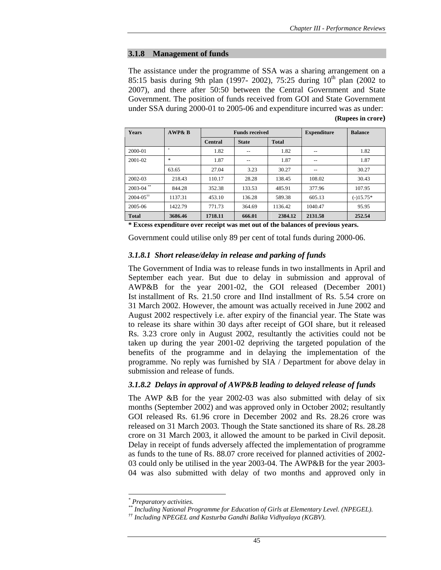#### **3.1.8 Management of funds**

The assistance under the programme of SSA was a sharing arrangement on a 85:15 basis during 9th plan (1997- 2002), 75:25 during  $10^{th}$  plan (2002 to 2007), and there after 50:50 between the Central Government and State Government. The position of funds received from GOI and State Government under SSA during 2000-01 to 2005-06 and expenditure incurred was as under: **(Rupees in crore)**

| <b>Years</b>              | <b>AWP&amp; B</b> |         | <b>Funds received</b> | <b>Expenditure</b> | <b>Balance</b> |             |
|---------------------------|-------------------|---------|-----------------------|--------------------|----------------|-------------|
|                           |                   | Central | <b>State</b>          | <b>Total</b>       |                |             |
| 2000-01                   | ŵ                 | 1.82    |                       | 1.82               | --             | 1.82        |
| 2001-02                   | *                 | 1.87    | --                    | 1.87               | --             | 1.87        |
|                           | 63.65             | 27.04   | 3.23                  | 30.27              |                | 30.27       |
| 2002-03                   | 218.43            | 110.17  | 28.28                 | 138.45             | 108.02         | 30.43       |
| $2003 - 04$ **            | 844.28            | 352.38  | 133.53                | 485.91             | 377.96         | 107.95      |
| $2004 - 05$ <sup>††</sup> | 1137.31           | 453.10  | 136.28                | 589.38             | 605.13         | $(-)15.75*$ |
| 2005-06                   | 1422.79           | 771.73  | 364.69                | 1136.42            | 1040.47        | 95.95       |
| <b>Total</b>              | 3686.46           | 1718.11 | 666.01                | 2384.12            | 2131.58        | 252.54      |

**\* Excess expenditure over receipt was met out of the balances of previous years.** 

Government could utilise only 89 per cent of total funds during 2000-06.

## *3.1.8.1 Short release/delay in release and parking of funds*

The Government of India was to release funds in two installments in April and September each year. But due to delay in submission and approval of AWP&B for the year 2001-02, the GOI released (December 2001) Ist installment of Rs. 21.50 crore and IInd installment of Rs. 5.54 crore on 31 March 2002. However, the amount was actually received in June 2002 and August 2002 respectively i.e. after expiry of the financial year. The State was to release its share within 30 days after receipt of GOI share, but it released Rs. 3.23 crore only in August 2002, resultantly the activities could not be taken up during the year 2001-02 depriving the targeted population of the benefits of the programme and in delaying the implementation of the programme. No reply was furnished by SIA / Department for above delay in submission and release of funds.

### *3.1.8.2 Delays in approval of AWP&B leading to delayed release of funds*

The AWP &B for the year 2002-03 was also submitted with delay of six months (September 2002) and was approved only in October 2002; resultantly GOI released Rs. 61.96 crore in December 2002 and Rs. 28.26 crore was released on 31 March 2003. Though the State sanctioned its share of Rs. 28.28 crore on 31 March 2003, it allowed the amount to be parked in Civil deposit. Delay in receipt of funds adversely affected the implementation of programme as funds to the tune of Rs. 88.07 crore received for planned activities of 2002- 03 could only be utilised in the year 2003-04. The AWP&B for the year 2003- 04 was also submitted with delay of two months and approved only in

*<sup>\*</sup> Preparatory activities.* 

*<sup>\*\*</sup> Including National Programme for Education of Girls at Elementary Level. (NPEGEL).* 

*<sup>††</sup> Including NPEGEL and Kasturba Gandhi Balika Vidhyalaya (KGBV).*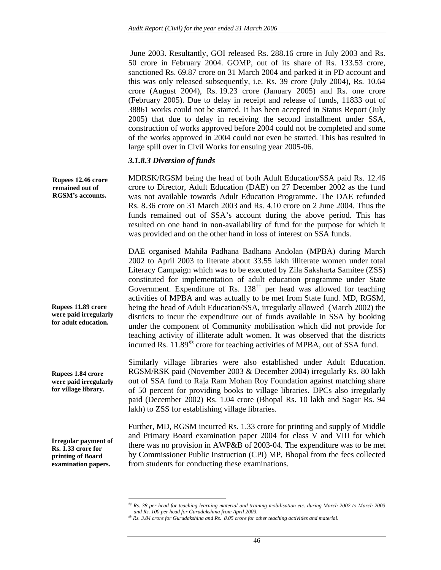June 2003. Resultantly, GOI released Rs. 288.16 crore in July 2003 and Rs. 50 crore in February 2004. GOMP, out of its share of Rs. 133.53 crore, sanctioned Rs. 69.87 crore on 31 March 2004 and parked it in PD account and this was only released subsequently, i.e. Rs. 39 crore (July 2004), Rs. 10.64 crore (August 2004), Rs. 19.23 crore (January 2005) and Rs. one crore (February 2005). Due to delay in receipt and release of funds, 11833 out of 38861 works could not be started. It has been accepted in Status Report (July 2005) that due to delay in receiving the second installment under SSA, construction of works approved before 2004 could not be completed and some of the works approved in 2004 could not even be started. This has resulted in large spill over in Civil Works for ensuing year 2005-06.

#### *3.1.8.3 Diversion of funds*

MDRSK/RGSM being the head of both Adult Education/SSA paid Rs. 12.46 crore to Director, Adult Education (DAE) on 27 December 2002 as the fund was not available towards Adult Education Programme. The DAE refunded Rs. 8.36 crore on 31 March 2003 and Rs. 4.10 crore on 2 June 2004. Thus the funds remained out of SSA's account during the above period. This has resulted on one hand in non-availability of fund for the purpose for which it was provided and on the other hand in loss of interest on SSA funds. **Rupees 12.46 crore remained out of RGSM's accounts.** 

> DAE organised Mahila Padhana Badhana Andolan (MPBA) during March 2002 to April 2003 to literate about 33.55 lakh illiterate women under total Literacy Campaign which was to be executed by Zila Saksharta Samitee (ZSS) constituted for implementation of adult education programme under State Government. Expenditure of Rs.  $138<sup>‡‡</sup>$  per head was allowed for teaching activities of MPBA and was actually to be met from State fund. MD, RGSM, being the head of Adult Education/SSA, irregularly allowed (March 2002) the districts to incur the expenditure out of funds available in SSA by booking under the component of Community mobilisation which did not provide for teaching activity of illiterate adult women. It was observed that the districts incurred Rs. 11.89§§ crore for teaching activities of MPBA, out of SSA fund.

> Similarly village libraries were also established under Adult Education. RGSM/RSK paid (November 2003 & December 2004) irregularly Rs. 80 lakh out of SSA fund to Raja Ram Mohan Roy Foundation against matching share of 50 percent for providing books to village libraries. DPCs also irregularly paid (December 2002) Rs. 1.04 crore (Bhopal Rs. 10 lakh and Sagar Rs. 94 lakh) to ZSS for establishing village libraries.

**Irregular payment of Rs. 1.33 crore for printing of Board examination papers.** 

**Rupees 11.89 crore were paid irregularly for adult education.** 

**Rupees 1.84 crore were paid irregularly for village library.** 

 $\overline{a}$ 

Further, MD, RGSM incurred Rs. 1.33 crore for printing and supply of Middle and Primary Board examination paper 2004 for class V and VIII for which there was no provision in AWP&B of 2003-04. The expenditure was to be met by Commissioner Public Instruction (CPI) MP, Bhopal from the fees collected from students for conducting these examinations.

*<sup>‡‡</sup> Rs. 38 per head for teaching learning material and training mobilisation etc. during March 2002 to March 2003 and Rs. 100 per head for Gurudakshina from April 2003.* 

*<sup>§§</sup> Rs. 3.84 crore for Gurudakshina and Rs. 8.05 crore for other teaching activities and material.*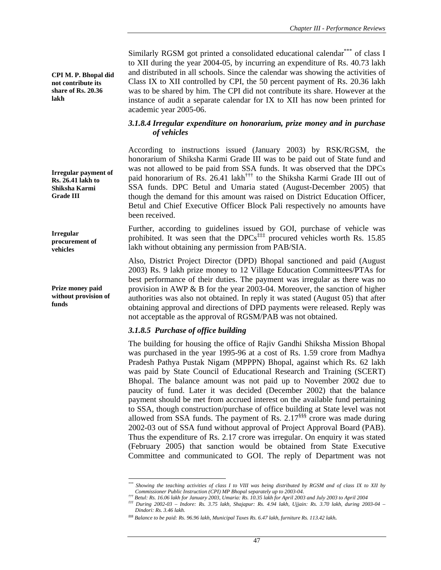Similarly RGSM got printed a consolidated educational calendar\*\*\* of class I to XII during the year 2004-05, by incurring an expenditure of Rs. 40.73 lakh and distributed in all schools. Since the calendar was showing the activities of Class IX to XII controlled by CPI, the 50 percent payment of Rs. 20.36 lakh was to be shared by him. The CPI did not contribute its share. However at the instance of audit a separate calendar for IX to XII has now been printed for academic year 2005-06.

### *3.1.8.4 Irregular expenditure on honorarium, prize money and in purchase of vehicles*

According to instructions issued (January 2003) by RSK/RGSM, the honorarium of Shiksha Karmi Grade III was to be paid out of State fund and was not allowed to be paid from SSA funds. It was observed that the DPCs paid honorarium of Rs. 26.41 lakh††† to the Shiksha Karmi Grade III out of SSA funds. DPC Betul and Umaria stated (August-December 2005) that though the demand for this amount was raised on District Education Officer, Betul and Chief Executive Officer Block Pali respectively no amounts have been received.

Further, according to guidelines issued by GOI, purchase of vehicle was prohibited. It was seen that the DPCs<sup>‡‡‡</sup> procured vehicles worth Rs. 15.85 lakh without obtaining any permission from PAB/SIA.

Also, District Project Director (DPD) Bhopal sanctioned and paid (August 2003) Rs. 9 lakh prize money to 12 Village Education Committees/PTAs for best performance of their duties. The payment was irregular as there was no provision in AWP & B for the year 2003-04. Moreover, the sanction of higher authorities was also not obtained. In reply it was stated (August 05) that after obtaining approval and directions of DPD payments were released. Reply was not acceptable as the approval of RGSM/PAB was not obtained.

## *3.1.8.5 Purchase of office building*

The building for housing the office of Rajiv Gandhi Shiksha Mission Bhopal was purchased in the year 1995-96 at a cost of Rs. 1.59 crore from Madhya Pradesh Pathya Pustak Nigam (MPPPN) Bhopal, against which Rs. 62 lakh was paid by State Council of Educational Research and Training (SCERT) Bhopal. The balance amount was not paid up to November 2002 due to paucity of fund. Later it was decided (December 2002) that the balance payment should be met from accrued interest on the available fund pertaining to SSA, though construction/purchase of office building at State level was not allowed from SSA funds. The payment of Rs.  $2.17$ <sup>§§§</sup> crore was made during 2002-03 out of SSA fund without approval of Project Approval Board (PAB). Thus the expenditure of Rs. 2.17 crore was irregular. On enquiry it was stated (February 2005) that sanction would be obtained from State Executive Committee and communicated to GOI. The reply of Department was not

**CPI M. P. Bhopal did not contribute its share of Rs. 20.36 lakh** 

**Irregular payment of Rs. 26.41 lakh to Shiksha Karmi Grade III** 

**Irregular procurement of vehicles** 

**Prize money paid without provision of funds** 

*<sup>\*\*\*</sup> Showing the teaching activities of class I to VIII was being distributed by RGSM and of class IX to XII by Commissioner Public Instruction (CPI) MP Bhopal separately up to 2003-04.* 

 $^{ttt}$  During 2002-03 - Indore: Rs. 3.75 lakh, Shajapur: Rs. 4.94 lakh, Ujjain: Rs. 3.70 lakh, during 2003-04 - *Dindori: Rs. 3.46 lakh.* 

*<sup>§§§</sup> Balance to be paid: Rs. 96.96 lakh, Municipal Taxes Rs. 6.47 lakh, furniture Rs. 113.42 lakh.*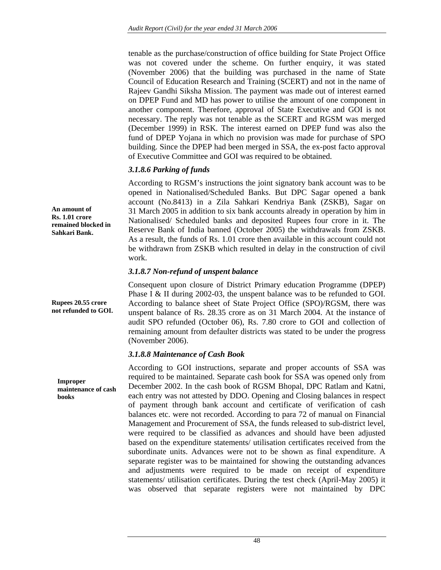tenable as the purchase/construction of office building for State Project Office was not covered under the scheme. On further enquiry, it was stated (November 2006) that the building was purchased in the name of State Council of Education Research and Training (SCERT) and not in the name of Rajeev Gandhi Siksha Mission. The payment was made out of interest earned on DPEP Fund and MD has power to utilise the amount of one component in another component. Therefore, approval of State Executive and GOI is not necessary. The reply was not tenable as the SCERT and RGSM was merged (December 1999) in RSK. The interest earned on DPEP fund was also the fund of DPEP Yojana in which no provision was made for purchase of SPO building. Since the DPEP had been merged in SSA, the ex-post facto approval of Executive Committee and GOI was required to be obtained.

# *3.1.8.6 Parking of funds*

According to RGSM's instructions the joint signatory bank account was to be opened in Nationalised/Scheduled Banks. But DPC Sagar opened a bank account (No.8413) in a Zila Sahkari Kendriya Bank (ZSKB), Sagar on 31 March 2005 in addition to six bank accounts already in operation by him in Nationalised/ Scheduled banks and deposited Rupees four crore in it. The Reserve Bank of India banned (October 2005) the withdrawals from ZSKB. As a result, the funds of Rs. 1.01 crore then available in this account could not be withdrawn from ZSKB which resulted in delay in the construction of civil work.

## *3.1.8.7 Non-refund of unspent balance*

Consequent upon closure of District Primary education Programme (DPEP) Phase I & II during 2002-03, the unspent balance was to be refunded to GOI. According to balance sheet of State Project Office (SPO)/RGSM, there was unspent balance of Rs. 28.35 crore as on 31 March 2004. At the instance of audit SPO refunded (October 06), Rs. 7.80 crore to GOI and collection of remaining amount from defaulter districts was stated to be under the progress (November 2006).

# *3.1.8.8 Maintenance of Cash Book*

According to GOI instructions, separate and proper accounts of SSA was required to be maintained. Separate cash book for SSA was opened only from December 2002. In the cash book of RGSM Bhopal, DPC Ratlam and Katni, each entry was not attested by DDO. Opening and Closing balances in respect of payment through bank account and certificate of verification of cash balances etc. were not recorded. According to para 72 of manual on Financial Management and Procurement of SSA, the funds released to sub-district level, were required to be classified as advances and should have been adjusted based on the expenditure statements/ utilisation certificates received from the subordinate units. Advances were not to be shown as final expenditure. A separate register was to be maintained for showing the outstanding advances and adjustments were required to be made on receipt of expenditure statements/ utilisation certificates. During the test check (April-May 2005) it was observed that separate registers were not maintained by DPC

**An amount of Rs. 1.01 crore remained blocked in Sahkari Bank.** 

**Rupees 20.55 crore not refunded to GOI.** 

**Improper maintenance of cash books**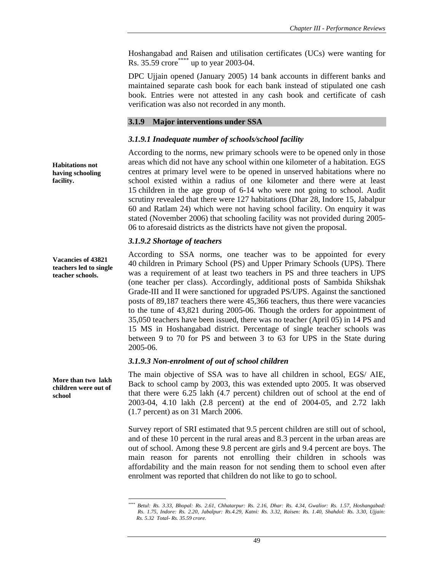Hoshangabad and Raisen and utilisation certificates (UCs) were wanting for Rs. 35.59 crore\*\*\*\*\* up to year 2003-04.

DPC Ujjain opened (January 2005) 14 bank accounts in different banks and maintained separate cash book for each bank instead of stipulated one cash book. Entries were not attested in any cash book and certificate of cash verification was also not recorded in any month.

## **3.1.9 Major interventions under SSA**

## *3.1.9.1 Inadequate number of schools/school facility*

According to the norms, new primary schools were to be opened only in those areas which did not have any school within one kilometer of a habitation. EGS centres at primary level were to be opened in unserved habitations where no school existed within a radius of one kilometer and there were at least 15 children in the age group of 6-14 who were not going to school. Audit scrutiny revealed that there were 127 habitations (Dhar 28, Indore 15, Jabalpur 60 and Ratlam 24) which were not having school facility. On enquiry it was stated (November 2006) that schooling facility was not provided during 2005- 06 to aforesaid districts as the districts have not given the proposal.

## *3.1.9.2 Shortage of teachers*

According to SSA norms, one teacher was to be appointed for every 40 children in Primary School (PS) and Upper Primary Schools (UPS). There was a requirement of at least two teachers in PS and three teachers in UPS (one teacher per class). Accordingly, additional posts of Sambida Shikshak Grade-III and II were sanctioned for upgraded PS/UPS. Against the sanctioned posts of 89,187 teachers there were 45,366 teachers, thus there were vacancies to the tune of 43,821 during 2005-06. Though the orders for appointment of 35,050 teachers have been issued, there was no teacher (April 05) in 14 PS and 15 MS in Hoshangabad district. Percentage of single teacher schools was between 9 to 70 for PS and between 3 to 63 for UPS in the State during 2005-06.

## *3.1.9.3 Non-enrolment of out of school children*

The main objective of SSA was to have all children in school, EGS/ AIE, Back to school camp by 2003, this was extended upto 2005. It was observed that there were 6.25 lakh (4.7 percent) children out of school at the end of 2003-04, 4.10 lakh (2.8 percent) at the end of 2004-05, and 2.72 lakh (1.7 percent) as on 31 March 2006.

Survey report of SRI estimated that 9.5 percent children are still out of school, and of these 10 percent in the rural areas and 8.3 percent in the urban areas are out of school. Among these 9.8 percent are girls and 9.4 percent are boys. The main reason for parents not enrolling their children in schools was affordability and the main reason for not sending them to school even after enrolment was reported that children do not like to go to school.

**Habitations not having schooling facility.** 

**Vacancies of 43821 teachers led to single teacher schools.** 

**More than two lakh children were out of school** 

 $\overline{a}$ *\*\*\*\* Betul: Rs. 3.33, Bhopal: Rs. 2.61, Chhatarpur: Rs. 2.16, Dhar: Rs. 4.34, Gwalior: Rs. 1.57, Hoshangabad: Rs. 1.75, Indore: Rs. 2.20, Jabalpur: Rs.4.29, Katni: Rs. 3.32, Raisen: Rs. 1.40, Shahdol: Rs. 3.30, Ujjain: Rs. 5.32 Total- Rs. 35.59 crore.*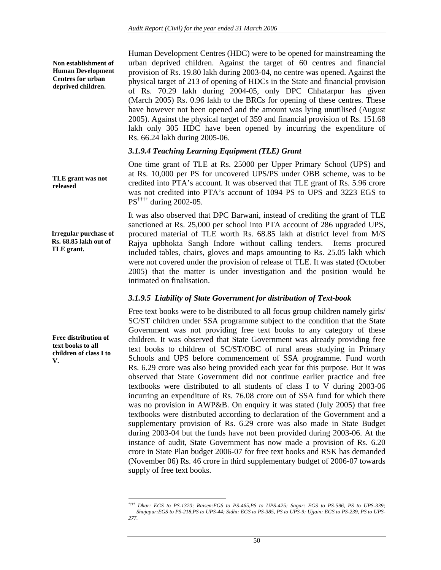**Non establishment of Human Development Centres for urban deprived children.** 

Human Development Centres (HDC) were to be opened for mainstreaming the urban deprived children. Against the target of 60 centres and financial provision of Rs. 19.80 lakh during 2003-04, no centre was opened. Against the physical target of 213 of opening of HDCs in the State and financial provision of Rs. 70.29 lakh during 2004-05, only DPC Chhatarpur has given (March 2005) Rs. 0.96 lakh to the BRCs for opening of these centres. These have however not been opened and the amount was lying unutilised (August 2005). Against the physical target of 359 and financial provision of Rs. 151.68 lakh only 305 HDC have been opened by incurring the expenditure of Rs. 66.24 lakh during 2005-06.

## *3.1.9.4 Teaching Learning Equipment (TLE) Grant*

One time grant of TLE at Rs. 25000 per Upper Primary School (UPS) and at Rs. 10,000 per PS for uncovered UPS/PS under OBB scheme, was to be credited into PTA's account. It was observed that TLE grant of Rs. 5.96 crore was not credited into PTA's account of 1094 PS to UPS and 3223 EGS to PS†††† during 2002-05.

It was also observed that DPC Barwani, instead of crediting the grant of TLE sanctioned at Rs. 25,000 per school into PTA account of 286 upgraded UPS, procured material of TLE worth Rs. 68.85 lakh at district level from M/S Rajya upbhokta Sangh Indore without calling tenders. Items procured included tables, chairs, gloves and maps amounting to Rs. 25.05 lakh which were not covered under the provision of release of TLE. It was stated (October 2005) that the matter is under investigation and the position would be intimated on finalisation.

## *3.1.9.5 Liability of State Government for distribution of Text-book*

Free text books were to be distributed to all focus group children namely girls/ SC/ST children under SSA programme subject to the condition that the State Government was not providing free text books to any category of these children. It was observed that State Government was already providing free text books to children of SC/ST/OBC of rural areas studying in Primary Schools and UPS before commencement of SSA programme. Fund worth Rs. 6.29 crore was also being provided each year for this purpose. But it was observed that State Government did not continue earlier practice and free textbooks were distributed to all students of class I to V during 2003-06 incurring an expenditure of Rs. 76.08 crore out of SSA fund for which there was no provision in AWP&B. On enquiry it was stated (July 2005) that free textbooks were distributed according to declaration of the Government and a supplementary provision of Rs. 6.29 crore was also made in State Budget during 2003-04 but the funds have not been provided during 2003-06. At the instance of audit, State Government has now made a provision of Rs. 6.20 crore in State Plan budget 2006-07 for free text books and RSK has demanded (November 06) Rs. 46 crore in third supplementary budget of 2006-07 towards supply of free text books.

**TLE grant was not released** 

**Irregular purchase of Rs. 68.85 lakh out of TLE grant.** 

**Free distribution of text books to all children of class I to V.** 

 $\overline{a}$ *†††† Dhar: EGS to PS-1320; Raisen:EGS to PS-465,PS to UPS-425; Sagar: EGS to PS-596, PS to UPS-339; Shajapur:EGS to PS-218,PS to UPS-44; Sidhi: EGS to PS-385, PS to UPS-9; Ujjain: EGS to PS-239, PS to UPS-277.*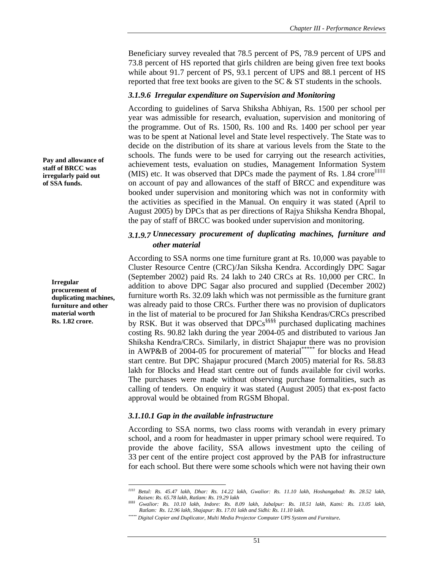Beneficiary survey revealed that 78.5 percent of PS, 78.9 percent of UPS and 73.8 percent of HS reported that girls children are being given free text books while about 91.7 percent of PS, 93.1 percent of UPS and 88.1 percent of HS reported that free text books are given to the SC & ST students in the schools.

### *3.1.9.6 Irregular expenditure on Supervision and Monitoring*

According to guidelines of Sarva Shiksha Abhiyan, Rs. 1500 per school per year was admissible for research, evaluation, supervision and monitoring of the programme. Out of Rs. 1500, Rs. 100 and Rs. 1400 per school per year was to be spent at National level and State level respectively. The State was to decide on the distribution of its share at various levels from the State to the schools. The funds were to be used for carrying out the research activities, achievement tests, evaluation on studies, Management Information System (MIS) etc. It was observed that DPCs made the payment of Rs.  $1.84$  crore<sup> $\ddagger\ddagger\ddagger\ddagger\ddagger$ </sup> on account of pay and allowances of the staff of BRCC and expenditure was booked under supervision and monitoring which was not in conformity with the activities as specified in the Manual. On enquiry it was stated (April to August 2005) by DPCs that as per directions of Rajya Shiksha Kendra Bhopal, the pay of staff of BRCC was booked under supervision and monitoring.

## *3.1.9.7 Unnecessary procurement of duplicating machines, furniture and other material*

According to SSA norms one time furniture grant at Rs. 10,000 was payable to Cluster Resource Centre (CRC)/Jan Siksha Kendra. Accordingly DPC Sagar (September 2002) paid Rs. 24 lakh to 240 CRCs at Rs. 10,000 per CRC. In addition to above DPC Sagar also procured and supplied (December 2002) furniture worth Rs. 32.09 lakh which was not permissible as the furniture grant was already paid to those CRCs. Further there was no provision of duplicators in the list of material to be procured for Jan Shiksha Kendras/CRCs prescribed by RSK. But it was observed that DPCs<sup>§§§§§</sup> purchased duplicating machines costing Rs. 90.82 lakh during the year 2004-05 and distributed to various Jan Shiksha Kendra/CRCs. Similarly, in district Shajapur there was no provision in AWP&B of 2004-05 for procurement of material\*\*\*\*\* for blocks and Head start centre. But DPC Shajapur procured (March 2005) material for Rs. 58.83 lakh for Blocks and Head start centre out of funds available for civil works. The purchases were made without observing purchase formalities, such as calling of tenders. On enquiry it was stated (August 2005) that ex-post facto approval would be obtained from RGSM Bhopal.

## *3.1.10.1 Gap in the available infrastructure*

According to SSA norms, two class rooms with verandah in every primary school, and a room for headmaster in upper primary school were required. To provide the above facility, SSA allows investment upto the ceiling of 33 per cent of the entire project cost approved by the PAB for infrastructure for each school. But there were some schools which were not having their own

**Pay and allowance of staff of BRCC was irregularly paid out of SSA funds.** 

> **Irregular procurement of duplicating machines, furniture and other material worth Rs. 1.82 crore.**

 $\overline{a}$ *‡‡‡‡ Betul: Rs. 45.47 lakh, Dhar: Rs. 14.22 lakh, Gwalior: Rs. 11.10 lakh, Hoshangabad: Rs. 28.52 lakh, Raisen: Rs. 65.78 lakh, Ratlam: Rs. 19.29 lakh* 

*<sup>§§§§</sup> Gwalior: Rs. 10.10 lakh, Indore: Rs. 8.09 lakh, Jabalpur: Rs. 18.51 lakh, Katni: Rs. 13.05 lakh, Ratlam: Rs. 12.96 lakh, Shajapur: Rs. 17.01 lakh and Sidhi: Rs. 11.10 lakh.* 

*<sup>\*\*\*\*\*</sup> Digital Copier and Duplicator, Multi Media Projector Computer UPS System and Furniture.*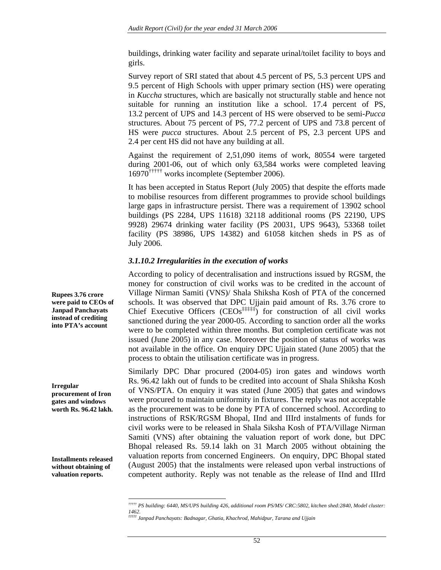buildings, drinking water facility and separate urinal/toilet facility to boys and girls.

Survey report of SRI stated that about 4.5 percent of PS, 5.3 percent UPS and 9.5 percent of High Schools with upper primary section (HS) were operating in *Kuccha* structures, which are basically not structurally stable and hence not suitable for running an institution like a school. 17.4 percent of PS, 13.2 percent of UPS and 14.3 percent of HS were observed to be semi-*Pucca* structures. About 75 percent of PS, 77.2 percent of UPS and 73.8 percent of HS were *pucca* structures. About 2.5 percent of PS, 2.3 percent UPS and 2.4 per cent HS did not have any building at all.

Against the requirement of 2,51,090 items of work, 80554 were targeted during 2001-06, out of which only 63,584 works were completed leaving 16970††††† works incomplete (September 2006).

It has been accepted in Status Report (July 2005) that despite the efforts made to mobilise resources from different programmes to provide school buildings large gaps in infrastructure persist. There was a requirement of 13902 school buildings (PS 2284, UPS 11618) 32118 additional rooms (PS 22190, UPS 9928) 29674 drinking water facility (PS 20031, UPS 9643), 53368 toilet facility (PS 38986, UPS 14382) and 61058 kitchen sheds in PS as of July 2006.

### *3.1.10.2 Irregularities in the execution of works*

According to policy of decentralisation and instructions issued by RGSM, the money for construction of civil works was to be credited in the account of Village Nirman Samiti (VNS)/ Shala Shiksha Kosh of PTA of the concerned schools. It was observed that DPC Ujjain paid amount of Rs. 3.76 crore to Chief Executive Officers  $(CEOs^{\ddagger\ddagger\ddagger\ddagger\ddagger\ddagger})$  for construction of all civil works sanctioned during the year 2000-05. According to sanction order all the works were to be completed within three months. But completion certificate was not issued (June 2005) in any case. Moreover the position of status of works was not available in the office. On enquiry DPC Ujjain stated (June 2005) that the process to obtain the utilisation certificate was in progress.

Similarly DPC Dhar procured (2004-05) iron gates and windows worth Rs. 96.42 lakh out of funds to be credited into account of Shala Shiksha Kosh of VNS/PTA. On enquiry it was stated (June 2005) that gates and windows were procured to maintain uniformity in fixtures. The reply was not acceptable as the procurement was to be done by PTA of concerned school. According to instructions of RSK/RGSM Bhopal, IInd and IIIrd instalments of funds for civil works were to be released in Shala Siksha Kosh of PTA/Village Nirman Samiti (VNS) after obtaining the valuation report of work done, but DPC Bhopal released Rs. 59.14 lakh on 31 March 2005 without obtaining the valuation reports from concerned Engineers. On enquiry, DPC Bhopal stated (August 2005) that the instalments were released upon verbal instructions of competent authority. Reply was not tenable as the release of IInd and IIIrd

**Rupees 3.76 crore were paid to CEOs of Janpad Panchayats instead of crediting into PTA's account** 

**Irregular procurement of Iron gates and windows worth Rs. 96.42 lakh.** 

**Installments released without obtaining of valuation reports.** 

*<sup>†††††</sup> PS building: 6440, MS/UPS building 426, additional room PS/MS/ CRC:5802, kitchen shed:2840, Model cluster:*  1462.<br><sup>###</sup> Janpad Panchayats: Badnagar, Ghatia, Khachrod, Mahidpur, Tarana and Ujjain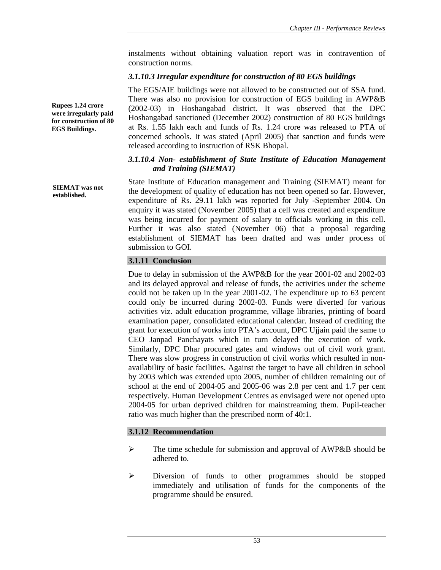instalments without obtaining valuation report was in contravention of construction norms.

## *3.1.10.3 Irregular expenditure for construction of 80 EGS buildings*

The EGS/AIE buildings were not allowed to be constructed out of SSA fund. There was also no provision for construction of EGS building in AWP&B (2002-03) in Hoshangabad district. It was observed that the DPC Hoshangabad sanctioned (December 2002) construction of 80 EGS buildings at Rs. 1.55 lakh each and funds of Rs. 1.24 crore was released to PTA of concerned schools. It was stated (April 2005) that sanction and funds were released according to instruction of RSK Bhopal.

## *3.1.10.4 Non- establishment of State Institute of Education Management and Training (SIEMAT)*

State Institute of Education management and Training (SIEMAT) meant for the development of quality of education has not been opened so far. However, expenditure of Rs. 29.11 lakh was reported for July -September 2004. On enquiry it was stated (November 2005) that a cell was created and expenditure was being incurred for payment of salary to officials working in this cell. Further it was also stated (November 06) that a proposal regarding establishment of SIEMAT has been drafted and was under process of submission to GOI.

## **3.1.11 Conclusion**

Due to delay in submission of the AWP&B for the year 2001-02 and 2002-03 and its delayed approval and release of funds, the activities under the scheme could not be taken up in the year 2001-02. The expenditure up to 63 percent could only be incurred during 2002-03. Funds were diverted for various activities viz. adult education programme, village libraries, printing of board examination paper, consolidated educational calendar. Instead of crediting the grant for execution of works into PTA's account, DPC Ujjain paid the same to CEO Janpad Panchayats which in turn delayed the execution of work. Similarly, DPC Dhar procured gates and windows out of civil work grant. There was slow progress in construction of civil works which resulted in nonavailability of basic facilities. Against the target to have all children in school by 2003 which was extended upto 2005, number of children remaining out of school at the end of 2004-05 and 2005-06 was 2.8 per cent and 1.7 per cent respectively. Human Development Centres as envisaged were not opened upto 2004-05 for urban deprived children for mainstreaming them. Pupil-teacher ratio was much higher than the prescribed norm of 40:1.

## **3.1.12 Recommendation**

- $\triangleright$  The time schedule for submission and approval of AWP&B should be adhered to.
- ¾ Diversion of funds to other programmes should be stopped immediately and utilisation of funds for the components of the programme should be ensured.

**Rupees 1.24 crore were irregularly paid for construction of 80 EGS Buildings.** 

**SIEMAT was not established.**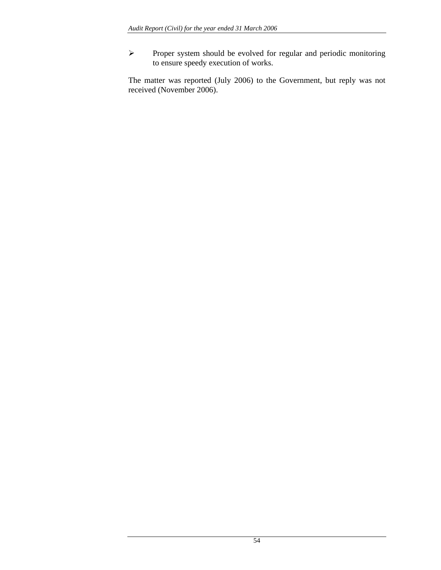¾ Proper system should be evolved for regular and periodic monitoring to ensure speedy execution of works.

The matter was reported (July 2006) to the Government, but reply was not received (November 2006).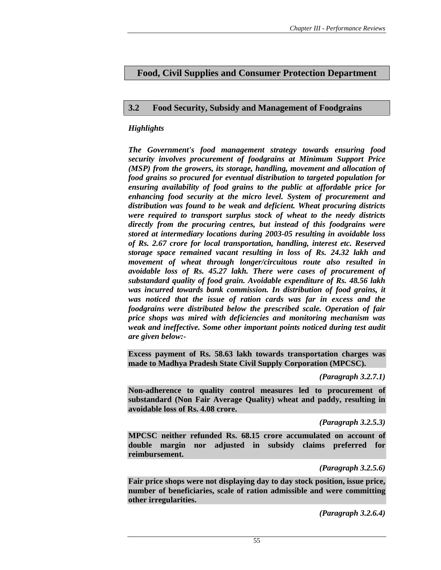# **Food, Civil Supplies and Consumer Protection Department**

## **3.2 Food Security, Subsidy and Management of Foodgrains**

## *Highlights*

*The Government's food management strategy towards ensuring food security involves procurement of foodgrains at Minimum Support Price (MSP) from the growers, its storage, handling, movement and allocation of food grains so procured for eventual distribution to targeted population for ensuring availability of food grains to the public at affordable price for enhancing food security at the micro level. System of procurement and distribution was found to be weak and deficient. Wheat procuring districts were required to transport surplus stock of wheat to the needy districts directly from the procuring centres, but instead of this foodgrains were stored at intermediary locations during 2003-05 resulting in avoidable loss of Rs. 2.67 crore for local transportation, handling, interest etc. Reserved storage space remained vacant resulting in loss of Rs. 24.32 lakh and movement of wheat through longer/circuitous route also resulted in avoidable loss of Rs. 45.27 lakh. There were cases of procurement of substandard quality of food grain. Avoidable expenditure of Rs. 48.56 lakh was incurred towards bank commission. In distribution of food grains, it was noticed that the issue of ration cards was far in excess and the foodgrains were distributed below the prescribed scale. Operation of fair price shops was mired with deficiencies and monitoring mechanism was weak and ineffective. Some other important points noticed during test audit are given below:-* 

**Excess payment of Rs. 58.63 lakh towards transportation charges was made to Madhya Pradesh State Civil Supply Corporation (MPCSC).** 

*(Paragraph 3.2.7.1)* 

**Non-adherence to quality control measures led to procurement of substandard (Non Fair Average Quality) wheat and paddy, resulting in avoidable loss of Rs. 4.08 crore.** 

*(Paragraph 3.2.5.3)* 

**MPCSC neither refunded Rs. 68.15 crore accumulated on account of double margin nor adjusted in subsidy claims preferred for reimbursement.** 

*(Paragraph 3.2.5.6)* 

**Fair price shops were not displaying day to day stock position, issue price, number of beneficiaries, scale of ration admissible and were committing other irregularities.** 

*(Paragraph 3.2.6.4)*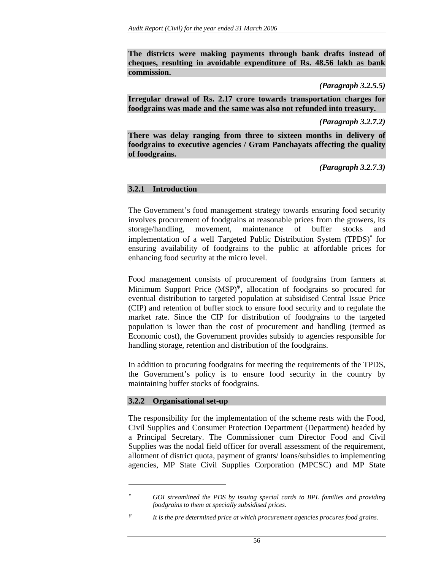**The districts were making payments through bank drafts instead of cheques, resulting in avoidable expenditure of Rs. 48.56 lakh as bank commission.** 

*(Paragraph 3.2.5.5)* 

**Irregular drawal of Rs. 2.17 crore towards transportation charges for foodgrains was made and the same was also not refunded into treasury.** 

*(Paragraph 3.2.7.2)* 

**There was delay ranging from three to sixteen months in delivery of foodgrains to executive agencies / Gram Panchayats affecting the quality of foodgrains.** 

*(Paragraph 3.2.7.3)* 

## **3.2.1 Introduction**

The Government's food management strategy towards ensuring food security involves procurement of foodgrains at reasonable prices from the growers, its storage/handling, movement, maintenance of buffer stocks and implementation of a well Targeted Public Distribution System (TPDS)<sup>∗</sup> for ensuring availability of foodgrains to the public at affordable prices for enhancing food security at the micro level.

Food management consists of procurement of foodgrains from farmers at Minimum Support Price  $(MSP)^{\Psi}$ , allocation of foodgrains so procured for eventual distribution to targeted population at subsidised Central Issue Price (CIP) and retention of buffer stock to ensure food security and to regulate the market rate. Since the CIP for distribution of foodgrains to the targeted population is lower than the cost of procurement and handling (termed as Economic cost), the Government provides subsidy to agencies responsible for handling storage, retention and distribution of the foodgrains.

In addition to procuring foodgrains for meeting the requirements of the TPDS, the Government's policy is to ensure food security in the country by maintaining buffer stocks of foodgrains.

## **3.2.2 Organisational set-up**

 $\overline{a}$ 

The responsibility for the implementation of the scheme rests with the Food, Civil Supplies and Consumer Protection Department (Department) headed by a Principal Secretary. The Commissioner cum Director Food and Civil Supplies was the nodal field officer for overall assessment of the requirement, allotment of district quota, payment of grants/ loans/subsidies to implementing agencies, MP State Civil Supplies Corporation (MPCSC) and MP State

GOI streamlined the PDS by issuing special cards to BPL families and providing *foodgrains to them at specially subsidised prices.* 

It is the pre determined price at which procurement agencies procures food grains.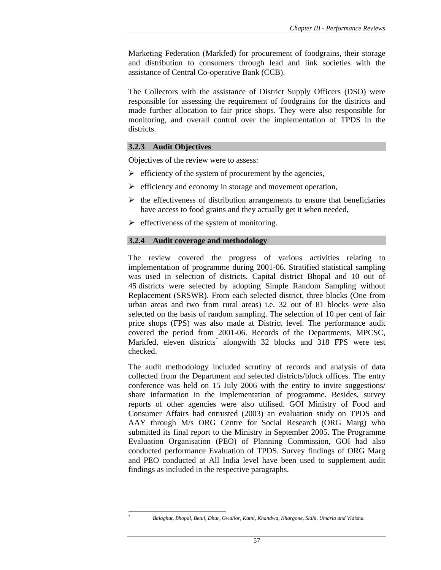Marketing Federation (Markfed) for procurement of foodgrains, their storage and distribution to consumers through lead and link societies with the assistance of Central Co-operative Bank (CCB).

The Collectors with the assistance of District Supply Officers (DSO) were responsible for assessing the requirement of foodgrains for the districts and made further allocation to fair price shops. They were also responsible for monitoring, and overall control over the implementation of TPDS in the districts.

## **3.2.3 Audit Objectives**

 $\overline{a}$ *\**

Objectives of the review were to assess:

- $\triangleright$  efficiency of the system of procurement by the agencies,
- $\triangleright$  efficiency and economy in storage and movement operation,
- $\triangleright$  the effectiveness of distribution arrangements to ensure that beneficiaries have access to food grains and they actually get it when needed,
- $\triangleright$  effectiveness of the system of monitoring.

### **3.2.4 Audit coverage and methodology**

The review covered the progress of various activities relating to implementation of programme during 2001-06. Stratified statistical sampling was used in selection of districts. Capital district Bhopal and 10 out of 45 districts were selected by adopting Simple Random Sampling without Replacement (SRSWR). From each selected district, three blocks (One from urban areas and two from rural areas) i.e. 32 out of 81 blocks were also selected on the basis of random sampling. The selection of 10 per cent of fair price shops (FPS) was also made at District level. The performance audit covered the period from 2001-06. Records of the Departments, MPCSC, Markfed, eleven districts<sup>\*</sup> alongwith 32 blocks and 318 FPS were test checked.

The audit methodology included scrutiny of records and analysis of data collected from the Department and selected districts/block offices. The entry conference was held on 15 July 2006 with the entity to invite suggestions/ share information in the implementation of programme. Besides, survey reports of other agencies were also utilised. GOI Ministry of Food and Consumer Affairs had entrusted (2003) an evaluation study on TPDS and AAY through M/s ORG Centre for Social Research (ORG Marg) who submitted its final report to the Ministry in September 2005. The Programme Evaluation Organisation (PEO) of Planning Commission, GOI had also conducted performance Evaluation of TPDS. Survey findings of ORG Marg and PEO conducted at All India level have been used to supplement audit findings as included in the respective paragraphs.

*Balaghat, Bhopal, Betul, Dhar, Gwalior, Katni, Khandwa, Khargone, Sidhi, Umaria and Vidisha.*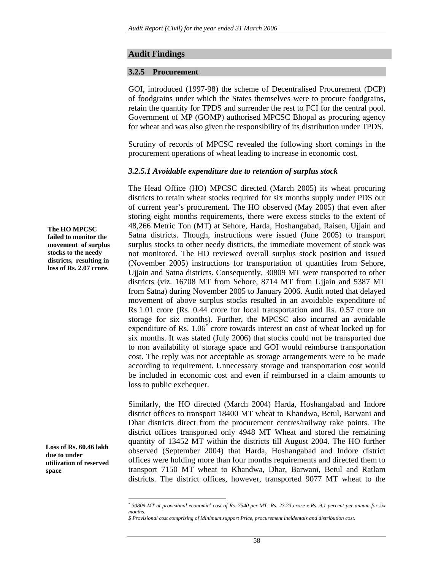### **Audit Findings**

#### **3.2.5 Procurement**

GOI, introduced (1997-98) the scheme of Decentralised Procurement (DCP) of foodgrains under which the States themselves were to procure foodgrains, retain the quantity for TPDS and surrender the rest to FCI for the central pool. Government of MP (GOMP) authorised MPCSC Bhopal as procuring agency for wheat and was also given the responsibility of its distribution under TPDS.

Scrutiny of records of MPCSC revealed the following short comings in the procurement operations of wheat leading to increase in economic cost.

#### *3.2.5.1 Avoidable expenditure due to retention of surplus stock*

The Head Office (HO) MPCSC directed (March 2005) its wheat procuring districts to retain wheat stocks required for six months supply under PDS out of current year's procurement. The HO observed (May 2005) that even after storing eight months requirements, there were excess stocks to the extent of 48,266 Metric Ton (MT) at Sehore, Harda, Hoshangabad, Raisen, Ujjain and Satna districts. Though, instructions were issued (June 2005) to transport surplus stocks to other needy districts, the immediate movement of stock was not monitored. The HO reviewed overall surplus stock position and issued (November 2005) instructions for transportation of quantities from Sehore, Ujjain and Satna districts. Consequently, 30809 MT were transported to other districts (viz. 16708 MT from Sehore, 8714 MT from Ujjain and 5387 MT from Satna) during November 2005 to January 2006. Audit noted that delayed movement of above surplus stocks resulted in an avoidable expenditure of Rs 1.01 crore (Rs. 0.44 crore for local transportation and Rs. 0.57 crore on storage for six months). Further, the MPCSC also incurred an avoidable expenditure of Rs. 1.06<sup>\*</sup> crore towards interest on cost of wheat locked up for six months. It was stated (July 2006) that stocks could not be transported due to non availability of storage space and GOI would reimburse transportation cost. The reply was not acceptable as storage arrangements were to be made according to requirement. Unnecessary storage and transportation cost would be included in economic cost and even if reimbursed in a claim amounts to loss to public exchequer.

Similarly, the HO directed (March 2004) Harda, Hoshangabad and Indore district offices to transport 18400 MT wheat to Khandwa, Betul, Barwani and Dhar districts direct from the procurement centres/railway rake points. The district offices transported only 4948 MT Wheat and stored the remaining quantity of 13452 MT within the districts till August 2004. The HO further observed (September 2004) that Harda, Hoshangabad and Indore district offices were holding more than four months requirements and directed them to transport 7150 MT wheat to Khandwa, Dhar, Barwani, Betul and Ratlam districts. The district offices, however, transported 9077 MT wheat to the

**The HO MPCSC failed to monitor the movement of surplus stocks to the needy districts, resulting in loss of Rs. 2.07 crore.** 

**Loss of Rs. 60.46 lakh due to under utilization of reserved space** 

<sup>&</sup>lt;sup>\*</sup> 30809 MT at provisional economic<sup>\$</sup> cost of Rs. 7540 per MT=Rs. 23.23 crore x Rs. 9.1 percent per annum for six *months.* 

*<sup>\$</sup> Provisional cost comprising of Minimum support Price, procurement incidentals and distribution cost.*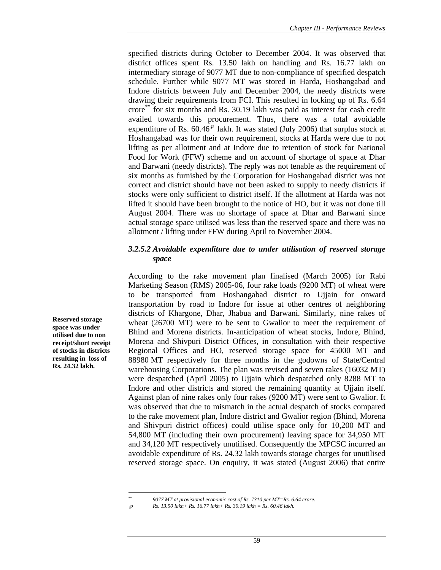specified districts during October to December 2004. It was observed that district offices spent Rs. 13.50 lakh on handling and Rs. 16.77 lakh on intermediary storage of 9077 MT due to non-compliance of specified despatch schedule. Further while 9077 MT was stored in Harda, Hoshangabad and Indore districts between July and December 2004, the needy districts were drawing their requirements from FCI. This resulted in locking up of Rs. 6.64 crore\*\* for six months and Rs. 30.19 lakh was paid as interest for cash credit availed towards this procurement. Thus, there was a total avoidable expenditure of Rs.  $60.46^\circ$  lakh. It was stated (July 2006) that surplus stock at Hoshangabad was for their own requirement, stocks at Harda were due to not lifting as per allotment and at Indore due to retention of stock for National Food for Work (FFW) scheme and on account of shortage of space at Dhar and Barwani (needy districts). The reply was not tenable as the requirement of six months as furnished by the Corporation for Hoshangabad district was not correct and district should have not been asked to supply to needy districts if stocks were only sufficient to district itself. If the allotment at Harda was not lifted it should have been brought to the notice of HO, but it was not done till August 2004. There was no shortage of space at Dhar and Barwani since actual storage space utilised was less than the reserved space and there was no allotment / lifting under FFW during April to November 2004.

## *3.2.5.2 Avoidable expenditure due to under utilisation of reserved storage space*

According to the rake movement plan finalised (March 2005) for Rabi Marketing Season (RMS) 2005-06, four rake loads (9200 MT) of wheat were to be transported from Hoshangabad district to Ujjain for onward transportation by road to Indore for issue at other centres of neighboring districts of Khargone, Dhar, Jhabua and Barwani. Similarly, nine rakes of wheat (26700 MT) were to be sent to Gwalior to meet the requirement of Bhind and Morena districts. In-anticipation of wheat stocks, Indore, Bhind, Morena and Shivpuri District Offices, in consultation with their respective Regional Offices and HO, reserved storage space for 45000 MT and 88980 MT respectively for three months in the godowns of State/Central warehousing Corporations. The plan was revised and seven rakes (16032 MT) were despatched (April 2005) to Ujjain which despatched only 8288 MT to Indore and other districts and stored the remaining quantity at Ujjain itself. Against plan of nine rakes only four rakes (9200 MT) were sent to Gwalior. It was observed that due to mismatch in the actual despatch of stocks compared to the rake movement plan, Indore district and Gwalior region (Bhind, Morena and Shivpuri district offices) could utilise space only for 10,200 MT and 54,800 MT (including their own procurement) leaving space for 34,950 MT and 34,120 MT respectively unutilised. Consequently the MPCSC incurred an avoidable expenditure of Rs. 24.32 lakh towards storage charges for unutilised reserved storage space. On enquiry, it was stated (August 2006) that entire

**Reserved storage space was under utilised due to non receipt/short receipt of stocks in districts resulting in loss of Rs. 24.32 lakh.** 

*<sup>\*\* 9077</sup> MT at provisional economic cost of Rs. 7310 per MT=Rs. 6.64 crore.* 

<sup>℘</sup> *Rs. 13.50 lakh+ Rs. 16.77 lakh+ Rs. 30.19 lakh = Rs. 60.46 lakh.*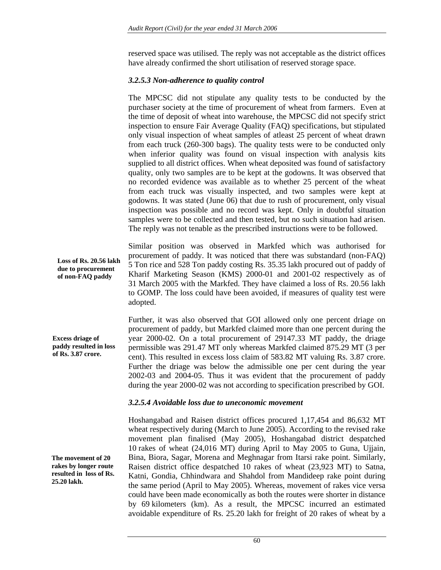reserved space was utilised. The reply was not acceptable as the district offices have already confirmed the short utilisation of reserved storage space.

## *3.2.5.3 Non-adherence to quality control*

The MPCSC did not stipulate any quality tests to be conducted by the purchaser society at the time of procurement of wheat from farmers. Even at the time of deposit of wheat into warehouse, the MPCSC did not specify strict inspection to ensure Fair Average Quality (FAQ) specifications, but stipulated only visual inspection of wheat samples of atleast 25 percent of wheat drawn from each truck (260-300 bags). The quality tests were to be conducted only when inferior quality was found on visual inspection with analysis kits supplied to all district offices. When wheat deposited was found of satisfactory quality, only two samples are to be kept at the godowns. It was observed that no recorded evidence was available as to whether 25 percent of the wheat from each truck was visually inspected, and two samples were kept at godowns. It was stated (June 06) that due to rush of procurement, only visual inspection was possible and no record was kept. Only in doubtful situation samples were to be collected and then tested, but no such situation had arisen. The reply was not tenable as the prescribed instructions were to be followed.

Similar position was observed in Markfed which was authorised for procurement of paddy. It was noticed that there was substandard (non-FAQ) 5 Ton rice and 528 Ton paddy costing Rs. 35.35 lakh procured out of paddy of Kharif Marketing Season (KMS) 2000-01 and 2001-02 respectively as of 31 March 2005 with the Markfed. They have claimed a loss of Rs. 20.56 lakh to GOMP. The loss could have been avoided, if measures of quality test were adopted.

Further, it was also observed that GOI allowed only one percent driage on procurement of paddy, but Markfed claimed more than one percent during the year 2000-02. On a total procurement of 29147.33 MT paddy, the driage permissible was 291.47 MT only whereas Markfed claimed 875.29 MT (3 per cent). This resulted in excess loss claim of 583.82 MT valuing Rs. 3.87 crore. Further the driage was below the admissible one per cent during the year 2002-03 and 2004-05. Thus it was evident that the procurement of paddy during the year 2000-02 was not according to specification prescribed by GOI.

## *3.2.5.4 Avoidable loss due to uneconomic movement*

Hoshangabad and Raisen district offices procured 1,17,454 and 86,632 MT wheat respectively during (March to June 2005). According to the revised rake movement plan finalised (May 2005), Hoshangabad district despatched 10 rakes of wheat (24,016 MT) during April to May 2005 to Guna, Ujjain, Bina, Biora, Sagar, Morena and Meghnagar from Itarsi rake point. Similarly, Raisen district office despatched 10 rakes of wheat (23,923 MT) to Satna, Katni, Gondia, Chhindwara and Shahdol from Mandideep rake point during the same period (April to May 2005). Whereas, movement of rakes vice versa could have been made economically as both the routes were shorter in distance by 69 kilometers (km). As a result, the MPCSC incurred an estimated avoidable expenditure of Rs. 25.20 lakh for freight of 20 rakes of wheat by a

**Loss of Rs. 20.56 lakh due to procurement of non-FAQ paddy** 

**Excess driage of paddy resulted in loss of Rs. 3.87 crore.** 

**The movement of 20 rakes by longer route resulted in loss of Rs. 25.20 lakh.**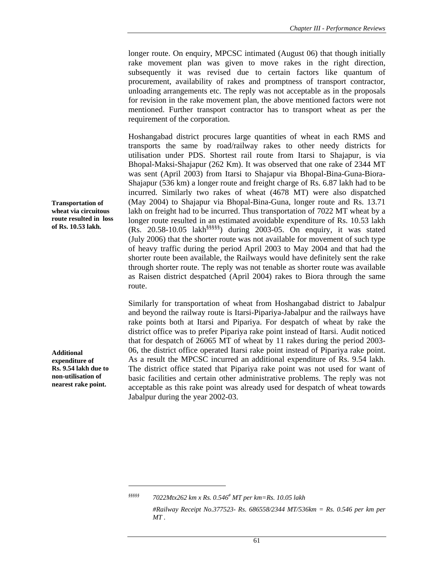longer route. On enquiry, MPCSC intimated (August 06) that though initially rake movement plan was given to move rakes in the right direction, subsequently it was revised due to certain factors like quantum of procurement, availability of rakes and promptness of transport contractor, unloading arrangements etc. The reply was not acceptable as in the proposals for revision in the rake movement plan, the above mentioned factors were not mentioned. Further transport contractor has to transport wheat as per the requirement of the corporation.

Hoshangabad district procures large quantities of wheat in each RMS and transports the same by road/railway rakes to other needy districts for utilisation under PDS. Shortest rail route from Itarsi to Shajapur, is via Bhopal-Maksi-Shajapur (262 Km). It was observed that one rake of 2344 MT was sent (April 2003) from Itarsi to Shajapur via Bhopal-Bina-Guna-Biora-Shajapur (536 km) a longer route and freight charge of Rs. 6.87 lakh had to be incurred. Similarly two rakes of wheat (4678 MT) were also dispatched (May 2004) to Shajapur via Bhopal-Bina-Guna, longer route and Rs. 13.71 lakh on freight had to be incurred. Thus transportation of 7022 MT wheat by a longer route resulted in an estimated avoidable expenditure of Rs. 10.53 lakh (Rs. 20.58-10.05 lakh§§§§§) during 2003-05. On enquiry, it was stated (July 2006) that the shorter route was not available for movement of such type of heavy traffic during the period April 2003 to May 2004 and that had the shorter route been available, the Railways would have definitely sent the rake through shorter route. The reply was not tenable as shorter route was available as Raisen district despatched (April 2004) rakes to Biora through the same route.

Similarly for transportation of wheat from Hoshangabad district to Jabalpur and beyond the railway route is Itarsi-Pipariya-Jabalpur and the railways have rake points both at Itarsi and Pipariya. For despatch of wheat by rake the district office was to prefer Pipariya rake point instead of Itarsi. Audit noticed that for despatch of 26065 MT of wheat by 11 rakes during the period 2003- 06, the district office operated Itarsi rake point instead of Pipariya rake point. As a result the MPCSC incurred an additional expenditure of Rs. 9.54 lakh. The district office stated that Pipariya rake point was not used for want of basic facilities and certain other administrative problems. The reply was not acceptable as this rake point was already used for despatch of wheat towards Jabalpur during the year 2002-03.

**Transportation of wheat via circuitous route resulted in loss of Rs. 10.53 lakh.** 

**Additional expenditure of Rs. 9.54 lakh due to non-utilisation of nearest rake point.** 

 $\overline{a}$ 

61

*<sup>§§§§§ 7022</sup>Mtx262 km x Rs. 0.546# MT per km=Rs. 10.05 lakh* 

 *<sup>#</sup>Railway Receipt No.377523- Rs. 686558/2344 MT/536km = Rs. 0.546 per km per MT .*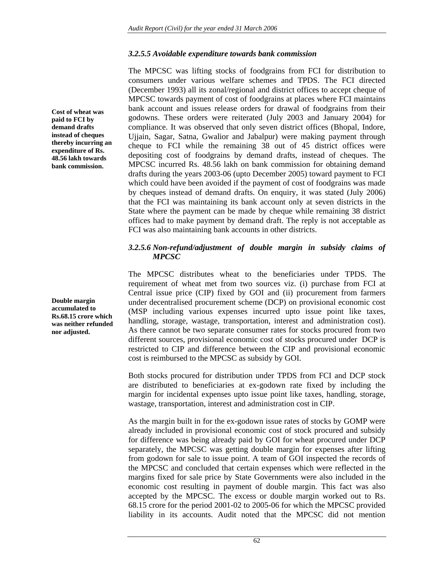## *3.2.5.5 Avoidable expenditure towards bank commission*

The MPCSC was lifting stocks of foodgrains from FCI for distribution to consumers under various welfare schemes and TPDS. The FCI directed (December 1993) all its zonal/regional and district offices to accept cheque of MPCSC towards payment of cost of foodgrains at places where FCI maintains bank account and issues release orders for drawal of foodgrains from their godowns. These orders were reiterated (July 2003 and January 2004) for compliance. It was observed that only seven district offices (Bhopal, Indore, Ujjain, Sagar, Satna, Gwalior and Jabalpur) were making payment through cheque to FCI while the remaining 38 out of 45 district offices were depositing cost of foodgrains by demand drafts, instead of cheques. The MPCSC incurred Rs. 48.56 lakh on bank commission for obtaining demand drafts during the years 2003-06 (upto December 2005) toward payment to FCI which could have been avoided if the payment of cost of foodgrains was made by cheques instead of demand drafts. On enquiry, it was stated (July 2006) that the FCI was maintaining its bank account only at seven districts in the State where the payment can be made by cheque while remaining 38 district offices had to make payment by demand draft. The reply is not acceptable as FCI was also maintaining bank accounts in other districts.

## *3.2.5.6 Non-refund/adjustment of double margin in subsidy claims of MPCSC*

The MPCSC distributes wheat to the beneficiaries under TPDS. The requirement of wheat met from two sources viz. (i) purchase from FCI at Central issue price (CIP) fixed by GOI and (ii) procurement from farmers under decentralised procurement scheme (DCP) on provisional economic cost (MSP including various expenses incurred upto issue point like taxes, handling, storage, wastage, transportation, interest and administration cost). As there cannot be two separate consumer rates for stocks procured from two different sources, provisional economic cost of stocks procured under DCP is restricted to CIP and difference between the CIP and provisional economic cost is reimbursed to the MPCSC as subsidy by GOI.

Both stocks procured for distribution under TPDS from FCI and DCP stock are distributed to beneficiaries at ex-godown rate fixed by including the margin for incidental expenses upto issue point like taxes, handling, storage, wastage, transportation, interest and administration cost in CIP.

As the margin built in for the ex-godown issue rates of stocks by GOMP were already included in provisional economic cost of stock procured and subsidy for difference was being already paid by GOI for wheat procured under DCP separately, the MPCSC was getting double margin for expenses after lifting from godown for sale to issue point. A team of GOI inspected the records of the MPCSC and concluded that certain expenses which were reflected in the margins fixed for sale price by State Governments were also included in the economic cost resulting in payment of double margin. This fact was also accepted by the MPCSC. The excess or double margin worked out to Rs. 68.15 crore for the period 2001-02 to 2005-06 for which the MPCSC provided liability in its accounts. Audit noted that the MPCSC did not mention

**Cost of wheat was paid to FCI by demand drafts instead of cheques thereby incurring an expenditure of Rs. 48.56 lakh towards bank commission.** 

**Double margin accumulated to Rs.68.15 crore which was neither refunded nor adjusted.**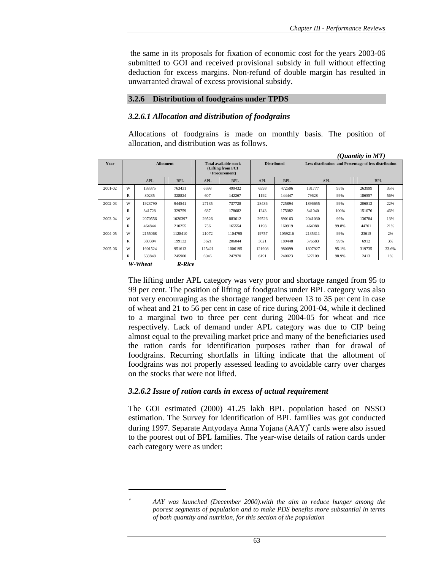the same in its proposals for fixation of economic cost for the years 2003-06 submitted to GOI and received provisional subsidy in full without effecting deduction for excess margins. Non-refund of double margin has resulted in unwarranted drawal of excess provisional subsidy.

#### **3.2.6 Distribution of foodgrains under TPDS**

### *3.2.6.1 Allocation and distribution of foodgrains*

Allocations of foodgrains is made on monthly basis. The position of allocation, and distribution was as follows.

|                          |   |            |                                                                    |            |                    |            |                                                       |            |       | ( <i>Ouantity in MT</i> ) |            |
|--------------------------|---|------------|--------------------------------------------------------------------|------------|--------------------|------------|-------------------------------------------------------|------------|-------|---------------------------|------------|
| Year<br><b>Allotment</b> |   |            | <b>Total available stock</b><br>(Lifting from FCI<br>+Procurement) |            | <b>Distributed</b> |            | Less distribution and Percentage of less distribution |            |       |                           |            |
|                          |   | <b>APL</b> | <b>BPL</b>                                                         | <b>APL</b> | <b>BPL</b>         | <b>APL</b> | <b>BPL</b>                                            | <b>APL</b> |       |                           | <b>BPL</b> |
| 2001-02                  | W | 138375     | 763431                                                             | 6598       | 499432             | 6598       | 472506                                                | 131777     | 95%   | 263999                    | 35%        |
|                          | R | 80235      | 328824                                                             | 607        | 142267             | 1192       | 144447                                                | 79628      | 99%   | 186557                    | 56%        |
| 2002-03                  | W | 1923790    | 944541                                                             | 27135      | 737728             | 28436      | 725894                                                | 1896655    | 99%   | 206813                    | 22%        |
|                          | R | 841728     | 329759                                                             | 687        | 178682             | 1243       | 175082                                                | 841040     | 100%  | 151076                    | 46%        |
| 2003-04                  | W | 2070556    | 1020397                                                            | 29526      | 883612             | 29526      | 890163                                                | 2041030    | 99%   | 136784                    | 13%        |
|                          | R | 464844     | 210255                                                             | 756        | 165554             | 1198       | 160919                                                | 464088     | 99.8% | 44701                     | 21%        |
| 2004-05                  | W | 2155068    | 1128410                                                            | 21072      | 1104795            | 19757      | 1059216                                               | 2135311    | 99%   | 23615                     | 2%         |
|                          | R | 380304     | 199132                                                             | 3621       | 206044             | 3621       | 189448                                                | 376683     | 99%   | 6912                      | 3%         |
| 2005-06                  | W | 1901524    | 951613                                                             | 125421     | 1006195            | 121908     | 980099                                                | 1807927    | 95.1% | 319735                    | 33.6%      |
|                          | R | 633848     | 245900                                                             | 6946       | 247970             | 6191       | 240023                                                | 627109     | 98.9% | 2413                      | 1%         |
|                          |   | TT7 TTT1   | $\mathbf{m}$ $\mathbf{m}$ .                                        |            |                    |            |                                                       |            |       |                           |            |

*W-Wheat R-Rice*

 $\overline{a}$ 

The lifting under APL category was very poor and shortage ranged from 95 to 99 per cent. The position of lifting of foodgrains under BPL category was also not very encouraging as the shortage ranged between 13 to 35 per cent in case of wheat and 21 to 56 per cent in case of rice during 2001-04, while it declined to a marginal two to three per cent during 2004-05 for wheat and rice respectively. Lack of demand under APL category was due to CIP being almost equal to the prevailing market price and many of the beneficiaries used the ration cards for identification purposes rather than for drawal of foodgrains. Recurring shortfalls in lifting indicate that the allotment of foodgrains was not properly assessed leading to avoidable carry over charges on the stocks that were not lifted.

### *3.2.6.2 Issue of ration cards in excess of actual requirement*

The GOI estimated (2000) 41.25 lakh BPL population based on NSSO estimation. The Survey for identification of BPL families was got conducted during 1997. Separate Antyodaya Anna Yojana (AAY)<sup>∗</sup> cards were also issued to the poorest out of BPL families. The year-wise details of ration cards under each category were as under:

<sup>∗</sup> *AAY was launched (December 2000).with the aim to reduce hunger among the poorest segments of population and to make PDS benefits more substantial in terms of both quantity and nutrition, for this section of the population*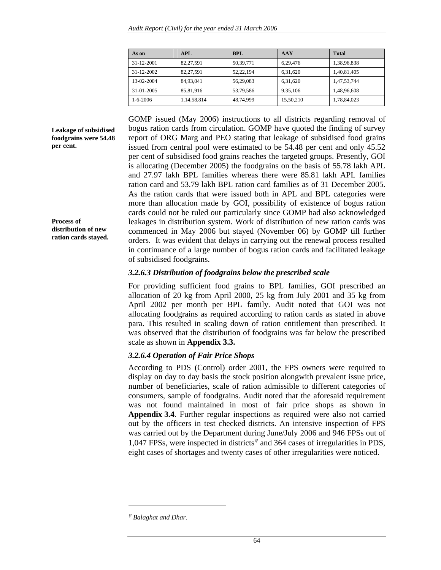| As on          | APL         | <b>BPL</b> | <b>AAY</b> | <b>Total</b> |
|----------------|-------------|------------|------------|--------------|
| 31-12-2001     | 82.27.591   | 50.39.771  | 6.29.476   | 1,38,96,838  |
| 31-12-2002     | 82.27.591   | 52.22.194  | 6.31.620   | 1,40,81,405  |
| 13-02-2004     | 84.93.041   | 56.29.083  | 6.31.620   | 1.47.53.744  |
| 31-01-2005     | 85.81.916   | 53.79.586  | 9.35.106   | 1,48,96,608  |
| $1 - 6 - 2006$ | 1,14,58,814 | 48,74,999  | 15,50,210  | 1,78,84,023  |

**Leakage of subsidised foodgrains were 54.48 per cent.** 

**Process of distribution of new ration cards stayed.**  GOMP issued (May 2006) instructions to all districts regarding removal of bogus ration cards from circulation. GOMP have quoted the finding of survey report of ORG Marg and PEO stating that leakage of subsidised food grains issued from central pool were estimated to be 54.48 per cent and only 45.52 per cent of subsidised food grains reaches the targeted groups. Presently, GOI is allocating (December 2005) the foodgrains on the basis of 55.78 lakh APL and 27.97 lakh BPL families whereas there were 85.81 lakh APL families ration card and 53.79 lakh BPL ration card families as of 31 December 2005. As the ration cards that were issued both in APL and BPL categories were more than allocation made by GOI, possibility of existence of bogus ration cards could not be ruled out particularly since GOMP had also acknowledged leakages in distribution system. Work of distribution of new ration cards was commenced in May 2006 but stayed (November 06) by GOMP till further orders. It was evident that delays in carrying out the renewal process resulted in continuance of a large number of bogus ration cards and facilitated leakage of subsidised foodgrains.

## *3.2.6.3 Distribution of foodgrains below the prescribed scale*

For providing sufficient food grains to BPL families, GOI prescribed an allocation of 20 kg from April 2000, 25 kg from July 2001 and 35 kg from April 2002 per month per BPL family. Audit noted that GOI was not allocating foodgrains as required according to ration cards as stated in above para. This resulted in scaling down of ration entitlement than prescribed. It was observed that the distribution of foodgrains was far below the prescribed scale as shown in **Appendix 3.3.**

## *3.2.6.4 Operation of Fair Price Shops*

According to PDS (Control) order 2001, the FPS owners were required to display on day to day basis the stock position alongwith prevalent issue price, number of beneficiaries, scale of ration admissible to different categories of consumers, sample of foodgrains. Audit noted that the aforesaid requirement was not found maintained in most of fair price shops as shown in **Appendix 3.4**. Further regular inspections as required were also not carried out by the officers in test checked districts. An intensive inspection of FPS was carried out by the Department during June/July 2006 and 946 FPSs out of 1,047 FPSs, were inspected in districts<sup> $\Psi$ </sup> and 364 cases of irregularities in PDS, eight cases of shortages and twenty cases of other irregularities were noticed.

<sup>ψ</sup> *Balaghat and Dhar.*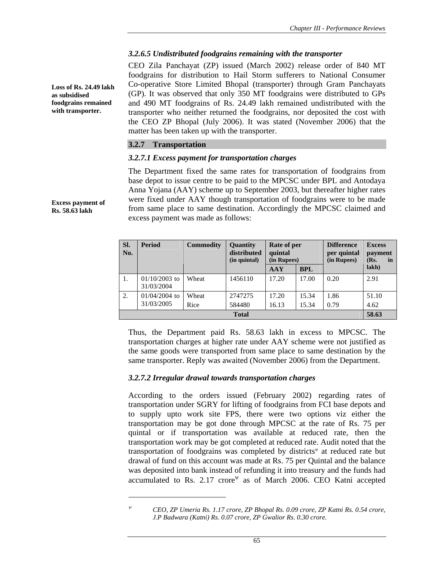## *3.2.6.5 Undistributed foodgrains remaining with the transporter*

CEO Zila Panchayat (ZP) issued (March 2002) release order of 840 MT foodgrains for distribution to Hail Storm sufferers to National Consumer Co-operative Store Limited Bhopal (transporter) through Gram Panchayats (GP). It was observed that only 350 MT foodgrains were distributed to GPs and 490 MT foodgrains of Rs. 24.49 lakh remained undistributed with the transporter who neither returned the foodgrains, nor deposited the cost with the CEO ZP Bhopal (July 2006). It was stated (November 2006) that the matter has been taken up with the transporter.

### **3.2.7 Transportation**

 $\overline{a}$ 

### *3.2.7.1 Excess payment for transportation charges*

The Department fixed the same rates for transportation of foodgrains from base depot to issue centre to be paid to the MPCSC under BPL and Antodaya Anna Yojana (AAY) scheme up to September 2003, but thereafter higher rates were fixed under AAY though transportation of foodgrains were to be made from same place to same destination. Accordingly the MPCSC claimed and excess payment was made as follows:

| SI.<br>No. | <b>Period</b>                 | <b>Commodity</b> | <b>Quantity</b><br>distributed<br>(in quintal) | Rate of per<br>quintal<br>(in Rupees) | <b>Difference</b><br>per quintal<br>(in Rupees) |      | <b>Excess</b><br>payment<br>(Rs.<br>in |
|------------|-------------------------------|------------------|------------------------------------------------|---------------------------------------|-------------------------------------------------|------|----------------------------------------|
|            |                               |                  |                                                | <b>BPL</b><br>AAY                     |                                                 |      | lakh)                                  |
| 1.         | $01/10/2003$ to<br>31/03/2004 | Wheat            | 1456110                                        | 17.20                                 | 17.00                                           | 0.20 | 2.91                                   |
| 2.         | $01/04/2004$ to<br>31/03/2005 | Wheat            | 2747275                                        | 17.20                                 | 15.34                                           | 1.86 | 51.10                                  |
|            |                               | Rice             | 584480<br><b>Total</b>                         | 16.13                                 | 15.34                                           | 0.79 | 4.62<br>58.63                          |

Thus, the Department paid Rs. 58.63 lakh in excess to MPCSC. The transportation charges at higher rate under AAY scheme were not justified as the same goods were transported from same place to same destination by the same transporter. Reply was awaited (November 2006) from the Department.

## *3.2.7.2 Irregular drawal towards transportation charges*

According to the orders issued (February 2002) regarding rates of transportation under SGRY for lifting of foodgrains from FCI base depots and to supply upto work site FPS, there were two options viz either the transportation may be got done through MPCSC at the rate of Rs. 75 per quintal or if transportation was available at reduced rate, then the transportation work may be got completed at reduced rate. Audit noted that the transportation of foodgrains was completed by districts<sup>w</sup> at reduced rate but drawal of fund on this account was made at Rs. 75 per Quintal and the balance was deposited into bank instead of refunding it into treasury and the funds had accumulated to Rs.  $2.17$  crore<sup> $\psi$ </sup> as of March 2006. CEO Katni accepted

**Loss of Rs. 24.49 lakh as subsidised foodgrains remained with transporter.** 

**Excess payment of Rs. 58.63 lakh** 

<sup>ψ</sup> *CEO, ZP Umeria Rs. 1.17 crore, ZP Bhopal Rs. 0.09 crore, ZP Katni Rs. 0.54 crore, J.P Badwara (Katni) Rs. 0.07 crore, ZP Gwalior Rs. 0.30 crore.*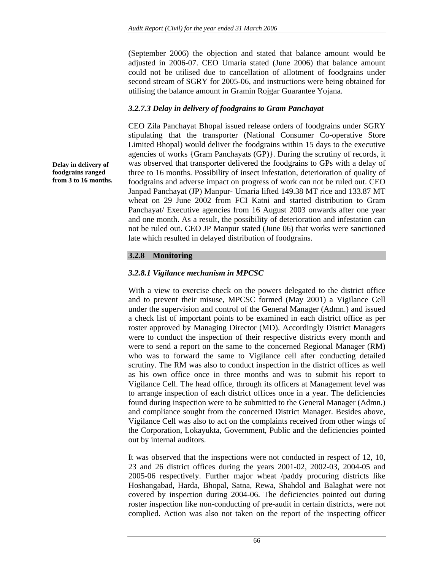(September 2006) the objection and stated that balance amount would be adjusted in 2006-07. CEO Umaria stated (June 2006) that balance amount could not be utilised due to cancellation of allotment of foodgrains under second stream of SGRY for 2005-06, and instructions were being obtained for utilising the balance amount in Gramin Rojgar Guarantee Yojana.

## *3.2.7.3 Delay in delivery of foodgrains to Gram Panchayat*

CEO Zila Panchayat Bhopal issued release orders of foodgrains under SGRY stipulating that the transporter (National Consumer Co-operative Store Limited Bhopal) would deliver the foodgrains within 15 days to the executive agencies of works {Gram Panchayats (GP)}. During the scrutiny of records, it was observed that transporter delivered the foodgrains to GPs with a delay of three to 16 months. Possibility of insect infestation, deterioration of quality of foodgrains and adverse impact on progress of work can not be ruled out. CEO Janpad Panchayat (JP) Manpur- Umaria lifted 149.38 MT rice and 133.87 MT wheat on 29 June 2002 from FCI Katni and started distribution to Gram Panchayat/ Executive agencies from 16 August 2003 onwards after one year and one month. As a result, the possibility of deterioration and infestation can not be ruled out. CEO JP Manpur stated (June 06) that works were sanctioned late which resulted in delayed distribution of foodgrains.

## **3.2.8 Monitoring**

## *3.2.8.1 Vigilance mechanism in MPCSC*

With a view to exercise check on the powers delegated to the district office and to prevent their misuse, MPCSC formed (May 2001) a Vigilance Cell under the supervision and control of the General Manager (Admn.) and issued a check list of important points to be examined in each district office as per roster approved by Managing Director (MD). Accordingly District Managers were to conduct the inspection of their respective districts every month and were to send a report on the same to the concerned Regional Manager (RM) who was to forward the same to Vigilance cell after conducting detailed scrutiny. The RM was also to conduct inspection in the district offices as well as his own office once in three months and was to submit his report to Vigilance Cell. The head office, through its officers at Management level was to arrange inspection of each district offices once in a year. The deficiencies found during inspection were to be submitted to the General Manager (Admn.) and compliance sought from the concerned District Manager. Besides above, Vigilance Cell was also to act on the complaints received from other wings of the Corporation, Lokayukta, Government, Public and the deficiencies pointed out by internal auditors.

It was observed that the inspections were not conducted in respect of 12, 10, 23 and 26 district offices during the years 2001-02, 2002-03, 2004-05 and 2005-06 respectively. Further major wheat /paddy procuring districts like Hoshangabad, Harda, Bhopal, Satna, Rewa, Shahdol and Balaghat were not covered by inspection during 2004-06. The deficiencies pointed out during roster inspection like non-conducting of pre-audit in certain districts, were not complied. Action was also not taken on the report of the inspecting officer

**Delay in delivery of foodgrains ranged from 3 to 16 months.**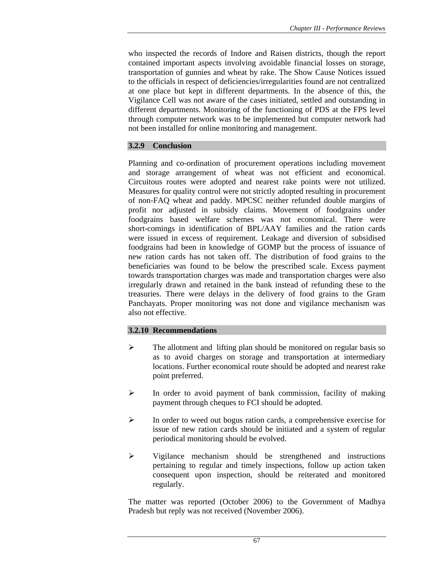who inspected the records of Indore and Raisen districts, though the report contained important aspects involving avoidable financial losses on storage, transportation of gunnies and wheat by rake. The Show Cause Notices issued to the officials in respect of deficiencies/irregularities found are not centralized at one place but kept in different departments. In the absence of this, the Vigilance Cell was not aware of the cases initiated, settled and outstanding in different departments. Monitoring of the functioning of PDS at the FPS level through computer network was to be implemented but computer network had not been installed for online monitoring and management.

## **3.2.9 Conclusion**

Planning and co-ordination of procurement operations including movement and storage arrangement of wheat was not efficient and economical. Circuitous routes were adopted and nearest rake points were not utilized. Measures for quality control were not strictly adopted resulting in procurement of non-FAQ wheat and paddy. MPCSC neither refunded double margins of profit nor adjusted in subsidy claims. Movement of foodgrains under foodgrains based welfare schemes was not economical. There were short-comings in identification of BPL/AAY families and the ration cards were issued in excess of requirement. Leakage and diversion of subsidised foodgrains had been in knowledge of GOMP but the process of issuance of new ration cards has not taken off. The distribution of food grains to the beneficiaries was found to be below the prescribed scale. Excess payment towards transportation charges was made and transportation charges were also irregularly drawn and retained in the bank instead of refunding these to the treasuries. There were delays in the delivery of food grains to the Gram Panchayats. Proper monitoring was not done and vigilance mechanism was also not effective.

# **3.2.10 Recommendations**

- $\triangleright$  The allotment and lifting plan should be monitored on regular basis so as to avoid charges on storage and transportation at intermediary locations. Further economical route should be adopted and nearest rake point preferred.
- $\triangleright$  In order to avoid payment of bank commission, facility of making payment through cheques to FCI should be adopted.
- $\triangleright$  In order to weed out bogus ration cards, a comprehensive exercise for issue of new ration cards should be initiated and a system of regular periodical monitoring should be evolved.
- $\triangleright$  Vigilance mechanism should be strengthened and instructions pertaining to regular and timely inspections, follow up action taken consequent upon inspection, should be reiterated and monitored regularly.

The matter was reported (October 2006) to the Government of Madhya Pradesh but reply was not received (November 2006).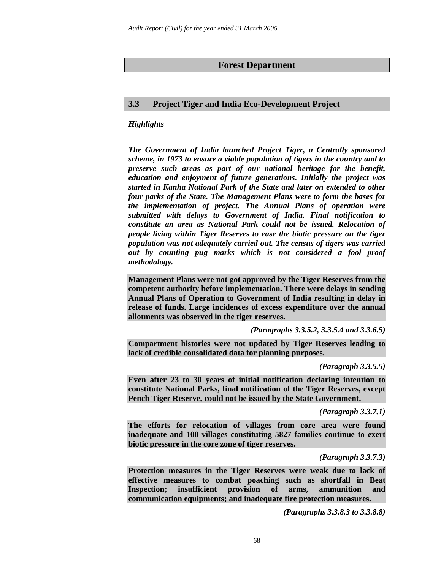# **Forest Department**

# **3.3 Project Tiger and India Eco-Development Project**

# *Highlights*

*The Government of India launched Project Tiger, a Centrally sponsored scheme, in 1973 to ensure a viable population of tigers in the country and to preserve such areas as part of our national heritage for the benefit, education and enjoyment of future generations. Initially the project was started in Kanha National Park of the State and later on extended to other four parks of the State. The Management Plans were to form the bases for the implementation of project. The Annual Plans of operation were submitted with delays to Government of India. Final notification to constitute an area as National Park could not be issued. Relocation of people living within Tiger Reserves to ease the biotic pressure on the tiger population was not adequately carried out. The census of tigers was carried out by counting pug marks which is not considered a fool proof methodology.* 

**Management Plans were not got approved by the Tiger Reserves from the competent authority before implementation. There were delays in sending Annual Plans of Operation to Government of India resulting in delay in release of funds. Large incidences of excess expenditure over the annual allotments was observed in the tiger reserves.** 

*(Paragraphs 3.3.5.2, 3.3.5.4 and 3.3.6.5)* 

**Compartment histories were not updated by Tiger Reserves leading to lack of credible consolidated data for planning purposes.** 

*(Paragraph 3.3.5.5)* 

**Even after 23 to 30 years of initial notification declaring intention to constitute National Parks, final notification of the Tiger Reserves, except Pench Tiger Reserve, could not be issued by the State Government.** 

*(Paragraph 3.3.7.1)* 

**The efforts for relocation of villages from core area were found inadequate and 100 villages constituting 5827 families continue to exert biotic pressure in the core zone of tiger reserves.** 

*(Paragraph 3.3.7.3)* 

**Protection measures in the Tiger Reserves were weak due to lack of effective measures to combat poaching such as shortfall in Beat Inspection; insufficient provision of arms, ammunition and communication equipments; and inadequate fire protection measures.** 

*(Paragraphs 3.3.8.3 to 3.3.8.8)*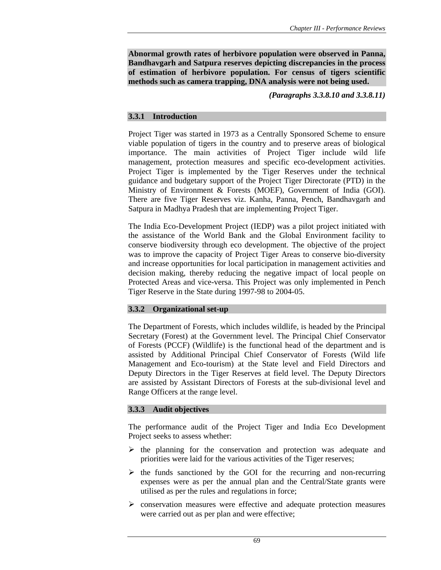**Abnormal growth rates of herbivore population were observed in Panna, Bandhavgarh and Satpura reserves depicting discrepancies in the process of estimation of herbivore population. For census of tigers scientific methods such as camera trapping, DNA analysis were not being used.** 

*(Paragraphs 3.3.8.10 and 3.3.8.11)* 

## **3.3.1 Introduction**

Project Tiger was started in 1973 as a Centrally Sponsored Scheme to ensure viable population of tigers in the country and to preserve areas of biological importance. The main activities of Project Tiger include wild life management, protection measures and specific eco-development activities. Project Tiger is implemented by the Tiger Reserves under the technical guidance and budgetary support of the Project Tiger Directorate (PTD) in the Ministry of Environment & Forests (MOEF), Government of India (GOI). There are five Tiger Reserves viz. Kanha, Panna, Pench, Bandhavgarh and Satpura in Madhya Pradesh that are implementing Project Tiger.

The India Eco-Development Project (IEDP) was a pilot project initiated with the assistance of the World Bank and the Global Environment facility to conserve biodiversity through eco development. The objective of the project was to improve the capacity of Project Tiger Areas to conserve bio-diversity and increase opportunities for local participation in management activities and decision making, thereby reducing the negative impact of local people on Protected Areas and vice-versa. This Project was only implemented in Pench Tiger Reserve in the State during 1997-98 to 2004-05.

## **3.3.2 Organizational set-up**

The Department of Forests, which includes wildlife, is headed by the Principal Secretary (Forest) at the Government level. The Principal Chief Conservator of Forests (PCCF) (Wildlife) is the functional head of the department and is assisted by Additional Principal Chief Conservator of Forests (Wild life Management and Eco-tourism) at the State level and Field Directors and Deputy Directors in the Tiger Reserves at field level. The Deputy Directors are assisted by Assistant Directors of Forests at the sub-divisional level and Range Officers at the range level.

## **3.3.3 Audit objectives**

The performance audit of the Project Tiger and India Eco Development Project seeks to assess whether:

- $\triangleright$  the planning for the conservation and protection was adequate and priorities were laid for the various activities of the Tiger reserves;
- $\triangleright$  the funds sanctioned by the GOI for the recurring and non-recurring expenses were as per the annual plan and the Central/State grants were utilised as per the rules and regulations in force;
- $\triangleright$  conservation measures were effective and adequate protection measures were carried out as per plan and were effective;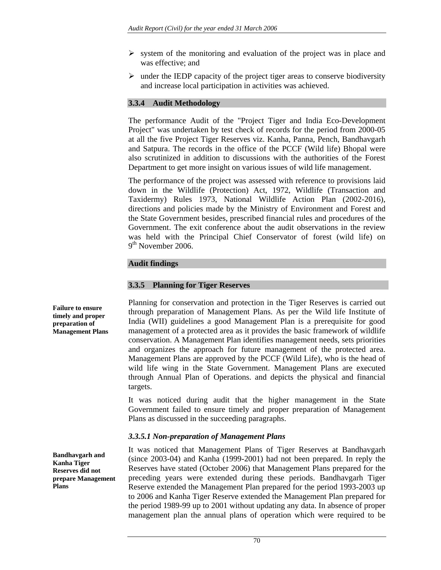- $\triangleright$  system of the monitoring and evaluation of the project was in place and was effective; and
- $\triangleright$  under the IEDP capacity of the project tiger areas to conserve biodiversity and increase local participation in activities was achieved.

## **3.3.4 Audit Methodology**

The performance Audit of the "Project Tiger and India Eco-Development Project" was undertaken by test check of records for the period from 2000-05 at all the five Project Tiger Reserves viz. Kanha, Panna, Pench, Bandhavgarh and Satpura. The records in the office of the PCCF (Wild life) Bhopal were also scrutinized in addition to discussions with the authorities of the Forest Department to get more insight on various issues of wild life management.

The performance of the project was assessed with reference to provisions laid down in the Wildlife (Protection) Act, 1972, Wildlife (Transaction and Taxidermy) Rules 1973, National Wildlife Action Plan (2002-2016), directions and policies made by the Ministry of Environment and Forest and the State Government besides, prescribed financial rules and procedures of the Government. The exit conference about the audit observations in the review was held with the Principal Chief Conservator of forest (wild life) on 9<sup>th</sup> November 2006.

## **Audit findings**

### **3.3.5 Planning for Tiger Reserves**

Planning for conservation and protection in the Tiger Reserves is carried out through preparation of Management Plans. As per the Wild life Institute of India (WII) guidelines a good Management Plan is a prerequisite for good management of a protected area as it provides the basic framework of wildlife conservation. A Management Plan identifies management needs, sets priorities and organizes the approach for future management of the protected area. Management Plans are approved by the PCCF (Wild Life), who is the head of wild life wing in the State Government. Management Plans are executed through Annual Plan of Operations. and depicts the physical and financial targets.

It was noticed during audit that the higher management in the State Government failed to ensure timely and proper preparation of Management Plans as discussed in the succeeding paragraphs.

## *3.3.5.1 Non-preparation of Management Plans*

It was noticed that Management Plans of Tiger Reserves at Bandhavgarh (since 2003-04) and Kanha (1999-2001) had not been prepared. In reply the Reserves have stated (October 2006) that Management Plans prepared for the preceding years were extended during these periods. Bandhavgarh Tiger Reserve extended the Management Plan prepared for the period 1993-2003 up to 2006 and Kanha Tiger Reserve extended the Management Plan prepared for the period 1989-99 up to 2001 without updating any data. In absence of proper management plan the annual plans of operation which were required to be

**Failure to ensure timely and proper preparation of Management Plans** 

**Bandhavgarh and Kanha Tiger Reserves did not prepare Management Plans**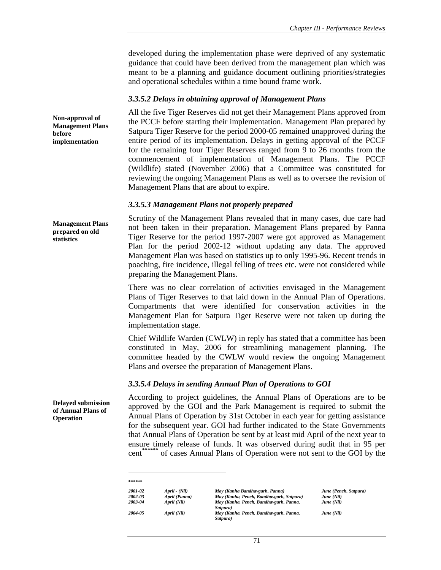developed during the implementation phase were deprived of any systematic guidance that could have been derived from the management plan which was meant to be a planning and guidance document outlining priorities/strategies and operational schedules within a time bound frame work.

#### *3.3.5.2 Delays in obtaining approval of Management Plans*

All the five Tiger Reserves did not get their Management Plans approved from the PCCF before starting their implementation. Management Plan prepared by Satpura Tiger Reserve for the period 2000-05 remained unapproved during the entire period of its implementation. Delays in getting approval of the PCCF for the remaining four Tiger Reserves ranged from 9 to 26 months from the commencement of implementation of Management Plans. The PCCF (Wildlife) stated (November 2006) that a Committee was constituted for reviewing the ongoing Management Plans as well as to oversee the revision of Management Plans that are about to expire.

#### *3.3.5.3 Management Plans not properly prepared*

**Management Plans prepared on old statistics** 

Scrutiny of the Management Plans revealed that in many cases, due care had not been taken in their preparation. Management Plans prepared by Panna Tiger Reserve for the period 1997-2007 were got approved as Management Plan for the period 2002-12 without updating any data. The approved Management Plan was based on statistics up to only 1995-96. Recent trends in poaching, fire incidence, illegal felling of trees etc. were not considered while preparing the Management Plans.

There was no clear correlation of activities envisaged in the Management Plans of Tiger Reserves to that laid down in the Annual Plan of Operations. Compartments that were identified for conservation activities in the Management Plan for Satpura Tiger Reserve were not taken up during the implementation stage.

Chief Wildlife Warden (CWLW) in reply has stated that a committee has been constituted in May, 2006 for streamlining management planning. The committee headed by the CWLW would review the ongoing Management Plans and oversee the preparation of Management Plans.

#### *3.3.5.4 Delays in sending Annual Plan of Operations to GOI*

According to project guidelines, the Annual Plans of Operations are to be approved by the GOI and the Park Management is required to submit the Annual Plans of Operation by 31st October in each year for getting assistance for the subsequent year. GOI had further indicated to the State Governments that Annual Plans of Operation be sent by at least mid April of the next year to ensure timely release of funds. It was observed during audit that in 95 per cent*\*\*\*\*\*\** of cases Annual Plans of Operation were not sent to the GOI by the

| ******  |               |                                                    |                       |
|---------|---------------|----------------------------------------------------|-----------------------|
| 2001-02 | April - (Nil) | May (Kanha Bandhavgarh, Panna)                     | June (Pench, Satpura) |
| 2002-03 | April (Panna) | May (Kanha, Pench, Bandhavgarh, Satpura)           | June (Nil)            |
| 2003-04 | April (Nil)   | May (Kanha, Pench, Bandhavgarh, Panna,<br>Satpura) | June (Nil)            |
| 2004-05 | April (Nil)   | May (Kanha, Pench, Bandhavgarh, Panna,<br>Satpura) | June (Nil)            |

**Non-approval of Management Plans** 

**implementation** 

**before** 

**Delayed submission of Annual Plans of Operation**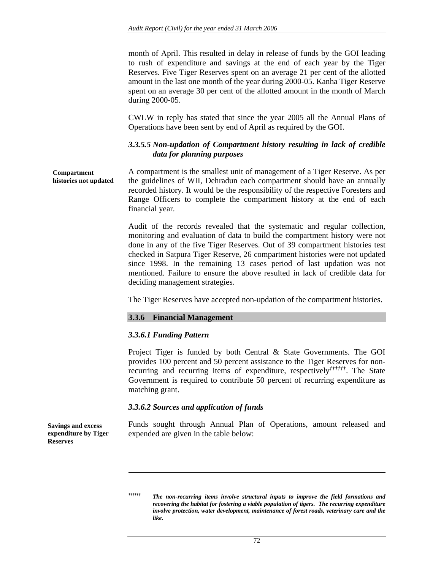month of April. This resulted in delay in release of funds by the GOI leading to rush of expenditure and savings at the end of each year by the Tiger Reserves. Five Tiger Reserves spent on an average 21 per cent of the allotted amount in the last one month of the year during 2000-05. Kanha Tiger Reserve spent on an average 30 per cent of the allotted amount in the month of March during 2000-05.

CWLW in reply has stated that since the year 2005 all the Annual Plans of Operations have been sent by end of April as required by the GOI.

## *3.3.5.5 Non-updation of Compartment history resulting in lack of credible data for planning purposes*

A compartment is the smallest unit of management of a Tiger Reserve. As per the guidelines of WII, Dehradun each compartment should have an annually recorded history. It would be the responsibility of the respective Foresters and Range Officers to complete the compartment history at the end of each financial year. **Compartment histories not updated** 

> Audit of the records revealed that the systematic and regular collection, monitoring and evaluation of data to build the compartment history were not done in any of the five Tiger Reserves. Out of 39 compartment histories test checked in Satpura Tiger Reserve, 26 compartment histories were not updated since 1998. In the remaining 13 cases period of last updation was not mentioned. Failure to ensure the above resulted in lack of credible data for deciding management strategies.

The Tiger Reserves have accepted non-updation of the compartment histories.

### **3.3.6 Financial Management**

### *3.3.6.1 Funding Pattern*

Project Tiger is funded by both Central & State Governments. The GOI provides 100 percent and 50 percent assistance to the Tiger Reserves for nonrecurring and recurring items of expenditure, respectively*††††††*. The State Government is required to contribute 50 percent of recurring expenditure as matching grant.

#### *3.3.6.2 Sources and application of funds*

Funds sought through Annual Plan of Operations, amount released and expended are given in the table below:

**Savings and excess expenditure by Tiger Reserves** 

*<sup>††††††</sup> The non-recurring items involve structural inputs to improve the field formations and recovering the habitat for fostering a viable population of tigers. The recurring expenditure involve protection, water development, maintenance of forest roads, veterinary care and the like.*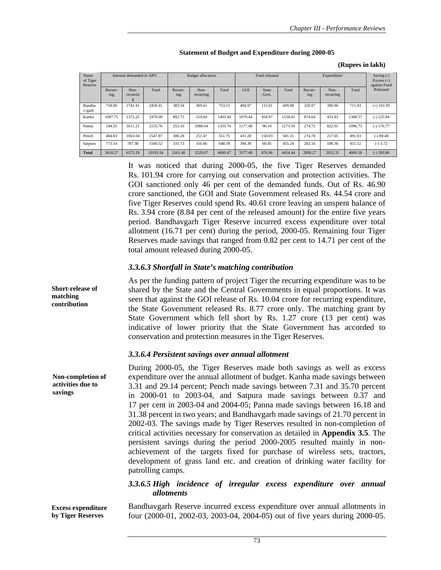|                             |                        |                       |                          |                    |                   |               |         |                       |             |                |                   | (Kupees III 18KII)                         |              |
|-----------------------------|------------------------|-----------------------|--------------------------|--------------------|-------------------|---------------|---------|-----------------------|-------------|----------------|-------------------|--------------------------------------------|--------------|
| Name<br>of Tiger<br>Reserve | Amount demanded in APO |                       | <b>Budget allocation</b> |                    |                   | Fund released |         |                       | Expenditure |                |                   | Saving (-)<br>Excess $(+)$<br>against Fund |              |
|                             | Recurr-<br>ing         | Non-<br>recurrin<br>g | Total                    | Recurr-<br>$\ln g$ | Non-<br>recurring | Total         | GOI     | <b>State</b><br>Govt. | Total       | Recurr-<br>ing | Non-<br>recurring | Total                                      | Released     |
| Bandha<br>v-garh            | 718.00                 | 1741.41               | 2459.41                  | 383.54             | 369.61            | 753.15        | 494.97  | 115.01                | 609.98      | 320.97         | 390.96            | 711.93                                     | $(+)$ 101.95 |
| Kanha                       | 1097.75                | 1372.25               | 2470.00                  | 892.75             | 510.69            | 1403.44       | 1079.44 | 454.97                | 1534.41     | 874.64         | 433.93            | 1308.57                                    | $(-)$ 225.84 |
| Panna                       | 544.55                 | 1611.21               | 2155.76                  | 253.10             | 1080.64           | 1333.74       | 1177.40 | 96.10                 | 1273.50     | 274.72         | 822.01            | 1096.73                                    | $(-) 176.77$ |
| Pench                       | 484.83                 | 1063.04               | 1547.87                  | 300.28             | 251.47            | 551.75        | 431.28  | 150.03                | 581.31      | 274.78         | 217.05            | 491.83                                     | $(-) 89.48$  |
| Satpura                     | 773.14                 | 787.38                | 1560.52                  | 331.73             | 316.66            | 648.39        | 394.39  | 60.85                 | 455.24      | 263.16         | 188.36            | 451.52                                     | $(-) 3.72$   |
| <b>Total</b>                | 3618.27                | 6575.29               | 10193.56                 | 2161.40            | 2529.07           | 4690.47       | 3577.48 | 876.96                | 4454.44     | 2008.27        | 2052.31           | 4060.58                                    | $(-)$ 393.86 |

#### **Statement of Budget and Expenditure during 2000-05**

### **(Rupees in lakh)**

It was noticed that during 2000-05, the five Tiger Reserves demanded Rs. 101.94 crore for carrying out conservation and protection activities. The GOI sanctioned only 46 per cent of the demanded funds. Out of Rs. 46.90 crore sanctioned, the GOI and State Government released Rs. 44.54 crore and five Tiger Reserves could spend Rs. 40.61 crore leaving an unspent balance of Rs. 3.94 crore (8.84 per cent of the released amount) for the entire five years period. Bandhavgarh Tiger Reserve incurred excess expenditure over total allotment (16.71 per cent) during the period, 2000-05. Remaining four Tiger Reserves made savings that ranged from 0.82 per cent to 14.71 per cent of the total amount released during 2000-05.

#### *3.3.6.3 Shortfall in State's matching contribution*

As per the funding pattern of project Tiger the recurring expenditure was to be shared by the State and the Central Governments in equal proportions. It was seen that against the GOI release of Rs. 10.04 crore for recurring expenditure, the State Government released Rs. 8.77 crore only. The matching grant by State Government which fell short by Rs. 1.27 crore (13 per cent) was indicative of lower priority that the State Government has accorded to conservation and protection measures in the Tiger Reserves.

#### *3.3.6.4 Persistent savings over annual allotment*

During 2000-05, the Tiger Reserves made both savings as well as excess expenditure over the annual allotment of budget. Kanha made savings between 3.31 and 29.14 percent; Pench made savings between 7.31 and 35.70 percent in 2000-01 to 2003-04, and Satpura made savings between 0.37 and 17 per cent in 2003-04 and 2004-05; Panna made savings between 16.18 and 31.38 percent in two years; and Bandhavgarh made savings of 21.70 percent in 2002-03. The savings made by Tiger Reserves resulted in non-completion of critical activities necessary for conservation as detailed in **Appendix 3.5**. The persistent savings during the period 2000-2005 resulted mainly in nonachievement of the targets fixed for purchase of wireless sets, tractors, development of grass land etc. and creation of drinking water facility for patrolling camps.

## *3.3.6.5 High incidence of irregular excess expenditure over annual allotments*

Bandhavgarh Reserve incurred excess expenditure over annual allotments in four (2000-01, 2002-03, 2003-04, 2004-05) out of five years during 2000-05.

**Non-completion of activities due to savings** 

**Excess expenditure by Tiger Reserves** 

**Short-release of matching contribution**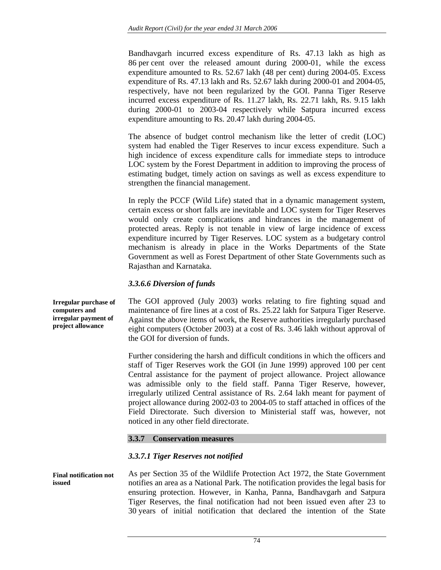Bandhavgarh incurred excess expenditure of Rs. 47.13 lakh as high as 86 per cent over the released amount during 2000-01, while the excess expenditure amounted to Rs. 52.67 lakh (48 per cent) during 2004-05. Excess expenditure of Rs. 47.13 lakh and Rs. 52.67 lakh during 2000-01 and 2004-05, respectively, have not been regularized by the GOI. Panna Tiger Reserve incurred excess expenditure of Rs. 11.27 lakh, Rs. 22.71 lakh, Rs. 9.15 lakh during 2000-01 to 2003-04 respectively while Satpura incurred excess expenditure amounting to Rs. 20.47 lakh during 2004-05.

The absence of budget control mechanism like the letter of credit (LOC) system had enabled the Tiger Reserves to incur excess expenditure. Such a high incidence of excess expenditure calls for immediate steps to introduce LOC system by the Forest Department in addition to improving the process of estimating budget, timely action on savings as well as excess expenditure to strengthen the financial management.

In reply the PCCF (Wild Life) stated that in a dynamic management system, certain excess or short falls are inevitable and LOC system for Tiger Reserves would only create complications and hindrances in the management of protected areas. Reply is not tenable in view of large incidence of excess expenditure incurred by Tiger Reserves. LOC system as a budgetary control mechanism is already in place in the Works Departments of the State Government as well as Forest Department of other State Governments such as Rajasthan and Karnataka.

## *3.3.6.6 Diversion of funds*

The GOI approved (July 2003) works relating to fire fighting squad and maintenance of fire lines at a cost of Rs. 25.22 lakh for Satpura Tiger Reserve. Against the above items of work, the Reserve authorities irregularly purchased eight computers (October 2003) at a cost of Rs. 3.46 lakh without approval of the GOI for diversion of funds.

Further considering the harsh and difficult conditions in which the officers and staff of Tiger Reserves work the GOI (in June 1999) approved 100 per cent Central assistance for the payment of project allowance. Project allowance was admissible only to the field staff. Panna Tiger Reserve, however, irregularly utilized Central assistance of Rs. 2.64 lakh meant for payment of project allowance during 2002-03 to 2004-05 to staff attached in offices of the Field Directorate. Such diversion to Ministerial staff was, however, not noticed in any other field directorate.

### **3.3.7 Conservation measures**

## *3.3.7.1 Tiger Reserves not notified*

As per Section 35 of the Wildlife Protection Act 1972, the State Government notifies an area as a National Park. The notification provides the legal basis for ensuring protection. However, in Kanha, Panna, Bandhavgarh and Satpura Tiger Reserves, the final notification had not been issued even after 23 to 30 years of initial notification that declared the intention of the State **Final notification not issued** 

**Irregular purchase of computers and irregular payment of project allowance**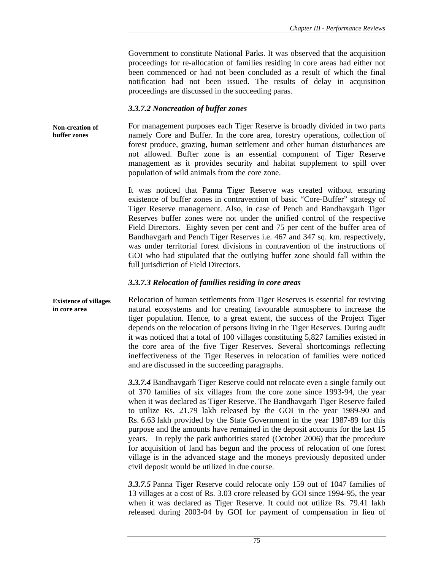Government to constitute National Parks. It was observed that the acquisition proceedings for re-allocation of families residing in core areas had either not been commenced or had not been concluded as a result of which the final notification had not been issued. The results of delay in acquisition proceedings are discussed in the succeeding paras.

#### *3.3.7.2 Noncreation of buffer zones*

For management purposes each Tiger Reserve is broadly divided in two parts namely Core and Buffer. In the core area, forestry operations, collection of forest produce, grazing, human settlement and other human disturbances are not allowed. Buffer zone is an essential component of Tiger Reserve management as it provides security and habitat supplement to spill over population of wild animals from the core zone. **Non-creation of buffer zones** 

> It was noticed that Panna Tiger Reserve was created without ensuring existence of buffer zones in contravention of basic "Core-Buffer" strategy of Tiger Reserve management. Also, in case of Pench and Bandhavgarh Tiger Reserves buffer zones were not under the unified control of the respective Field Directors. Eighty seven per cent and 75 per cent of the buffer area of Bandhavgarh and Pench Tiger Reserves i.e. 467 and 347 sq. km. respectively, was under territorial forest divisions in contravention of the instructions of GOI who had stipulated that the outlying buffer zone should fall within the full jurisdiction of Field Directors.

#### *3.3.7.3 Relocation of families residing in core areas*

Relocation of human settlements from Tiger Reserves is essential for reviving natural ecosystems and for creating favourable atmosphere to increase the tiger population. Hence, to a great extent, the success of the Project Tiger depends on the relocation of persons living in the Tiger Reserves. During audit it was noticed that a total of 100 villages constituting 5,827 families existed in the core area of the five Tiger Reserves. Several shortcomings reflecting ineffectiveness of the Tiger Reserves in relocation of families were noticed and are discussed in the succeeding paragraphs. **Existence of villages in core area** 

> *3.3.7.4* Bandhavgarh Tiger Reserve could not relocate even a single family out of 370 families of six villages from the core zone since 1993-94, the year when it was declared as Tiger Reserve. The Bandhavgarh Tiger Reserve failed to utilize Rs. 21.79 lakh released by the GOI in the year 1989-90 and Rs. 6.63 lakh provided by the State Government in the year 1987-89 for this purpose and the amounts have remained in the deposit accounts for the last 15 years. In reply the park authorities stated (October 2006) that the procedure for acquisition of land has begun and the process of relocation of one forest village is in the advanced stage and the moneys previously deposited under civil deposit would be utilized in due course.

> *3.3.7.5* Panna Tiger Reserve could relocate only 159 out of 1047 families of 13 villages at a cost of Rs. 3.03 crore released by GOI since 1994-95, the year when it was declared as Tiger Reserve. It could not utilize Rs. 79.41 lakh released during 2003-04 by GOI for payment of compensation in lieu of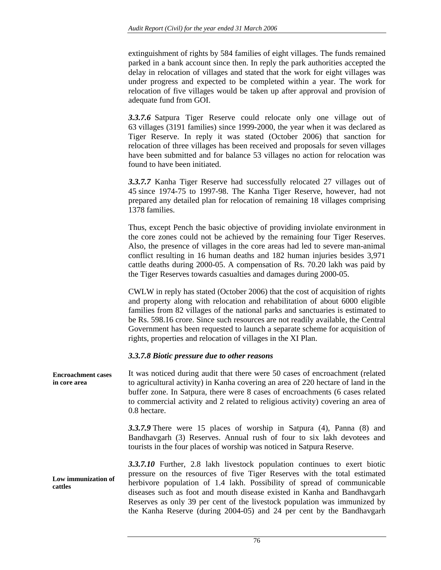extinguishment of rights by 584 families of eight villages. The funds remained parked in a bank account since then. In reply the park authorities accepted the delay in relocation of villages and stated that the work for eight villages was under progress and expected to be completed within a year. The work for relocation of five villages would be taken up after approval and provision of adequate fund from GOI.

*3.3.7.6* Satpura Tiger Reserve could relocate only one village out of 63 villages (3191 families) since 1999-2000, the year when it was declared as Tiger Reserve. In reply it was stated (October 2006) that sanction for relocation of three villages has been received and proposals for seven villages have been submitted and for balance 53 villages no action for relocation was found to have been initiated.

*3.3.7.7* Kanha Tiger Reserve had successfully relocated 27 villages out of 45 since 1974-75 to 1997-98. The Kanha Tiger Reserve, however, had not prepared any detailed plan for relocation of remaining 18 villages comprising 1378 families.

Thus, except Pench the basic objective of providing inviolate environment in the core zones could not be achieved by the remaining four Tiger Reserves. Also, the presence of villages in the core areas had led to severe man-animal conflict resulting in 16 human deaths and 182 human injuries besides 3,971 cattle deaths during 2000-05. A compensation of Rs. 70.20 lakh was paid by the Tiger Reserves towards casualties and damages during 2000-05.

CWLW in reply has stated (October 2006) that the cost of acquisition of rights and property along with relocation and rehabilitation of about 6000 eligible families from 82 villages of the national parks and sanctuaries is estimated to be Rs. 598.16 crore. Since such resources are not readily available, the Central Government has been requested to launch a separate scheme for acquisition of rights, properties and relocation of villages in the XI Plan.

## *3.3.7.8 Biotic pressure due to other reasons*

It was noticed during audit that there were 50 cases of encroachment (related to agricultural activity) in Kanha covering an area of 220 hectare of land in the buffer zone. In Satpura, there were 8 cases of encroachments (6 cases related to commercial activity and 2 related to religious activity) covering an area of 0.8 hectare. *3.3.7.9* There were 15 places of worship in Satpura (4), Panna (8) and Bandhavgarh (3) Reserves. Annual rush of four to six lakh devotees and tourists in the four places of worship was noticed in Satpura Reserve. **Encroachment cases in core area** 

*3.3.7.10* Further, 2.8 lakh livestock population continues to exert biotic pressure on the resources of five Tiger Reserves with the total estimated herbivore population of 1.4 lakh. Possibility of spread of communicable diseases such as foot and mouth disease existed in Kanha and Bandhavgarh Reserves as only 39 per cent of the livestock population was immunized by the Kanha Reserve (during 2004-05) and 24 per cent by the Bandhavgarh **Low immunization of cattles**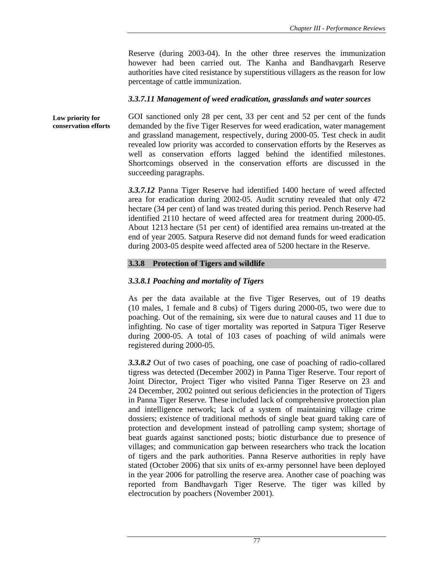Reserve (during 2003-04). In the other three reserves the immunization however had been carried out. The Kanha and Bandhavgarh Reserve authorities have cited resistance by superstitious villagers as the reason for low percentage of cattle immunization.

## *3.3.7.11 Management of weed eradication, grasslands and water sources*

GOI sanctioned only 28 per cent, 33 per cent and 52 per cent of the funds demanded by the five Tiger Reserves for weed eradication, water management and grassland management, respectively, during 2000-05. Test check in audit revealed low priority was accorded to conservation efforts by the Reserves as well as conservation efforts lagged behind the identified milestones. Shortcomings observed in the conservation efforts are discussed in the succeeding paragraphs. **Low priority for conservation efforts** 

> *3.3.7.12* Panna Tiger Reserve had identified 1400 hectare of weed affected area for eradication during 2002-05. Audit scrutiny revealed that only 472 hectare (34 per cent) of land was treated during this period. Pench Reserve had identified 2110 hectare of weed affected area for treatment during 2000-05. About 1213 hectare (51 per cent) of identified area remains un-treated at the end of year 2005. Satpura Reserve did not demand funds for weed eradication during 2003-05 despite weed affected area of 5200 hectare in the Reserve.

## **3.3.8 Protection of Tigers and wildlife**

## *3.3.8.1 Poaching and mortality of Tigers*

As per the data available at the five Tiger Reserves, out of 19 deaths (10 males, 1 female and 8 cubs) of Tigers during 2000-05, two were due to poaching. Out of the remaining, six were due to natural causes and 11 due to infighting. No case of tiger mortality was reported in Satpura Tiger Reserve during 2000-05. A total of 103 cases of poaching of wild animals were registered during 2000-05.

*3.3.8.2* Out of two cases of poaching, one case of poaching of radio-collared tigress was detected (December 2002) in Panna Tiger Reserve. Tour report of Joint Director, Project Tiger who visited Panna Tiger Reserve on 23 and 24 December, 2002 pointed out serious deficiencies in the protection of Tigers in Panna Tiger Reserve. These included lack of comprehensive protection plan and intelligence network; lack of a system of maintaining village crime dossiers; existence of traditional methods of single beat guard taking care of protection and development instead of patrolling camp system; shortage of beat guards against sanctioned posts; biotic disturbance due to presence of villages; and communication gap between researchers who track the location of tigers and the park authorities. Panna Reserve authorities in reply have stated (October 2006) that six units of ex-army personnel have been deployed in the year 2006 for patrolling the reserve area. Another case of poaching was reported from Bandhavgarh Tiger Reserve. The tiger was killed by electrocution by poachers (November 2001).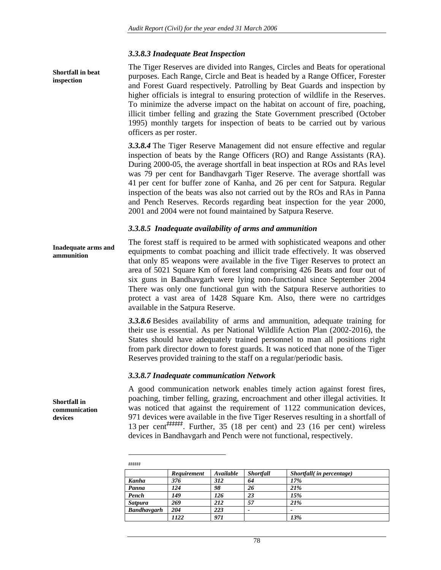#### *3.3.8.3 Inadequate Beat Inspection*

The Tiger Reserves are divided into Ranges, Circles and Beats for operational purposes. Each Range, Circle and Beat is headed by a Range Officer, Forester and Forest Guard respectively. Patrolling by Beat Guards and inspection by higher officials is integral to ensuring protection of wildlife in the Reserves. To minimize the adverse impact on the habitat on account of fire, poaching, illicit timber felling and grazing the State Government prescribed (October 1995) monthly targets for inspection of beats to be carried out by various officers as per roster.

*3.3.8.4* The Tiger Reserve Management did not ensure effective and regular inspection of beats by the Range Officers (RO) and Range Assistants (RA). During 2000-05, the average shortfall in beat inspection at ROs and RAs level was 79 per cent for Bandhavgarh Tiger Reserve. The average shortfall was 41 per cent for buffer zone of Kanha, and 26 per cent for Satpura. Regular inspection of the beats was also not carried out by the ROs and RAs in Panna and Pench Reserves. Records regarding beat inspection for the year 2000, 2001 and 2004 were not found maintained by Satpura Reserve.

#### *3.3.8.5 Inadequate availability of arms and ammunition*

The forest staff is required to be armed with sophisticated weapons and other equipments to combat poaching and illicit trade effectively. It was observed that only 85 weapons were available in the five Tiger Reserves to protect an area of 5021 Square Km of forest land comprising 426 Beats and four out of six guns in Bandhavgarh were lying non-functional since September 2004 There was only one functional gun with the Satpura Reserve authorities to protect a vast area of 1428 Square Km. Also, there were no cartridges available in the Satpura Reserve. **Inadequate arms and ammunition** 

> *3.3.8.6* Besides availability of arms and ammunition, adequate training for their use is essential. As per National Wildlife Action Plan (2002-2016), the States should have adequately trained personnel to man all positions right from park director down to forest guards. It was noticed that none of the Tiger Reserves provided training to the staff on a regular/periodic basis.

### *3.3.8.7 Inadequate communication Network*

A good communication network enables timely action against forest fires, poaching, timber felling, grazing, encroachment and other illegal activities. It was noticed that against the requirement of 1122 communication devices, 971 devices were available in the five Tiger Reserves resulting in a shortfall of 13 per cent*‡‡‡‡‡‡*. Further, 35 (18 per cent) and 23 (16 per cent) wireless devices in Bandhavgarh and Pench were not functional, respectively.

| ++++++         |             |           |                  |                          |
|----------------|-------------|-----------|------------------|--------------------------|
|                | Requirement | Available | <b>Shortfall</b> | Shortfall(in percentage) |
| Kanha          | 376         | 312       | 64               | 17%                      |
| Panna          | 124         | 98        | 26               | 21%                      |
| Pench          | 149         | 126       | 23               | 15%                      |
| <b>Satpura</b> | 269         | 212       | 57               | 21%                      |
| Bandhavgarh    | 204         | 223       |                  |                          |
|                | 1122        | 971       |                  | 13%                      |

**Shortfall in communication devices** 

**Shortfall in beat inspection** 

> $\overline{a}$ *‡‡‡‡‡‡*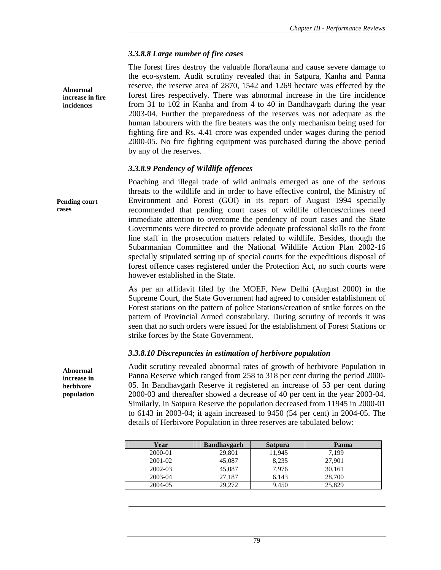### *3.3.8.8 Large number of fire cases*

The forest fires destroy the valuable flora/fauna and cause severe damage to the eco-system. Audit scrutiny revealed that in Satpura, Kanha and Panna reserve, the reserve area of 2870, 1542 and 1269 hectare was effected by the forest fires respectively. There was abnormal increase in the fire incidence from 31 to 102 in Kanha and from 4 to 40 in Bandhavgarh during the year 2003-04. Further the preparedness of the reserves was not adequate as the human labourers with the fire beaters was the only mechanism being used for fighting fire and Rs. 4.41 crore was expended under wages during the period 2000-05. No fire fighting equipment was purchased during the above period by any of the reserves.

### *3.3.8.9 Pendency of Wildlife offences*

Poaching and illegal trade of wild animals emerged as one of the serious threats to the wildlife and in order to have effective control, the Ministry of Environment and Forest (GOI) in its report of August 1994 specially recommended that pending court cases of wildlife offences/crimes need immediate attention to overcome the pendency of court cases and the State Governments were directed to provide adequate professional skills to the front line staff in the prosecution matters related to wildlife. Besides, though the Subarmanian Committee and the National Wildlife Action Plan 2002-16 specially stipulated setting up of special courts for the expeditious disposal of forest offence cases registered under the Protection Act, no such courts were however established in the State. **Pending court** 

> As per an affidavit filed by the MOEF, New Delhi (August 2000) in the Supreme Court, the State Government had agreed to consider establishment of Forest stations on the pattern of police Stations/creation of strike forces on the pattern of Provincial Armed constabulary. During scrutiny of records it was seen that no such orders were issued for the establishment of Forest Stations or strike forces by the State Government.

## *3.3.8.10 Discrepancies in estimation of herbivore population*

Audit scrutiny revealed abnormal rates of growth of herbivore Population in Panna Reserve which ranged from 258 to 318 per cent during the period 2000- 05. In Bandhavgarh Reserve it registered an increase of 53 per cent during 2000-03 and thereafter showed a decrease of 40 per cent in the year 2003-04. Similarly, in Satpura Reserve the population decreased from 11945 in 2000-01 to 6143 in 2003-04; it again increased to 9450 (54 per cent) in 2004-05. The details of Herbivore Population in three reserves are tabulated below:

| Year    | <b>Bandhavgarh</b> | <b>Satpura</b> | Panna  |
|---------|--------------------|----------------|--------|
| 2000-01 | 29,801             | 11.945         | 7.199  |
| 2001-02 | 45,087             | 8.235          | 27,901 |
| 2002-03 | 45,087             | 7.976          | 30.161 |
| 2003-04 | 27,187             | 6.143          | 28,700 |
| 2004-05 | 29,272             | 9.450          | 25,829 |

**Abnormal increase in herbivore population** 

**Abnormal increase in fire incidences** 

**cases**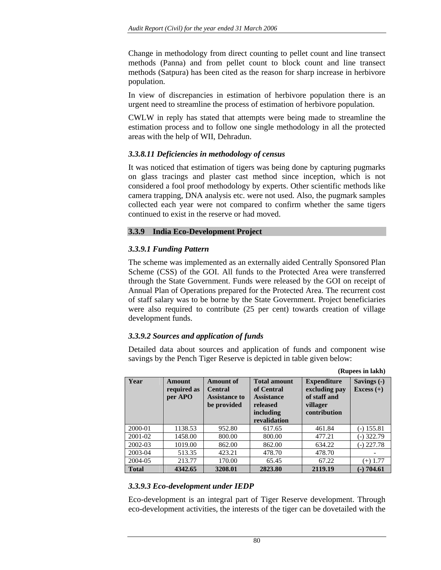Change in methodology from direct counting to pellet count and line transect methods (Panna) and from pellet count to block count and line transect methods (Satpura) has been cited as the reason for sharp increase in herbivore population.

In view of discrepancies in estimation of herbivore population there is an urgent need to streamline the process of estimation of herbivore population.

CWLW in reply has stated that attempts were being made to streamline the estimation process and to follow one single methodology in all the protected areas with the help of WII, Dehradun.

## *3.3.8.11 Deficiencies in methodology of census*

It was noticed that estimation of tigers was being done by capturing pugmarks on glass tracings and plaster cast method since inception, which is not considered a fool proof methodology by experts. Other scientific methods like camera trapping, DNA analysis etc. were not used. Also, the pugmark samples collected each year were not compared to confirm whether the same tigers continued to exist in the reserve or had moved.

### **3.3.9 India Eco-Development Project**

## *3.3.9.1 Funding Pattern*

The scheme was implemented as an externally aided Centrally Sponsored Plan Scheme (CSS) of the GOI. All funds to the Protected Area were transferred through the State Government. Funds were released by the GOI on receipt of Annual Plan of Operations prepared for the Protected Area. The recurrent cost of staff salary was to be borne by the State Government. Project beneficiaries were also required to contribute (25 per cent) towards creation of village development funds.

## *3.3.9.2 Sources and application of funds*

Detailed data about sources and application of funds and component wise savings by the Pench Tiger Reserve is depicted in table given below:

**(Rupees in lakh)** 

| Year         | Amount<br>required as<br>per APO | <b>Amount of</b><br><b>Central</b><br><b>Assistance to</b><br>be provided | <b>Total amount</b><br>of Central<br><b>Assistance</b><br>released<br>including<br>revalidation | <b>Expenditure</b><br>excluding pay<br>of staff and<br>villager<br>contribution | Savings (-)<br>Excess $(+)$ |
|--------------|----------------------------------|---------------------------------------------------------------------------|-------------------------------------------------------------------------------------------------|---------------------------------------------------------------------------------|-----------------------------|
| 2000-01      | 1138.53                          | 952.80                                                                    | 617.65                                                                                          | 461.84                                                                          | $(-)$ 155.81                |
| 2001-02      | 1458.00                          | 800.00                                                                    | 800.00                                                                                          | 477.21                                                                          | (-) 322.79                  |
| 2002-03      | 1019.00                          | 862.00                                                                    | 862.00                                                                                          | 634.22                                                                          | $(-)$ 227.78                |
| 2003-04      | 513.35                           | 423.21                                                                    | 478.70                                                                                          | 478.70                                                                          |                             |
| 2004-05      | 213.77                           | 170.00                                                                    | 65.45                                                                                           | 67.22                                                                           | $(+)$ 1.77                  |
| <b>Total</b> | 4342.65                          | 3208.01                                                                   | 2823.80                                                                                         | 2119.19                                                                         | $-)$ 704.61                 |

## *3.3.9.3 Eco-development under IEDP*

Eco-development is an integral part of Tiger Reserve development. Through eco-development activities, the interests of the tiger can be dovetailed with the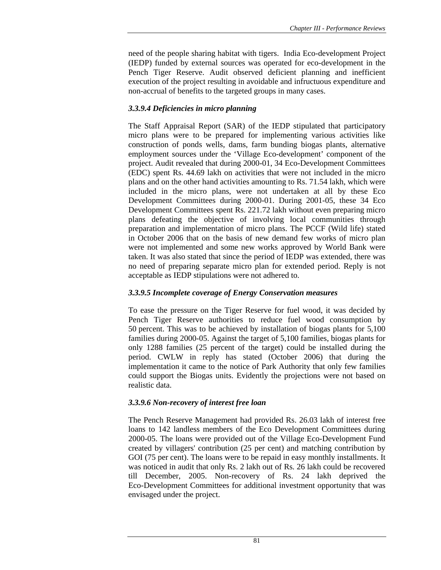need of the people sharing habitat with tigers. India Eco-development Project (IEDP) funded by external sources was operated for eco-development in the Pench Tiger Reserve. Audit observed deficient planning and inefficient execution of the project resulting in avoidable and infructuous expenditure and non-accrual of benefits to the targeted groups in many cases.

# *3.3.9.4 Deficiencies in micro planning*

The Staff Appraisal Report (SAR) of the IEDP stipulated that participatory micro plans were to be prepared for implementing various activities like construction of ponds wells, dams, farm bunding biogas plants, alternative employment sources under the 'Village Eco-development' component of the project. Audit revealed that during 2000-01, 34 Eco-Development Committees (EDC) spent Rs. 44.69 lakh on activities that were not included in the micro plans and on the other hand activities amounting to Rs. 71.54 lakh, which were included in the micro plans, were not undertaken at all by these Eco Development Committees during 2000-01. During 2001-05, these 34 Eco Development Committees spent Rs. 221.72 lakh without even preparing micro plans defeating the objective of involving local communities through preparation and implementation of micro plans. The PCCF (Wild life) stated in October 2006 that on the basis of new demand few works of micro plan were not implemented and some new works approved by World Bank were taken. It was also stated that since the period of IEDP was extended, there was no need of preparing separate micro plan for extended period. Reply is not acceptable as IEDP stipulations were not adhered to.

# *3.3.9.5 Incomplete coverage of Energy Conservation measures*

To ease the pressure on the Tiger Reserve for fuel wood, it was decided by Pench Tiger Reserve authorities to reduce fuel wood consumption by 50 percent. This was to be achieved by installation of biogas plants for 5,100 families during 2000-05. Against the target of 5,100 families, biogas plants for only 1288 families (25 percent of the target) could be installed during the period. CWLW in reply has stated (October 2006) that during the implementation it came to the notice of Park Authority that only few families could support the Biogas units. Evidently the projections were not based on realistic data.

# *3.3.9.6 Non-recovery of interest free loan*

The Pench Reserve Management had provided Rs. 26.03 lakh of interest free loans to 142 landless members of the Eco Development Committees during 2000-05. The loans were provided out of the Village Eco-Development Fund created by villagers' contribution (25 per cent) and matching contribution by GOI (75 per cent). The loans were to be repaid in easy monthly installments. It was noticed in audit that only Rs. 2 lakh out of Rs. 26 lakh could be recovered till December, 2005. Non-recovery of Rs. 24 lakh deprived the Eco-Development Committees for additional investment opportunity that was envisaged under the project.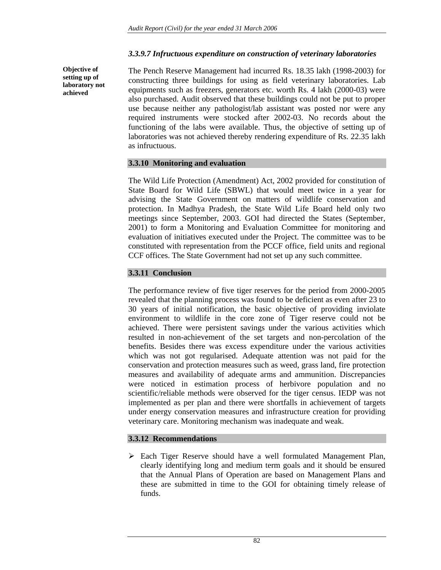## *3.3.9.7 Infructuous expenditure on construction of veterinary laboratories*

**Objective of setting up of laboratory not achieved** 

The Pench Reserve Management had incurred Rs. 18.35 lakh (1998-2003) for constructing three buildings for using as field veterinary laboratories. Lab equipments such as freezers, generators etc. worth Rs. 4 lakh (2000-03) were also purchased. Audit observed that these buildings could not be put to proper use because neither any pathologist/lab assistant was posted nor were any required instruments were stocked after 2002-03. No records about the functioning of the labs were available. Thus, the objective of setting up of laboratories was not achieved thereby rendering expenditure of Rs. 22.35 lakh as infructuous.

# **3.3.10 Monitoring and evaluation**

The Wild Life Protection (Amendment) Act, 2002 provided for constitution of State Board for Wild Life (SBWL) that would meet twice in a year for advising the State Government on matters of wildlife conservation and protection. In Madhya Pradesh, the State Wild Life Board held only two meetings since September, 2003. GOI had directed the States (September, 2001) to form a Monitoring and Evaluation Committee for monitoring and evaluation of initiatives executed under the Project. The committee was to be constituted with representation from the PCCF office, field units and regional CCF offices. The State Government had not set up any such committee.

# **3.3.11 Conclusion**

The performance review of five tiger reserves for the period from 2000-2005 revealed that the planning process was found to be deficient as even after 23 to 30 years of initial notification, the basic objective of providing inviolate environment to wildlife in the core zone of Tiger reserve could not be achieved. There were persistent savings under the various activities which resulted in non-achievement of the set targets and non-percolation of the benefits. Besides there was excess expenditure under the various activities which was not got regularised. Adequate attention was not paid for the conservation and protection measures such as weed, grass land, fire protection measures and availability of adequate arms and ammunition. Discrepancies were noticed in estimation process of herbivore population and no scientific/reliable methods were observed for the tiger census. IEDP was not implemented as per plan and there were shortfalls in achievement of targets under energy conservation measures and infrastructure creation for providing veterinary care. Monitoring mechanism was inadequate and weak.

# **3.3.12 Recommendations**

 $\triangleright$  Each Tiger Reserve should have a well formulated Management Plan, clearly identifying long and medium term goals and it should be ensured that the Annual Plans of Operation are based on Management Plans and these are submitted in time to the GOI for obtaining timely release of funds.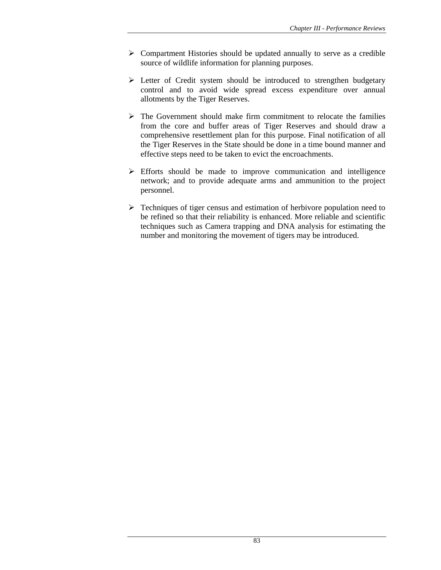- $\triangleright$  Compartment Histories should be updated annually to serve as a credible source of wildlife information for planning purposes.
- ¾ Letter of Credit system should be introduced to strengthen budgetary control and to avoid wide spread excess expenditure over annual allotments by the Tiger Reserves.
- $\triangleright$  The Government should make firm commitment to relocate the families from the core and buffer areas of Tiger Reserves and should draw a comprehensive resettlement plan for this purpose. Final notification of all the Tiger Reserves in the State should be done in a time bound manner and effective steps need to be taken to evict the encroachments.
- $\triangleright$  Efforts should be made to improve communication and intelligence network; and to provide adequate arms and ammunition to the project personnel.
- $\triangleright$  Techniques of tiger census and estimation of herbivore population need to be refined so that their reliability is enhanced. More reliable and scientific techniques such as Camera trapping and DNA analysis for estimating the number and monitoring the movement of tigers may be introduced.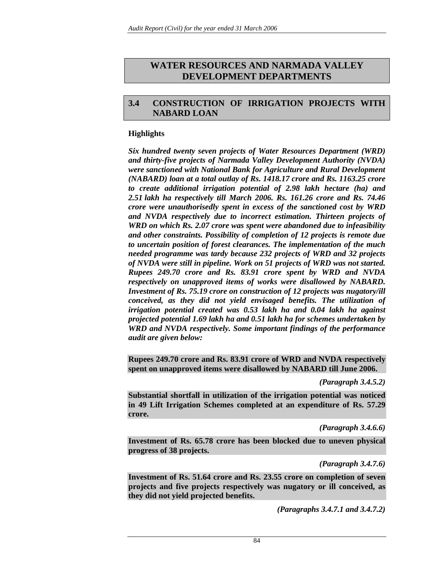# **WATER RESOURCES AND NARMADA VALLEY DEVELOPMENT DEPARTMENTS**

# **3.4 CONSTRUCTION OF IRRIGATION PROJECTS WITH NABARD LOAN**

## **Highlights**

*Six hundred twenty seven projects of Water Resources Department (WRD) and thirty-five projects of Narmada Valley Development Authority (NVDA) were sanctioned with National Bank for Agriculture and Rural Development (NABARD) loan at a total outlay of Rs. 1418.17 crore and Rs. 1163.25 crore to create additional irrigation potential of 2.98 lakh hectare (ha) and 2.51 lakh ha respectively till March 2006. Rs. 161.26 crore and Rs. 74.46 crore were unauthorisedly spent in excess of the sanctioned cost by WRD and NVDA respectively due to incorrect estimation. Thirteen projects of WRD on which Rs. 2.07 crore was spent were abandoned due to infeasibility and other constraints. Possibility of completion of 12 projects is remote due to uncertain position of forest clearances. The implementation of the much needed programme was tardy because 232 projects of WRD and 32 projects of NVDA were still in pipeline. Work on 51 projects of WRD was not started. Rupees 249.70 crore and Rs. 83.91 crore spent by WRD and NVDA respectively on unapproved items of works were disallowed by NABARD. Investment of Rs. 75.19 crore on construction of 12 projects was nugatory/ill conceived, as they did not yield envisaged benefits. The utilization of irrigation potential created was 0.53 lakh ha and 0.04 lakh ha against projected potential 1.69 lakh ha and 0.51 lakh ha for schemes undertaken by WRD and NVDA respectively. Some important findings of the performance audit are given below:* 

**Rupees 249.70 crore and Rs. 83.91 crore of WRD and NVDA respectively spent on unapproved items were disallowed by NABARD till June 2006.** 

*(Paragraph 3.4.5.2)* 

**Substantial shortfall in utilization of the irrigation potential was noticed in 49 Lift Irrigation Schemes completed at an expenditure of Rs. 57.29 crore.** 

*(Paragraph 3.4.6.6)* 

**Investment of Rs. 65.78 crore has been blocked due to uneven physical progress of 38 projects.** 

*(Paragraph 3.4.7.6)* 

**Investment of Rs. 51.64 crore and Rs. 23.55 crore on completion of seven projects and five projects respectively was nugatory or ill conceived, as they did not yield projected benefits.** 

*(Paragraphs 3.4.7.1 and 3.4.7.2)*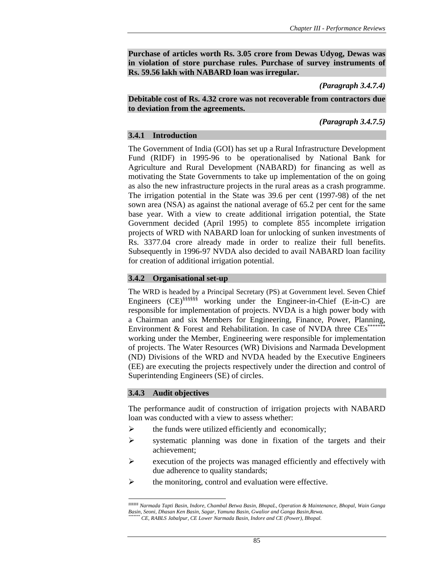**Purchase of articles worth Rs. 3.05 crore from Dewas Udyog, Dewas was in violation of store purchase rules. Purchase of survey instruments of Rs. 59.56 lakh with NABARD loan was irregular.** 

### *(Paragraph 3.4.7.4)*

**Debitable cost of Rs. 4.32 crore was not recoverable from contractors due to deviation from the agreements.** 

*(Paragraph 3.4.7.5)* 

### **3.4.1 Introduction**

The Government of India (GOI) has set up a Rural Infrastructure Development Fund (RIDF) in 1995-96 to be operationalised by National Bank for Agriculture and Rural Development (NABARD) for financing as well as motivating the State Governments to take up implementation of the on going as also the new infrastructure projects in the rural areas as a crash programme. The irrigation potential in the State was 39.6 per cent (1997-98) of the net sown area (NSA) as against the national average of 65.2 per cent for the same base year. With a view to create additional irrigation potential, the State Government decided (April 1995) to complete 855 incomplete irrigation projects of WRD with NABARD loan for unlocking of sunken investments of Rs. 3377.04 crore already made in order to realize their full benefits. Subsequently in 1996-97 NVDA also decided to avail NABARD loan facility for creation of additional irrigation potential.

### **3.4.2 Organisational set-up**

The WRD is headed by a Principal Secretary (PS) at Government level. Seven Chief Engineers (CE)§§§§§§ working under the Engineer-in-Chief (E-in-C) are responsible for implementation of projects. NVDA is a high power body with a Chairman and six Members for Engineering, Finance, Power, Planning, Environment  $&$  Forest and Rehabilitation. In case of NVDA three  $\text{CEs}^{**}$ working under the Member, Engineering were responsible for implementation of projects. The Water Resources (WR) Divisions and Narmada Development (ND) Divisions of the WRD and NVDA headed by the Executive Engineers (EE) are executing the projects respectively under the direction and control of Superintending Engineers (SE) of circles.

## **3.4.3 Audit objectives**

 $\overline{\phantom{a}}$ 

The performance audit of construction of irrigation projects with NABARD loan was conducted with a view to assess whether:

- $\triangleright$  the funds were utilized efficiently and economically;
- $\triangleright$  systematic planning was done in fixation of the targets and their achievement;
- $\triangleright$  execution of the projects was managed efficiently and effectively with due adherence to quality standards;
- $\triangleright$  the monitoring, control and evaluation were effective.

*<sup>§§§§§§</sup> Narmada Tapti Basin, Indore, Chambal Betwa Basin, BhopaL, Operation & Maintenance, Bhopal, Wain Ganga Basin, Seoni, Dhasan Ken Basin, Sagar, Yamuna Basin, Gwalior and Ganga Basin,Rewa. \*\*\*\*\*\*\* CE, RABLS Jabalpur, CE Lower Narmada Basin, Indore and CE (Power), Bhopal.*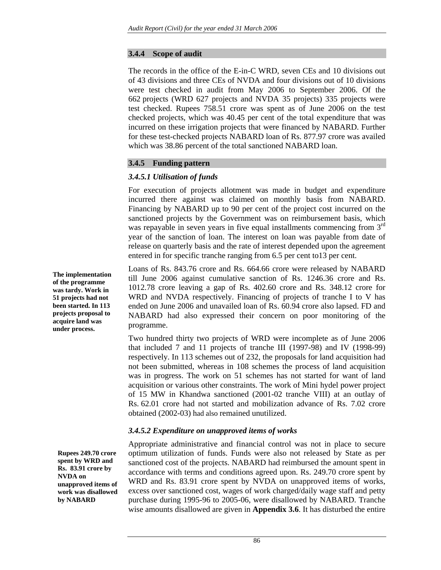### **3.4.4 Scope of audit**

The records in the office of the E-in-C WRD, seven CEs and 10 divisions out of 43 divisions and three CEs of NVDA and four divisions out of 10 divisions were test checked in audit from May 2006 to September 2006. Of the 662 projects (WRD 627 projects and NVDA 35 projects) 335 projects were test checked. Rupees 758.51 crore was spent as of June 2006 on the test checked projects, which was 40.45 per cent of the total expenditure that was incurred on these irrigation projects that were financed by NABARD. Further for these test-checked projects NABARD loan of Rs. 877.97 crore was availed which was 38.86 percent of the total sanctioned NABARD loan.

## **3.4.5 Funding pattern**

# *3.4.5.1 Utilisation of funds*

For execution of projects allotment was made in budget and expenditure incurred there against was claimed on monthly basis from NABARD. Financing by NABARD up to 90 per cent of the project cost incurred on the sanctioned projects by the Government was on reimbursement basis, which was repayable in seven years in five equal installments commencing from 3<sup>rd</sup> year of the sanction of loan. The interest on loan was payable from date of release on quarterly basis and the rate of interest depended upon the agreement entered in for specific tranche ranging from 6.5 per cent to13 per cent.

Loans of Rs. 843.76 crore and Rs. 664.66 crore were released by NABARD till June 2006 against cumulative sanction of Rs. 1246.36 crore and Rs. 1012.78 crore leaving a gap of Rs. 402.60 crore and Rs. 348.12 crore for WRD and NVDA respectively. Financing of projects of tranche I to V has ended on June 2006 and unavailed loan of Rs. 60.94 crore also lapsed. FD and NABARD had also expressed their concern on poor monitoring of the programme.

Two hundred thirty two projects of WRD were incomplete as of June 2006 that included 7 and 11 projects of tranche III (1997-98) and IV (1998-99) respectively. In 113 schemes out of 232, the proposals for land acquisition had not been submitted, whereas in 108 schemes the process of land acquisition was in progress. The work on 51 schemes has not started for want of land acquisition or various other constraints. The work of Mini hydel power project of 15 MW in Khandwa sanctioned (2001-02 tranche VIII) at an outlay of Rs. 62.01 crore had not started and mobilization advance of Rs. 7.02 crore obtained (2002-03) had also remained unutilized.

# *3.4.5.2 Expenditure on unapproved items of works*

Appropriate administrative and financial control was not in place to secure optimum utilization of funds. Funds were also not released by State as per sanctioned cost of the projects. NABARD had reimbursed the amount spent in accordance with terms and conditions agreed upon. Rs. 249.70 crore spent by WRD and Rs. 83.91 crore spent by NVDA on unapproved items of works, excess over sanctioned cost, wages of work charged/daily wage staff and petty purchase during 1995-96 to 2005-06, were disallowed by NABARD. Tranche wise amounts disallowed are given in **Appendix 3.6**. It has disturbed the entire

**The implementation of the programme was tardy. Work in 51 projects had not been started. In 113 projects proposal to acquire land was under process.** 

**Rupees 249.70 crore spent by WRD and Rs. 83.91 crore by NVDA on unapproved items of work was disallowed by NABARD**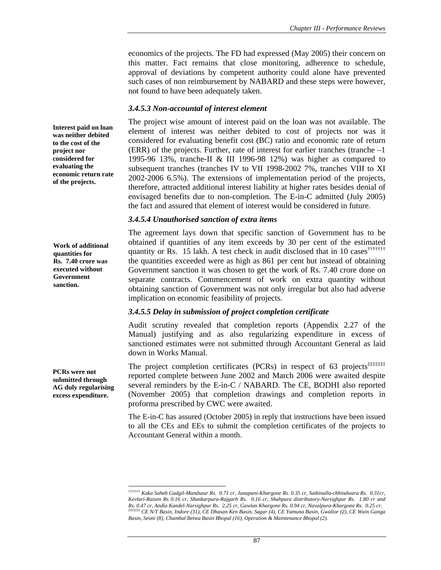economics of the projects. The FD had expressed (May 2005) their concern on this matter. Fact remains that close monitoring, adherence to schedule, approval of deviations by competent authority could alone have prevented such cases of non reimbursement by NABARD and these steps were however, not found to have been adequately taken.

### *3.4.5.3 Non-accountal of interest element*

The project wise amount of interest paid on the loan was not available. The element of interest was neither debited to cost of projects nor was it considered for evaluating benefit cost (BC) ratio and economic rate of return (ERR) of the projects. Further, rate of interest for earlier tranches (tranche –1 1995-96 13%, tranche-II & III 1996-98 12%) was higher as compared to subsequent tranches (tranches IV to VII 1998-2002 7%, tranches VIII to XI 2002-2006 6.5%). The extensions of implementation period of the projects, therefore, attracted additional interest liability at higher rates besides denial of envisaged benefits due to non-completion. The E-in-C admitted (July 2005) the fact and assured that element of interest would be considered in future.

### *3.4.5.4 Unauthorised sanction of extra items*

The agreement lays down that specific sanction of Government has to be obtained if quantities of any item exceeds by 30 per cent of the estimated quantity or Rs. 15 lakh. A test check in audit disclosed that in 10 cases<sup>†††††††</sup> the quantities exceeded were as high as 861 per cent but instead of obtaining Government sanction it was chosen to get the work of Rs. 7.40 crore done on separate contracts. Commencement of work on extra quantity without obtaining sanction of Government was not only irregular but also had adverse implication on economic feasibility of projects.

## *3.4.5.5 Delay in submission of project completion certificate*

Audit scrutiny revealed that completion reports (Appendix 2.27 of the Manual) justifying and as also regularizing expenditure in excess of sanctioned estimates were not submitted through Accountant General as laid down in Works Manual.

The project completion certificates (PCRs) in respect of 63 projects<sup>‡‡‡‡‡‡‡</sup> reported complete between June 2002 and March 2006 were awaited despite several reminders by the E-in-C / NABARD. The CE, BODHI also reported (November 2005) that completion drawings and completion reports in proforma prescribed by CWC were awaited.

The E-in-C has assured (October 2005) in reply that instructions have been issued to all the CEs and EEs to submit the completion certificates of the projects to Accountant General within a month.

**Interest paid on loan was neither debited to the cost of the project nor considered for evaluating the economic return rate of the projects.** 

**Work of additional quantities for Rs. 7.40 crore was executed without Government sanction.** 

**PCRs were not submitted through AG duly regularising excess expenditure.** 

 $\overline{\phantom{a}}$ 

*<sup>†††††††</sup> Kaka Saheb Gadgil-Mandsaur Rs. 0.71 cr, Junapani-Khargone Rs. 0.35 cr, Satkinalla-chhindwara Rs. 0.31cr, Kevlari-Raisen Rs 0.16 cr, Shankarpura-Rajgarh Rs. 0.16 cr, Shahpura distributory-Narsighpur Rs. 1.80 cr and Rs. 0.47 cr, Andia Kandel-Narsighpur Rs. 2.25 cr, Gawlan Khargone Rs. 0.94 cr, Navalpura-Khargone Rs. 0.25 cr. ‡‡‡‡‡‡‡ CE N/T Basin, Indore (31), CE Dhasan Ken Basin, Sagar (4), CE Yamuna Basin, Gwalior (2), CE Wain Ganga Basin, Seoni (8), Chambal Betwa Basin Bhopal (16), Operation & Maintenance Bhopal (2).*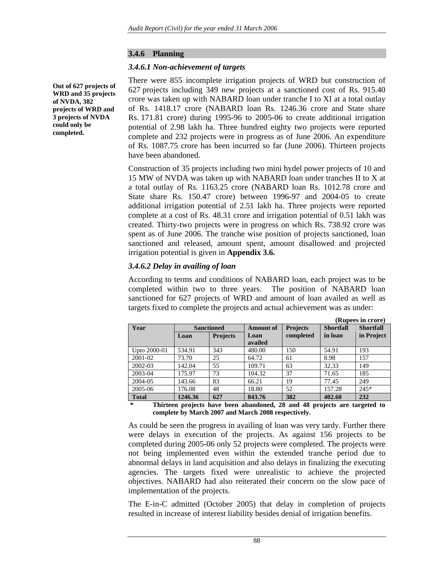### **3.4.6 Planning**

### *3.4.6.1 Non-achievement of targets*

**Out of 627 projects of WRD and 35 projects of NVDA, 382 projects of WRD and 3 projects of NVDA could only be completed.** 

There were 855 incomplete irrigation projects of WRD but construction of 627 projects including 349 new projects at a sanctioned cost of Rs. 915.40 crore was taken up with NABARD loan under tranche I to XI at a total outlay of Rs. 1418.17 crore (NABARD loan Rs. 1246.36 crore and State share Rs. 171.81 crore) during 1995-96 to 2005-06 to create additional irrigation potential of 2.98 lakh ha. Three hundred eighty two projects were reported complete and 232 projects were in progress as of June 2006. An expenditure of Rs. 1087.75 crore has been incurred so far (June 2006). Thirteen projects have been abandoned.

Construction of 35 projects including two mini hydel power projects of 10 and 15 MW of NVDA was taken up with NABARD loan under tranches II to X at a total outlay of Rs. 1163.25 crore (NABARD loan Rs. 1012.78 crore and State share Rs. 150.47 crore) between 1996-97 and 2004-05 to create additional irrigation potential of 2.51 lakh ha. Three projects were reported complete at a cost of Rs. 48.31 crore and irrigation potential of 0.51 lakh was created. Thirty-two projects were in progress on which Rs. 738.92 crore was spent as of June 2006. The tranche wise position of projects sanctioned, loan sanctioned and released, amount spent, amount disallowed and projected irrigation potential is given in **Appendix 3.6***.* 

### *3.4.6.2 Delay in availing of loan*

According to terms and conditions of NABARD loan, each project was to be completed within two to three years. The position of NABARD loan sanctioned for 627 projects of WRD and amount of loan availed as well as targets fixed to complete the projects and actual achievement was as under:

|         |                 |                   |                 |                  | (Rupees in crore) |
|---------|-----------------|-------------------|-----------------|------------------|-------------------|
|         |                 | <b>Amount of</b>  | <b>Projects</b> | <b>Shortfall</b> | <b>Shortfall</b>  |
| Loan    | <b>Projects</b> | Loan              | completed       | in loan          | in Project        |
|         |                 | availed           |                 |                  |                   |
| 534.91  | 343             | 480.00            | 150             | 54.91            | 193               |
| 73.70   | 25              | 64.72             | 61              | 8.98             | 157               |
| 142.04  | 55              | 109.71            | 63              | 32.33            | 149               |
| 175.97  | 73              | 104.32            | 37              | 71.65            | 185               |
| 143.66  | 83              | 66.21             | 19              | 77.45            | 249               |
| 176.08  | 48              | 18.80             | 52              | 157.28           | $245*$            |
| 1246.36 | 627             | 843.76            | 382             | 402.60           | 232               |
|         |                 | <b>Sanctioned</b> |                 |                  |                   |

 **\* Thirteen projects have been abandoned, 28 and 48 projects are targeted to complete by March 2007 and March 2008 respectively.** 

As could be seen the progress in availing of loan was very tardy. Further there were delays in execution of the projects. As against 156 projects to be completed during 2005-06 only 52 projects were completed. The projects were not being implemented even within the extended tranche period due to abnormal delays in land acquisition and also delays in finalizing the executing agencies. The targets fixed were unrealistic to achieve the projected objectives. NABARD had also reiterated their concern on the slow pace of implementation of the projects.

The E-in-C admitted (October 2005) that delay in completion of projects resulted in increase of interest liability besides denial of irrigation benefits.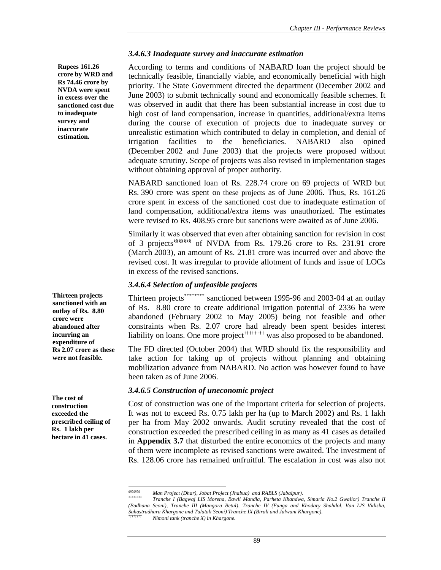### *3.4.6.3 Inadequate survey and inaccurate estimation*

According to terms and conditions of NABARD loan the project should be technically feasible, financially viable, and economically beneficial with high priority. The State Government directed the department (December 2002 and June 2003) to submit technically sound and economically feasible schemes. It was observed in audit that there has been substantial increase in cost due to high cost of land compensation, increase in quantities, additional/extra items during the course of execution of projects due to inadequate survey or unrealistic estimation which contributed to delay in completion, and denial of irrigation facilities to the beneficiaries. NABARD also opined (December 2002 and June 2003) that the projects were proposed without adequate scrutiny. Scope of projects was also revised in implementation stages without obtaining approval of proper authority.

NABARD sanctioned loan of Rs. 228.74 crore on 69 projects of WRD but Rs. 390 crore was spent on these projects as of June 2006. Thus, Rs. 161.26 crore spent in excess of the sanctioned cost due to inadequate estimation of land compensation, additional/extra items was unauthorized. The estimates were revised to Rs. 408.95 crore but sanctions were awaited as of June 2006.

Similarly it was observed that even after obtaining sanction for revision in cost of 3 projects§§§§§§§ of NVDA from Rs. 179.26 crore to Rs. 231.91 crore (March 2003), an amount of Rs. 21.81 crore was incurred over and above the revised cost. It was irregular to provide allotment of funds and issue of LOCs in excess of the revised sanctions.

### *3.4.6.4 Selection of unfeasible projects*

Thirteen projects\*\*\*\*\*\*\*\* sanctioned between 1995-96 and 2003-04 at an outlay of Rs. 8.80 crore to create additional irrigation potential of 2336 ha were abandoned (February 2002 to May 2005) being not feasible and other constraints when Rs. 2.07 crore had already been spent besides interest liability on loans. One more project<sup>††††††††</sup> was also proposed to be abandoned.

The FD directed (October 2004) that WRD should fix the responsibility and take action for taking up of projects without planning and obtaining mobilization advance from NABARD. No action was however found to have been taken as of June 2006.

## *3.4.6.5 Construction of uneconomic project*

Cost of construction was one of the important criteria for selection of projects. It was not to exceed Rs. 0.75 lakh per ha (up to March 2002) and Rs. 1 lakh per ha from May 2002 onwards. Audit scrutiny revealed that the cost of construction exceeded the prescribed ceiling in as many as 41 cases as detailed in **Appendix 3.7** that disturbed the entire economics of the projects and many of them were incomplete as revised sanctions were awaited. The investment of Rs. 128.06 crore has remained unfruitful. The escalation in cost was also not

**Rupees 161.26 crore by WRD and Rs 74.46 crore by NVDA were spent in excess over the sanctioned cost due to inadequate survey and inaccurate estimation.** 

**Thirteen projects sanctioned with an outlay of Rs. 8.80 crore were abandoned after incurring an expenditure of Rs 2.07 crore as these were not feasible.** 

**The cost of construction exceeded the prescribed ceiling of Rs. 1 lakh per hectare in 41 cases.** 

 $\overline{\phantom{a}}$ 

*<sup>§§§§§§§</sup> Man Project (Dhar), Jobat Project (Jhabua) and RABLS (Jabalpur). \*\*\*\*\*\*\*\* Tranche I (Bagwaj LIS Morena, Bawli Mandla, Parheta Khandwa, Simaria No.2 Gwalior) Tranche II (Budhana Seoni), Tranche III (Mangora Betul), Tranche IV (Funga and Khodary Shahdol, Van LIS Vidisha, Sahastradhara Khargone and Talatali Seoni) Tranche IX (Birali and Julwani Khargone). †††††††† Nimoni tank (tranche X) in Khargone.*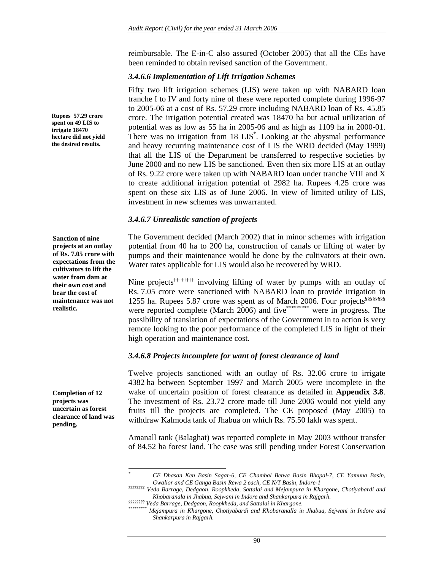reimbursable. The E-in-C also assured (October 2005) that all the CEs have been reminded to obtain revised sanction of the Government.

### *3.4.6.6 Implementation of Lift Irrigation Schemes*

Fifty two lift irrigation schemes (LIS) were taken up with NABARD loan tranche I to IV and forty nine of these were reported complete during 1996-97 to 2005-06 at a cost of Rs. 57.29 crore including NABARD loan of Rs. 45.85 crore. The irrigation potential created was 18470 ha but actual utilization of potential was as low as 55 ha in 2005-06 and as high as 1109 ha in 2000-01. There was no irrigation from 18 LIS<sup>\*</sup>. Looking at the abysmal performance and heavy recurring maintenance cost of LIS the WRD decided (May 1999) that all the LIS of the Department be transferred to respective societies by June 2000 and no new LIS be sanctioned. Even then six more LIS at an outlay of Rs. 9.22 crore were taken up with NABARD loan under tranche VIII and X to create additional irrigation potential of 2982 ha. Rupees 4.25 crore was spent on these six LIS as of June 2006. In view of limited utility of LIS, investment in new schemes was unwarranted.

### *3.4.6.7 Unrealistic sanction of projects*

The Government decided (March 2002) that in minor schemes with irrigation potential from 40 ha to 200 ha, construction of canals or lifting of water by pumps and their maintenance would be done by the cultivators at their own. Water rates applicable for LIS would also be recovered by WRD.

Nine projects<sup>‡‡‡‡‡‡‡‡</sup> involving lifting of water by pumps with an outlay of Rs. 7.05 crore were sanctioned with NABARD loan to provide irrigation in 1255 ha. Rupees 5.87 crore was spent as of March 2006. Four projects<sup>§§§§§§§§§</sup>§ were reported complete (March 2006) and five \*\*\*\*\*\*\*\*\*\* were in progress. The possibility of translation of expectations of the Government in to action is very remote looking to the poor performance of the completed LIS in light of their high operation and maintenance cost.

## *3.4.6.8 Projects incomplete for want of forest clearance of land*

Twelve projects sanctioned with an outlay of Rs. 32.06 crore to irrigate 4382 ha between September 1997 and March 2005 were incomplete in the wake of uncertain position of forest clearance as detailed in **Appendix 3.8**. The investment of Rs. 23.72 crore made till June 2006 would not yield any fruits till the projects are completed. The CE proposed (May 2005) to withdraw Kalmoda tank of Jhabua on which Rs. 75.50 lakh was spent.

Amanall tank (Balaghat) was reported complete in May 2003 without transfer of 84.52 ha forest land. The case was still pending under Forest Conservation

**Rupees 57.29 crore spent on 49 LIS to irrigate 18470 hectare did not yield the desired results.** 

**Sanction of nine projects at an outlay of Rs. 7.05 crore with expectations from the cultivators to lift the water from dam at their own cost and bear the cost of maintenance was not realistic.** 

**Completion of 12 projects was uncertain as forest clearance of land was pending.** 

*\**

*CE Dhasan Ken Basin Sagar-6, CE Chambal Betwa Basin Bhopal-7, CE Yamuna Basin, Gwalior and CE Ganga Basin Rewa 2 each, CE N/T Basin, Indore-1* 

*<sup>‡‡‡‡‡‡‡‡</sup> Veda Barrage, Dedgaon, Roopkheda, Sattalai and Mejampura in Khargone, Chotiyabardi and Khobaranala in Jhabua, Sejwani in Indore and Shankarpura in Rajgarh.* 

*<sup>§§§§§§§§</sup> Veda Barrage, Dedgaon, Roopkheda, and Sattalai in Khargone. \*\*\*\*\*\*\*\*\* Mejampura in Khargone, Chotiyabardi and Khobaranalla in Jhabua, Sejwani in Indore and Shankarpura in Rajgarh.*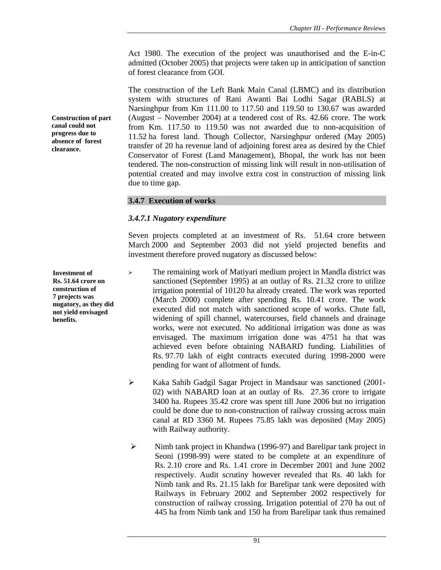Act 1980. The execution of the project was unauthorised and the E-in-C admitted (October 2005) that projects were taken up in anticipation of sanction of forest clearance from GOI.

The construction of the Left Bank Main Canal (LBMC) and its distribution system with structures of Rani Awanti Bai Lodhi Sagar (RABLS) at Narsinghpur from Km 111.00 to 117.50 and 119.50 to 130.67 was awarded (August – November 2004) at a tendered cost of Rs. 42.66 crore. The work from Km. 117.50 to 119.50 was not awarded due to non-acquisition of 11.52 ha forest land. Though Collector, Narsinghpur ordered (May 2005) transfer of 20 ha revenue land of adjoining forest area as desired by the Chief Conservator of Forest (Land Management), Bhopal, the work has not been tendered. The non-construction of missing link will result in non-utilisation of potential created and may involve extra cost in construction of missing link due to time gap.

## **3.4.7 Execution of works**

### *3.4.7.1 Nugatory expenditure*

Seven projects completed at an investment of Rs. 51.64 crore between March 2000 and September 2003 did not yield projected benefits and investment therefore proved nugatory as discussed below:

<sup>¾</sup> The remaining work of Matiyari medium project in Mandla district was sanctioned (September 1995) at an outlay of Rs. 21.32 crore to utilize irrigation potential of 10120 ha already created. The work was reported (March 2000) complete after spending Rs. 10.41 crore. The work executed did not match with sanctioned scope of works. Chute fall, widening of spill channel, watercourses, field channels and drainage works, were not executed. No additional irrigation was done as was envisaged. The maximum irrigation done was 4751 ha that was achieved even before obtaining NABARD funding. Liabilities of Rs. 97.70 lakh of eight contracts executed during 1998-2000 were pending for want of allotment of funds.

- ¾ Kaka Sahib Gadgil Sagar Project in Mandsaur was sanctioned (2001- 02) with NABARD loan at an outlay of Rs. 27.36 crore to irrigate 3400 ha. Rupees 35.42 crore was spent till June 2006 but no irrigation could be done due to non-construction of railway crossing across main canal at RD 3360 M. Rupees 75.85 lakh was deposited (May 2005) with Railway authority.
- ¾ Nimb tank project in Khandwa (1996-97) and Barelipar tank project in Seoni (1998-99) were stated to be complete at an expenditure of Rs. 2.10 crore and Rs. 1.41 crore in December 2001 and June 2002 respectively. Audit scrutiny however revealed that Rs. 40 lakh for Nimb tank and Rs. 21.15 lakh for Barelipar tank were deposited with Railways in February 2002 and September 2002 respectively for construction of railway crossing. Irrigation potential of 270 ha out of 445 ha from Nimb tank and 150 ha from Barelipar tank thus remained

**Investment of Rs. 51.64 crore on construction of 7 projects was nugatory, as they did not yield envisaged benefits.** 

**Construction of part canal could not progress due to absence of forest clearance.**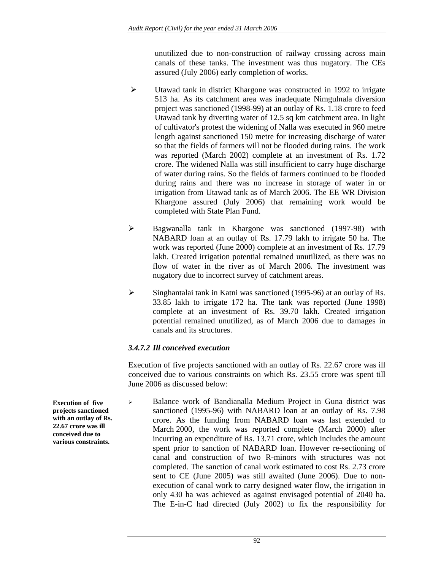unutilized due to non-construction of railway crossing across main canals of these tanks. The investment was thus nugatory. The CEs assured (July 2006) early completion of works.

- $\triangleright$  Utawad tank in district Khargone was constructed in 1992 to irrigate 513 ha. As its catchment area was inadequate Nimgulnala diversion project was sanctioned (1998-99) at an outlay of Rs. 1.18 crore to feed Utawad tank by diverting water of 12.5 sq km catchment area. In light of cultivator's protest the widening of Nalla was executed in 960 metre length against sanctioned 150 metre for increasing discharge of water so that the fields of farmers will not be flooded during rains. The work was reported (March 2002) complete at an investment of Rs. 1.72 crore. The widened Nalla was still insufficient to carry huge discharge of water during rains. So the fields of farmers continued to be flooded during rains and there was no increase in storage of water in or irrigation from Utawad tank as of March 2006. The EE WR Division Khargone assured (July 2006) that remaining work would be completed with State Plan Fund.
- ¾ Bagwanalla tank in Khargone was sanctioned (1997-98) with NABARD loan at an outlay of Rs. 17.79 lakh to irrigate 50 ha. The work was reported (June 2000) complete at an investment of Rs. 17.79 lakh. Created irrigation potential remained unutilized, as there was no flow of water in the river as of March 2006. The investment was nugatory due to incorrect survey of catchment areas.
- ¾ Singhantalai tank in Katni was sanctioned (1995-96) at an outlay of Rs. 33.85 lakh to irrigate 172 ha. The tank was reported (June 1998) complete at an investment of Rs. 39.70 lakh. Created irrigation potential remained unutilized, as of March 2006 due to damages in canals and its structures.

## *3.4.7.2 Ill conceived execution*

Execution of five projects sanctioned with an outlay of Rs. 22.67 crore was ill conceived due to various constraints on which Rs. 23.55 crore was spent till June 2006 as discussed below:

<sup>¾</sup> Balance work of Bandianalla Medium Project in Guna district was sanctioned (1995-96) with NABARD loan at an outlay of Rs. 7.98 crore. As the funding from NABARD loan was last extended to March 2000, the work was reported complete (March 2000) after incurring an expenditure of Rs. 13.71 crore, which includes the amount spent prior to sanction of NABARD loan. However re-sectioning of canal and construction of two R-minors with structures was not completed. The sanction of canal work estimated to cost Rs. 2.73 crore sent to CE (June 2005) was still awaited (June 2006). Due to nonexecution of canal work to carry designed water flow, the irrigation in only 430 ha was achieved as against envisaged potential of 2040 ha. The E-in-C had directed (July 2002) to fix the responsibility for

**Execution of five projects sanctioned with an outlay of Rs. 22.67 crore was ill conceived due to various constraints.**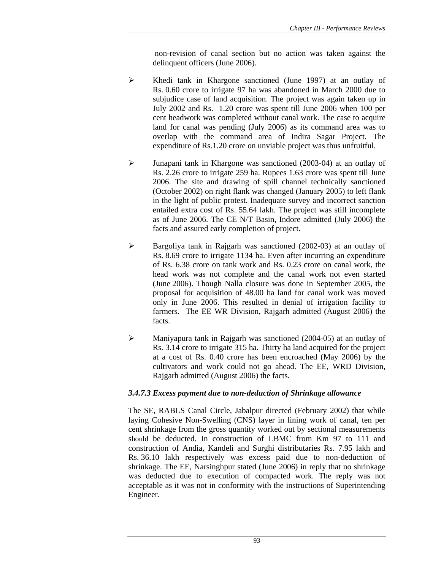non-revision of canal section but no action was taken against the delinquent officers (June 2006).

- ¾ Khedi tank in Khargone sanctioned (June 1997) at an outlay of Rs. 0.60 crore to irrigate 97 ha was abandoned in March 2000 due to subjudice case of land acquisition. The project was again taken up in July 2002 and Rs. 1.20 crore was spent till June 2006 when 100 per cent headwork was completed without canal work. The case to acquire land for canal was pending (July 2006) as its command area was to overlap with the command area of Indira Sagar Project. The expenditure of Rs.1.20 crore on unviable project was thus unfruitful.
- ¾ Junapani tank in Khargone was sanctioned (2003-04) at an outlay of Rs. 2.26 crore to irrigate 259 ha. Rupees 1.63 crore was spent till June 2006. The site and drawing of spill channel technically sanctioned (October 2002) on right flank was changed (January 2005) to left flank in the light of public protest. Inadequate survey and incorrect sanction entailed extra cost of Rs. 55.64 lakh. The project was still incomplete as of June 2006. The CE N/T Basin, Indore admitted (July 2006) the facts and assured early completion of project.
- ¾ Bargoliya tank in Rajgarh was sanctioned (2002-03) at an outlay of Rs. 8.69 crore to irrigate 1134 ha. Even after incurring an expenditure of Rs. 6.38 crore on tank work and Rs. 0.23 crore on canal work, the head work was not complete and the canal work not even started (June 2006). Though Nalla closure was done in September 2005, the proposal for acquisition of 48.00 ha land for canal work was moved only in June 2006. This resulted in denial of irrigation facility to farmers. The EE WR Division, Rajgarh admitted (August 2006) the facts.
- ¾ Maniyapura tank in Rajgarh was sanctioned (2004-05) at an outlay of Rs. 3.14 crore to irrigate 315 ha. Thirty ha land acquired for the project at a cost of Rs. 0.40 crore has been encroached (May 2006) by the cultivators and work could not go ahead. The EE, WRD Division, Rajgarh admitted (August 2006) the facts.

## *3.4.7.3 Excess payment due to non-deduction of Shrinkage allowance*

The SE, RABLS Canal Circle, Jabalpur directed (February 2002) that while laying Cohesive Non-Swelling (CNS) layer in lining work of canal, ten per cent shrinkage from the gross quantity worked out by sectional measurements should be deducted. In construction of LBMC from Km 97 to 111 and construction of Andia, Kandeli and Surghi distributaries Rs. 7.95 lakh and Rs. 36.10 lakh respectively was excess paid due to non-deduction of shrinkage. The EE, Narsinghpur stated (June 2006) in reply that no shrinkage was deducted due to execution of compacted work. The reply was not acceptable as it was not in conformity with the instructions of Superintending Engineer.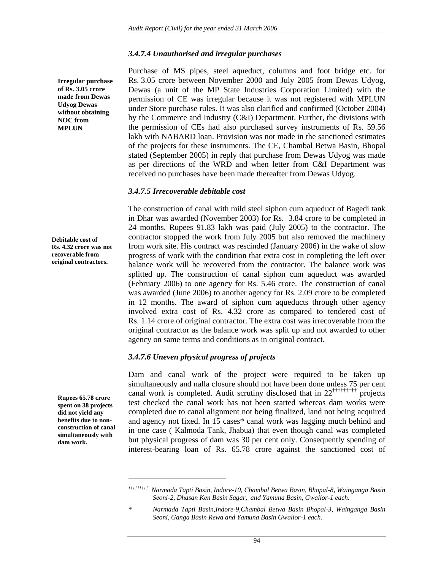### *3.4.7.4 Unauthorised and irregular purchases*

**Irregular purchase of Rs. 3.05 crore made from Dewas Udyog Dewas without obtaining NOC from MPLUN** 

**Debitable cost of Rs. 4.32 crore was not recoverable from original contractors.** 

**Rupees 65.78 crore spent on 38 projects did not yield any benefits due to nonconstruction of canal simultaneously with dam work.** 

 $\overline{\phantom{a}}$ 

Purchase of MS pipes, steel aqueduct, columns and foot bridge etc. for Rs. 3.05 crore between November 2000 and July 2005 from Dewas Udyog, Dewas (a unit of the MP State Industries Corporation Limited) with the permission of CE was irregular because it was not registered with MPLUN under Store purchase rules. It was also clarified and confirmed (October 2004) by the Commerce and Industry (C&I) Department. Further, the divisions with the permission of CEs had also purchased survey instruments of Rs. 59.56 lakh with NABARD loan. Provision was not made in the sanctioned estimates of the projects for these instruments. The CE, Chambal Betwa Basin, Bhopal stated (September 2005) in reply that purchase from Dewas Udyog was made as per directions of the WRD and when letter from C&I Department was received no purchases have been made thereafter from Dewas Udyog.

### *3.4.7.5 Irrecoverable debitable cost*

The construction of canal with mild steel siphon cum aqueduct of Bagedi tank in Dhar was awarded (November 2003) for Rs. 3.84 crore to be completed in 24 months. Rupees 91.83 lakh was paid (July 2005) to the contractor. The contractor stopped the work from July 2005 but also removed the machinery from work site. His contract was rescinded (January 2006) in the wake of slow progress of work with the condition that extra cost in completing the left over balance work will be recovered from the contractor. The balance work was splitted up. The construction of canal siphon cum aqueduct was awarded (February 2006) to one agency for Rs. 5.46 crore. The construction of canal was awarded (June 2006) to another agency for Rs. 2.09 crore to be completed in 12 months. The award of siphon cum aqueducts through other agency involved extra cost of Rs. 4.32 crore as compared to tendered cost of Rs. 1.14 crore of original contractor. The extra cost was irrecoverable from the original contractor as the balance work was split up and not awarded to other agency on same terms and conditions as in original contract.

### *3.4.7.6 Uneven physical progress of projects*

Dam and canal work of the project were required to be taken up simultaneously and nalla closure should not have been done unless 75 per cent canal work is completed. Audit scrutiny disclosed that in 22††††††††† projects test checked the canal work has not been started whereas dam works were completed due to canal alignment not being finalized, land not being acquired and agency not fixed. In 15 cases\* canal work was lagging much behind and in one case ( Kalmoda Tank, Jhabua) that even though canal was completed but physical progress of dam was 30 per cent only. Consequently spending of interest-bearing loan of Rs. 65.78 crore against the sanctioned cost of

*<sup>†††††††††</sup> Narmada Tapti Basin, Indore-10, Chambal Betwa Basin, Bhopal-8, Wainganga Basin Seoni-2, Dhasan Ken Basin Sagar, and Yamuna Basin, Gwalior-1 each.* 

*<sup>\*</sup> Narmada Tapti Basin,Indore-9,Chambal Betwa Basin Bhopal-3, Wainganga Basin Seoni, Ganga Basin Rewa and Yamuna Basin Gwalior-1 each.*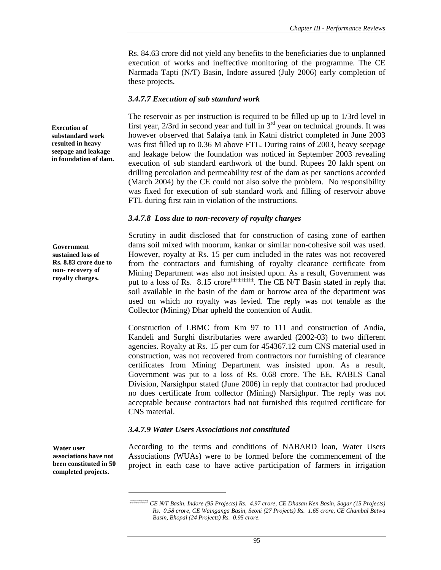Rs. 84.63 crore did not yield any benefits to the beneficiaries due to unplanned execution of works and ineffective monitoring of the programme. The CE Narmada Tapti (N/T) Basin, Indore assured (July 2006) early completion of these projects.

### *3.4.7.7 Execution of sub standard work*

The reservoir as per instruction is required to be filled up up to 1/3rd level in first year, 2/3rd in second year and full in 3rd year on technical grounds. It was however observed that Salaiya tank in Katni district completed in June 2003 was first filled up to 0.36 M above FTL. During rains of 2003, heavy seepage and leakage below the foundation was noticed in September 2003 revealing execution of sub standard earthwork of the bund. Rupees 20 lakh spent on drilling percolation and permeability test of the dam as per sanctions accorded (March 2004) by the CE could not also solve the problem. No responsibility was fixed for execution of sub standard work and filling of reservoir above FTL during first rain in violation of the instructions.

### *3.4.7.8 Loss due to non-recovery of royalty charges*

**Government sustained loss of Rs. 8.83 crore due to non- recovery of royalty charges.** 

**Execution of substandard work resulted in heavy seepage and leakage in foundation of dam.** 

> Scrutiny in audit disclosed that for construction of casing zone of earthen dams soil mixed with moorum, kankar or similar non-cohesive soil was used. However, royalty at Rs. 15 per cum included in the rates was not recovered from the contractors and furnishing of royalty clearance certificate from Mining Department was also not insisted upon. As a result, Government was put to a loss of Rs. 8.15 crore<sup>‡‡‡‡‡‡‡‡‡</sup>. The CE N/T Basin stated in reply that soil available in the basin of the dam or borrow area of the department was used on which no royalty was levied. The reply was not tenable as the Collector (Mining) Dhar upheld the contention of Audit.

> Construction of LBMC from Km 97 to 111 and construction of Andia, Kandeli and Surghi distributaries were awarded (2002-03) to two different agencies. Royalty at Rs. 15 per cum for 454367.12 cum CNS material used in construction, was not recovered from contractors nor furnishing of clearance certificates from Mining Department was insisted upon. As a result, Government was put to a loss of Rs. 0.68 crore. The EE, RABLS Canal Division, Narsighpur stated (June 2006) in reply that contractor had produced no dues certificate from collector (Mining) Narsighpur. The reply was not acceptable because contractors had not furnished this required certificate for CNS material.

## *3.4.7.9 Water Users Associations not constituted*

**Water user associations have not been constituted in 50 completed projects.** 

According to the terms and conditions of NABARD loan, Water Users Associations (WUAs) were to be formed before the commencement of the project in each case to have active participation of farmers in irrigation

*<sup>‡‡‡‡‡‡‡‡‡</sup> CE N/T Basin, Indore (95 Projects) Rs. 4.97 crore, CE Dhasan Ken Basin, Sagar (15 Projects) Rs. 0.58 crore, CE Wainganga Basin, Seoni (27 Projects) Rs. 1.65 crore, CE Chambal Betwa Basin, Bhopal (24 Projects) Rs. 0.95 crore.*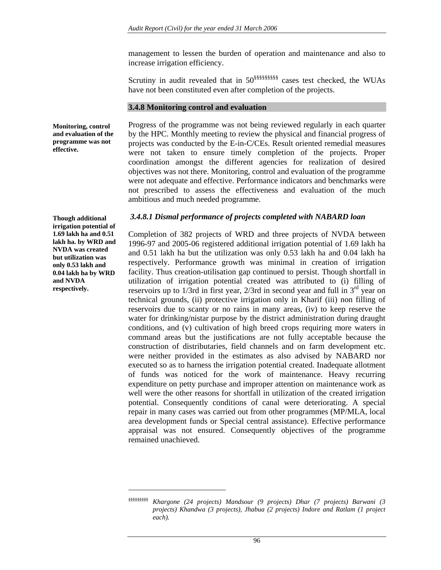management to lessen the burden of operation and maintenance and also to increase irrigation efficiency.

Scrutiny in audit revealed that in 50§§§§§§§§§ cases test checked, the WUAs have not been constituted even after completion of the projects.

### **3.4.8 Monitoring control and evaluation**

Progress of the programme was not being reviewed regularly in each quarter by the HPC. Monthly meeting to review the physical and financial progress of projects was conducted by the E-in-C/CEs. Result oriented remedial measures were not taken to ensure timely completion of the projects. Proper coordination amongst the different agencies for realization of desired objectives was not there. Monitoring, control and evaluation of the programme were not adequate and effective. Performance indicators and benchmarks were not prescribed to assess the effectiveness and evaluation of the much ambitious and much needed programme.

# *3.4.8.1 Dismal performance of projects completed with NABARD loan*

Completion of 382 projects of WRD and three projects of NVDA between 1996-97 and 2005-06 registered additional irrigation potential of 1.69 lakh ha and 0.51 lakh ha but the utilization was only 0.53 lakh ha and 0.04 lakh ha respectively. Performance growth was minimal in creation of irrigation facility. Thus creation-utilisation gap continued to persist. Though shortfall in utilization of irrigation potential created was attributed to (i) filling of reservoirs up to  $1/3$ rd in first year,  $2/3$ rd in second year and full in  $3<sup>rd</sup>$  year on technical grounds, (ii) protective irrigation only in Kharif (iii) non filling of reservoirs due to scanty or no rains in many areas, (iv) to keep reserve the water for drinking/nistar purpose by the district administration during draught conditions, and (v) cultivation of high breed crops requiring more waters in command areas but the justifications are not fully acceptable because the construction of distributaries, field channels and on farm development etc. were neither provided in the estimates as also advised by NABARD nor executed so as to harness the irrigation potential created. Inadequate allotment of funds was noticed for the work of maintenance. Heavy recurring expenditure on petty purchase and improper attention on maintenance work as well were the other reasons for shortfall in utilization of the created irrigation potential. Consequently conditions of canal were deteriorating. A special repair in many cases was carried out from other programmes (MP/MLA, local area development funds or Special central assistance). Effective performance appraisal was not ensured. Consequently objectives of the programme remained unachieved.

**Though additional irrigation potential of 1.69 lakh ha and 0.51 lakh ha. by WRD and NVDA was created but utilization was only 0.53 lakh and 0.04 lakh ha by WRD and NVDA respectively.** 

**Monitoring, control and evaluation of the programme was not** 

**effective.** 

 $\overline{a}$ 

*<sup>§§§§§§§§§</sup> Khargone (24 projects) Mandsour (9 projects) Dhar (7 projects) Barwani (3 projects) Khandwa (3 projects), Jhabua (2 projects) Indore and Ratlam (1 project each).*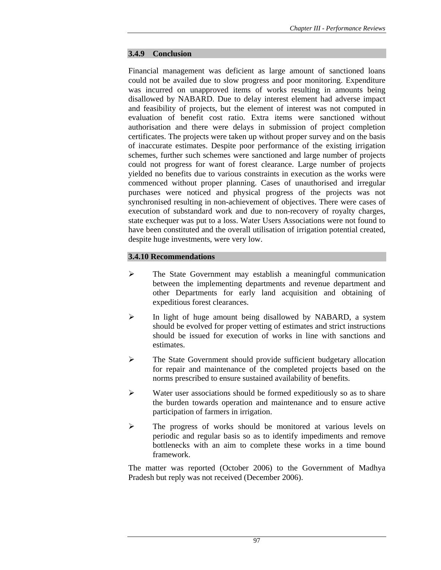### **3.4.9 Conclusion**

Financial management was deficient as large amount of sanctioned loans could not be availed due to slow progress and poor monitoring. Expenditure was incurred on unapproved items of works resulting in amounts being disallowed by NABARD. Due to delay interest element had adverse impact and feasibility of projects, but the element of interest was not computed in evaluation of benefit cost ratio. Extra items were sanctioned without authorisation and there were delays in submission of project completion certificates. The projects were taken up without proper survey and on the basis of inaccurate estimates. Despite poor performance of the existing irrigation schemes, further such schemes were sanctioned and large number of projects could not progress for want of forest clearance. Large number of projects yielded no benefits due to various constraints in execution as the works were commenced without proper planning. Cases of unauthorised and irregular purchases were noticed and physical progress of the projects was not synchronised resulting in non-achievement of objectives. There were cases of execution of substandard work and due to non-recovery of royalty charges, state exchequer was put to a loss. Water Users Associations were not found to have been constituted and the overall utilisation of irrigation potential created, despite huge investments, were very low.

## **3.4.10 Recommendations**

- ¾ The State Government may establish a meaningful communication between the implementing departments and revenue department and other Departments for early land acquisition and obtaining of expeditious forest clearances.
- ¾ In light of huge amount being disallowed by NABARD, a system should be evolved for proper vetting of estimates and strict instructions should be issued for execution of works in line with sanctions and estimates.
- ¾ The State Government should provide sufficient budgetary allocation for repair and maintenance of the completed projects based on the norms prescribed to ensure sustained availability of benefits.
- $\triangleright$  Water user associations should be formed expeditiously so as to share the burden towards operation and maintenance and to ensure active participation of farmers in irrigation.
- ¾ The progress of works should be monitored at various levels on periodic and regular basis so as to identify impediments and remove bottlenecks with an aim to complete these works in a time bound framework.

The matter was reported (October 2006) to the Government of Madhya Pradesh but reply was not received (December 2006).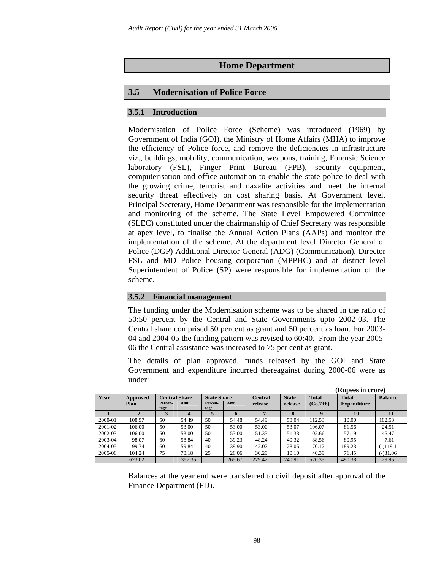# **Home Department**

# **3.5 Modernisation of Police Force**

# **3.5.1 Introduction**

Modernisation of Police Force (Scheme) was introduced (1969) by Government of India (GOI), the Ministry of Home Affairs (MHA) to improve the efficiency of Police force, and remove the deficiencies in infrastructure viz., buildings, mobility, communication, weapons, training, Forensic Science laboratory (FSL), Finger Print Bureau (FPB), security equipment, computerisation and office automation to enable the state police to deal with the growing crime, terrorist and naxalite activities and meet the internal security threat effectively on cost sharing basis. At Government level, Principal Secretary, Home Department was responsible for the implementation and monitoring of the scheme. The State Level Empowered Committee (SLEC) constituted under the chairmanship of Chief Secretary was responsible at apex level, to finalise the Annual Action Plans (AAPs) and monitor the implementation of the scheme. At the department level Director General of Police (DGP) Additional Director General (ADG) (Communication), Director FSL and MD Police housing corporation (MPPHC) and at district level Superintendent of Police (SP) were responsible for implementation of the scheme.

## **3.5.2 Financial management**

The funding under the Modernisation scheme was to be shared in the ratio of 50:50 percent by the Central and State Governments upto 2002-03. The Central share comprised 50 percent as grant and 50 percent as loan. For 2003- 04 and 2004-05 the funding pattern was revised to 60:40. From the year 2005- 06 the Central assistance was increased to 75 per cent as grant.

The details of plan approved, funds released by the GOI and State Government and expenditure incurred thereagainst during 2000-06 were as under:

|         |          |                      |        |                    |             |                |              |                  | (Rupees in crore)  |                |
|---------|----------|----------------------|--------|--------------------|-------------|----------------|--------------|------------------|--------------------|----------------|
| Year    | Approved | <b>Central Share</b> |        | <b>State Share</b> |             | <b>Central</b> | <b>State</b> | <b>Total</b>     | <b>Total</b>       | <b>Balance</b> |
|         | Plan     | Percen-              | Amt    | Percen-            | Amt.        | release        | release      | $(C_0.7+8)$      | <b>Expenditure</b> |                |
|         |          | tage                 | 4      | tage               | $\mathbf b$ | 7              | 8            | $\boldsymbol{Q}$ | 10                 | 11             |
| 2000-01 | 108.97   | 50                   | 54.49  | 50                 | 54.48       | 54.49          | 58.04        | 112.53           | 10.00              | 102.53         |
| 2001-02 | 106.00   | 50                   | 53.00  | 50                 | 53.00       | 53.00          | 53.07        | 106.07           | 81.56              | 24.51          |
| 2002-03 | 106.00   | 50                   | 53.00  | 50                 | 53.00       | 51.33          | 51.33        | 102.66           | 57.19              | 45.47          |
| 2003-04 | 98.07    | 60                   | 58.84  | 40                 | 39.23       | 48.24          | 40.32        | 88.56            | 80.95              | 7.61           |
| 2004-05 | 99.74    | 60                   | 59.84  | 40                 | 39.90       | 42.07          | 28.05        | 70.12            | 189.23             | $(-)119.11$    |
| 2005-06 | 104.24   | 75                   | 78.18  | 25                 | 26.06       | 30.29          | 10.10        | 40.39            | 71.45              | $(-)31.06$     |
|         | 623.02   |                      | 357.35 |                    | 265.67      | 279.42         | 240.91       | 520.33           | 490.38             | 29.95          |

Balances at the year end were transferred to civil deposit after approval of the Finance Department (FD).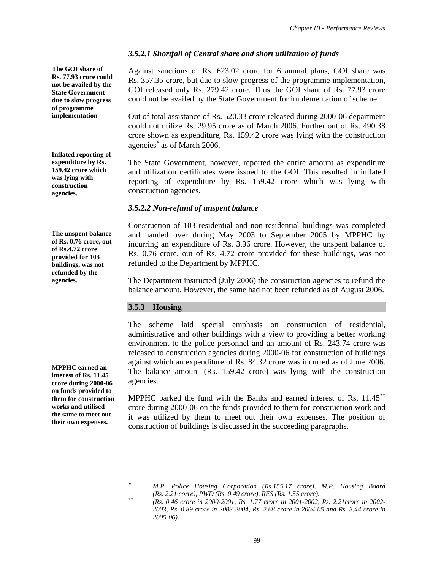**The GOI share of Rs. 77.93 crore could not be availed by the State Government due to slow progress of programme implementation** 

**Inflated reporting of expenditure by Rs. 159.42 crore which was lying with construction agencies.** 

**The unspent balance of Rs. 0.76 crore, out of Rs.4.72 crore provided for 103 buildings, was not refunded by the agencies.** 

**MPPHC earned an interest of Rs. 11.45 crore during 2000-06 on funds provided to them for construction works and utilised the same to meet out their own expenses.** 

# *3.5.2.1 Shortfall of Central share and short utilization of funds*

Against sanctions of Rs. 623.02 crore for 6 annual plans, GOI share was Rs. 357.35 crore, but due to slow progress of the programme implementation, GOI released only Rs. 279.42 crore. Thus the GOI share of Rs. 77.93 crore could not be availed by the State Government for implementation of scheme.

Out of total assistance of Rs. 520.33 crore released during 2000-06 department could not utilize Rs. 29.95 crore as of March 2006. Further out of Rs. 490.38 crore shown as expenditure, Rs. 159.42 crore was lying with the construction agencies<sup>∗</sup> as of March 2006.

The State Government, however, reported the entire amount as expenditure and utilization certificates were issued to the GOI. This resulted in inflated reporting of expenditure by Rs. 159.42 crore which was lying with construction agencies.

# *3.5.2.2 Non-refund of unspent balance*

Construction of 103 residential and non-residential buildings was completed and handed over during May 2003 to September 2005 by MPPHC by incurring an expenditure of Rs. 3.96 crore. However, the unspent balance of Rs. 0.76 crore, out of Rs. 4.72 crore provided for these buildings, was not refunded to the Department by MPPHC.

The Department instructed (July 2006) the construction agencies to refund the balance amount. However, the same had not been refunded as of August 2006.

## **3.5.3 Housing**

 $\overline{\phantom{a}}$ 

The scheme laid special emphasis on construction of residential, administrative and other buildings with a view to providing a better working environment to the police personnel and an amount of Rs. 243.74 crore was released to construction agencies during 2000-06 for construction of buildings against which an expenditure of Rs. 84.32 crore was incurred as of June 2006. The balance amount (Rs. 159.42 crore) was lying with the construction agencies.

MPPHC parked the fund with the Banks and earned interest of Rs. 11.45\*\* crore during 2000-06 on the funds provided to them for construction work and it was utilized by them to meet out their own expenses. The position of construction of buildings is discussed in the succeeding paragraphs.

<sup>∗</sup> *M.P. Police Housing Corporation (Rs.155.17 crore), M.P. Housing Board* 

*<sup>(</sup>Rs. 2.21 corre), PWD (Rs. 0.49 crore), RES (Rs. 1.55 crore). \*\* (Rs. 0.46 crore in 2000-2001, Rs. 1.77 crore in 2001-2002, Rs. 2.21crore in 2002- 2003, Rs. 0.89 crore in 2003-2004, Rs. 2.68 crore in 2004-05 and Rs. 3.44 crore in 2005-06).*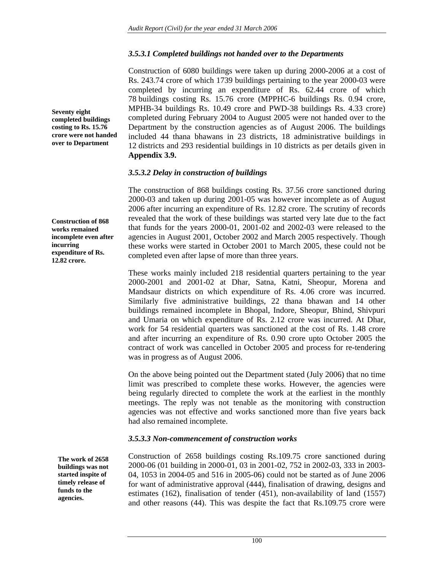# *3.5.3.1 Completed buildings not handed over to the Departments*

Construction of 6080 buildings were taken up during 2000-2006 at a cost of Rs. 243.74 crore of which 1739 buildings pertaining to the year 2000-03 were completed by incurring an expenditure of Rs. 62.44 crore of which 78 buildings costing Rs. 15.76 crore (MPPHC-6 buildings Rs. 0.94 crore, MPHB-34 buildings Rs. 10.49 crore and PWD-38 buildings Rs. 4.33 crore) completed during February 2004 to August 2005 were not handed over to the Department by the construction agencies as of August 2006. The buildings included 44 thana bhawans in 23 districts, 18 administrative buildings in 12 districts and 293 residential buildings in 10 districts as per details given in **Appendix 3.9.**

## *3.5.3.2 Delay in construction of buildings*

The construction of 868 buildings costing Rs. 37.56 crore sanctioned during 2000-03 and taken up during 2001-05 was however incomplete as of August 2006 after incurring an expenditure of Rs. 12.82 crore. The scrutiny of records revealed that the work of these buildings was started very late due to the fact that funds for the years 2000-01, 2001-02 and 2002-03 were released to the agencies in August 2001, October 2002 and March 2005 respectively. Though these works were started in October 2001 to March 2005, these could not be completed even after lapse of more than three years.

These works mainly included 218 residential quarters pertaining to the year 2000-2001 and 2001-02 at Dhar, Satna, Katni, Sheopur, Morena and Mandsaur districts on which expenditure of Rs. 4.06 crore was incurred. Similarly five administrative buildings, 22 thana bhawan and 14 other buildings remained incomplete in Bhopal, Indore, Sheopur, Bhind, Shivpuri and Umaria on which expenditure of Rs. 2.12 crore was incurred. At Dhar, work for 54 residential quarters was sanctioned at the cost of Rs. 1.48 crore and after incurring an expenditure of Rs. 0.90 crore upto October 2005 the contract of work was cancelled in October 2005 and process for re-tendering was in progress as of August 2006.

On the above being pointed out the Department stated (July 2006) that no time limit was prescribed to complete these works. However, the agencies were being regularly directed to complete the work at the earliest in the monthly meetings. The reply was not tenable as the monitoring with construction agencies was not effective and works sanctioned more than five years back had also remained incomplete.

# *3.5.3.3 Non-commencement of construction works*

Construction of 2658 buildings costing Rs.109.75 crore sanctioned during 2000-06 (01 building in 2000-01, 03 in 2001-02, 752 in 2002-03, 333 in 2003- 04, 1053 in 2004-05 and 516 in 2005-06) could not be started as of June 2006 for want of administrative approval (444), finalisation of drawing, designs and estimates (162), finalisation of tender (451), non-availability of land (1557) and other reasons (44). This was despite the fact that Rs.109.75 crore were

**completed buildings costing to Rs. 15.76 crore were not handed over to Department** 

**Seventy eight** 

**Construction of 868 works remained incomplete even after incurring expenditure of Rs. 12.82 crore.** 

**The work of 2658 buildings was not started inspite of timely release of funds to the agencies.**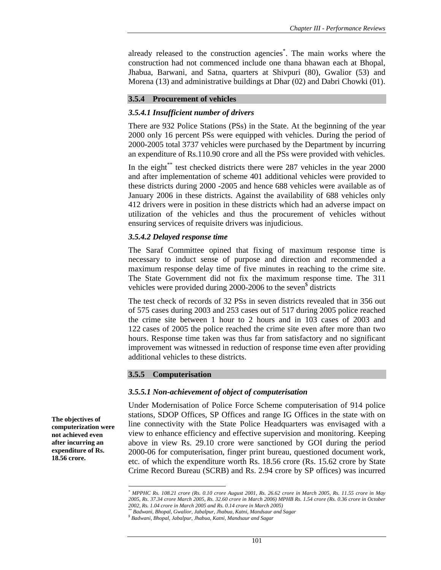already released to the construction agencies\* . The main works where the construction had not commenced include one thana bhawan each at Bhopal, Jhabua, Barwani, and Satna, quarters at Shivpuri (80), Gwalior (53) and Morena (13) and administrative buildings at Dhar (02) and Dabri Chowki (01).

### **3.5.4 Procurement of vehicles**

### *3.5.4.1 Insufficient number of drivers*

There are 932 Police Stations (PSs) in the State. At the beginning of the year 2000 only 16 percent PSs were equipped with vehicles. During the period of 2000-2005 total 3737 vehicles were purchased by the Department by incurring an expenditure of Rs.110.90 crore and all the PSs were provided with vehicles.

In the eight $*$  test checked districts there were 287 vehicles in the year 2000 and after implementation of scheme 401 additional vehicles were provided to these districts during 2000 -2005 and hence 688 vehicles were available as of January 2006 in these districts. Against the availability of 688 vehicles only 412 drivers were in position in these districts which had an adverse impact on utilization of the vehicles and thus the procurement of vehicles without ensuring services of requisite drivers was injudicious.

### *3.5.4.2 Delayed response time*

The Saraf Committee opined that fixing of maximum response time is necessary to induct sense of purpose and direction and recommended a maximum response delay time of five minutes in reaching to the crime site. The State Government did not fix the maximum response time. The 311 vehicles were provided during 2000-2006 to the seven<sup>\$</sup> districts

The test check of records of 32 PSs in seven districts revealed that in 356 out of 575 cases during 2003 and 253 cases out of 517 during 2005 police reached the crime site between 1 hour to 2 hours and in 103 cases of 2003 and 122 cases of 2005 the police reached the crime site even after more than two hours. Response time taken was thus far from satisfactory and no significant improvement was witnessed in reduction of response time even after providing additional vehicles to these districts.

### **3.5.5 Computerisation**

### *3.5.5.1 Non-achievement of object of computerisation*

Under Modernisation of Police Force Scheme computerisation of 914 police stations, SDOP Offices, SP Offices and range IG Offices in the state with on line connectivity with the State Police Headquarters was envisaged with a view to enhance efficiency and effective supervision and monitoring. Keeping above in view Rs. 29.10 crore were sanctioned by GOI during the period 2000-06 for computerisation, finger print bureau, questioned document work, etc. of which the expenditure worth Rs. 18.56 crore (Rs. 15.62 crore by State Crime Record Bureau (SCRB) and Rs. 2.94 crore by SP offices) was incurred

**The objectives of computerization were not achieved even after incurring an expenditure of Rs. 18.56 crore.** 

 $\overline{\phantom{a}}$ 

*<sup>\*</sup> MPPHC Rs. 108.21 crore (Rs. 0.10 crore August 2001, Rs. 26.62 crore in March 2005, Rs. 11.55 crore in May 2005, Rs. 37.34 crore March 2005, Rs. 32.60 crore in March 2006) MPHB Rs. 1.54 crore (Rs. 0.36 crore in October 2002, Rs. 1.04 crore in March 2005 and Rs. 0.14 crore in March 2005)* 

*<sup>\*\*</sup> Badwani, Bhopal, Gwalior, Jabalpur, Jhabua, Katni, Mandsaur and Sagar* 

*<sup>\$</sup> Badwani, Bhopal, Jabalpur, Jhabua, Katni, Mandsaur and Sagar*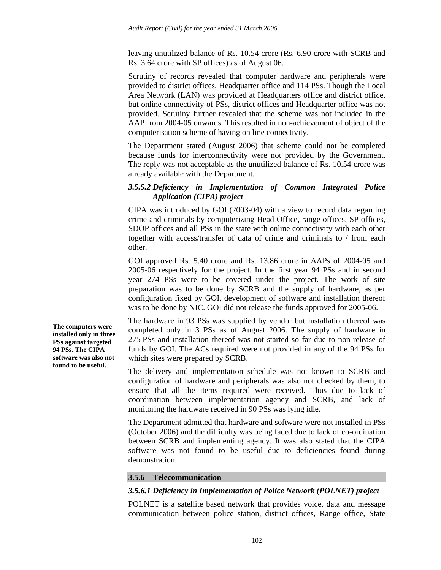leaving unutilized balance of Rs. 10.54 crore (Rs. 6.90 crore with SCRB and Rs. 3.64 crore with SP offices) as of August 06.

Scrutiny of records revealed that computer hardware and peripherals were provided to district offices, Headquarter office and 114 PSs. Though the Local Area Network (LAN) was provided at Headquarters office and district office, but online connectivity of PSs, district offices and Headquarter office was not provided. Scrutiny further revealed that the scheme was not included in the AAP from 2004-05 onwards. This resulted in non-achievement of object of the computerisation scheme of having on line connectivity.

The Department stated (August 2006) that scheme could not be completed because funds for interconnectivity were not provided by the Government. The reply was not acceptable as the unutilized balance of Rs. 10.54 crore was already available with the Department.

## *3.5.5.2 Deficiency in Implementation of Common Integrated Police Application (CIPA) project*

CIPA was introduced by GOI (2003-04) with a view to record data regarding crime and criminals by computerizing Head Office, range offices, SP offices, SDOP offices and all PSs in the state with online connectivity with each other together with access/transfer of data of crime and criminals to / from each other.

GOI approved Rs. 5.40 crore and Rs. 13.86 crore in AAPs of 2004-05 and 2005-06 respectively for the project. In the first year 94 PSs and in second year 274 PSs were to be covered under the project. The work of site preparation was to be done by SCRB and the supply of hardware, as per configuration fixed by GOI, development of software and installation thereof was to be done by NIC. GOI did not release the funds approved for 2005-06.

The hardware in 93 PSs was supplied by vendor but installation thereof was completed only in 3 PSs as of August 2006. The supply of hardware in 275 PSs and installation thereof was not started so far due to non-release of funds by GOI. The ACs required were not provided in any of the 94 PSs for which sites were prepared by SCRB.

The delivery and implementation schedule was not known to SCRB and configuration of hardware and peripherals was also not checked by them, to ensure that all the items required were received. Thus due to lack of coordination between implementation agency and SCRB, and lack of monitoring the hardware received in 90 PSs was lying idle.

The Department admitted that hardware and software were not installed in PSs (October 2006) and the difficulty was being faced due to lack of co-ordination between SCRB and implementing agency. It was also stated that the CIPA software was not found to be useful due to deficiencies found during demonstration.

## **3.5.6 Telecommunication**

## *3.5.6.1 Deficiency in Implementation of Police Network (POLNET) project*

POLNET is a satellite based network that provides voice, data and message communication between police station, district offices, Range office, State

**The computers were installed only in three PSs against targeted 94 PSs. The CIPA software was also not found to be useful.**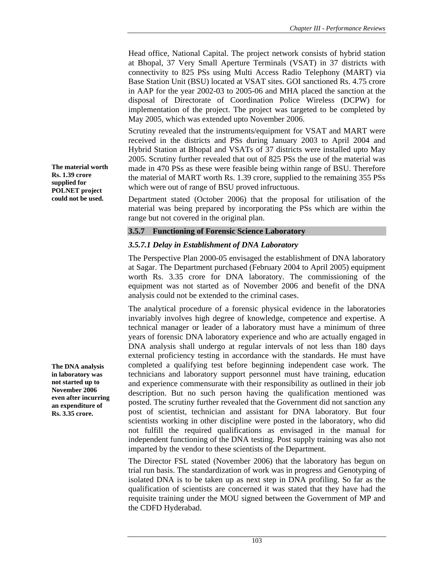Head office, National Capital. The project network consists of hybrid station at Bhopal, 37 Very Small Aperture Terminals (VSAT) in 37 districts with connectivity to 825 PSs using Multi Access Radio Telephony (MART) via Base Station Unit (BSU) located at VSAT sites. GOI sanctioned Rs. 4.75 crore in AAP for the year 2002-03 to 2005-06 and MHA placed the sanction at the disposal of Directorate of Coordination Police Wireless (DCPW) for implementation of the project. The project was targeted to be completed by May 2005, which was extended upto November 2006.

Scrutiny revealed that the instruments/equipment for VSAT and MART were received in the districts and PSs during January 2003 to April 2004 and Hybrid Station at Bhopal and VSATs of 37 districts were installed upto May 2005. Scrutiny further revealed that out of 825 PSs the use of the material was made in 470 PSs as these were feasible being within range of BSU. Therefore the material of MART worth Rs. 1.39 crore, supplied to the remaining 355 PSs which were out of range of BSU proved infructuous.

Department stated (October 2006) that the proposal for utilisation of the material was being prepared by incorporating the PSs which are within the range but not covered in the original plan.

### **3.5.7 Functioning of Forensic Science Laboratory**

# *3.5.7.1 Delay in Establishment of DNA Laboratory*

The Perspective Plan 2000-05 envisaged the establishment of DNA laboratory at Sagar. The Department purchased (February 2004 to April 2005) equipment worth Rs. 3.35 crore for DNA laboratory. The commissioning of the equipment was not started as of November 2006 and benefit of the DNA analysis could not be extended to the criminal cases.

The analytical procedure of a forensic physical evidence in the laboratories invariably involves high degree of knowledge, competence and expertise. A technical manager or leader of a laboratory must have a minimum of three years of forensic DNA laboratory experience and who are actually engaged in DNA analysis shall undergo at regular intervals of not less than 180 days external proficiency testing in accordance with the standards. He must have completed a qualifying test before beginning independent case work. The technicians and laboratory support personnel must have training, education and experience commensurate with their responsibility as outlined in their job description. But no such person having the qualification mentioned was posted. The scrutiny further revealed that the Government did not sanction any post of scientist, technician and assistant for DNA laboratory. But four scientists working in other discipline were posted in the laboratory, who did not fulfill the required qualifications as envisaged in the manual for independent functioning of the DNA testing. Post supply training was also not imparted by the vendor to these scientists of the Department.

The Director FSL stated (November 2006) that the laboratory has begun on trial run basis. The standardization of work was in progress and Genotyping of isolated DNA is to be taken up as next step in DNA profiling. So far as the qualification of scientists are concerned it was stated that they have had the requisite training under the MOU signed between the Government of MP and the CDFD Hyderabad.

**The material worth Rs. 1.39 crore supplied for POLNET project could not be used.** 

**The DNA analysis in laboratory was not started up to November 2006 even after incurring an expenditure of Rs. 3.35 crore.**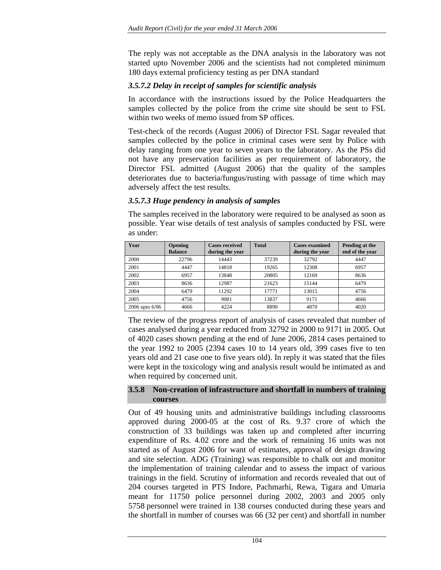The reply was not acceptable as the DNA analysis in the laboratory was not started upto November 2006 and the scientists had not completed minimum 180 days external proficiency testing as per DNA standard

# *3.5.7.2 Delay in receipt of samples for scientific analysis*

In accordance with the instructions issued by the Police Headquarters the samples collected by the police from the crime site should be sent to FSL within two weeks of memo issued from SP offices.

Test-check of the records (August 2006) of Director FSL Sagar revealed that samples collected by the police in criminal cases were sent by Police with delay ranging from one year to seven years to the laboratory. As the PSs did not have any preservation facilities as per requirement of laboratory, the Director FSL admitted (August 2006) that the quality of the samples deteriorates due to bacteria/fungus/rusting with passage of time which may adversely affect the test results.

# *3.5.7.3 Huge pendency in analysis of samples*

The samples received in the laboratory were required to be analysed as soon as possible. Year wise details of test analysis of samples conducted by FSL were as under:

| Year           | <b>Opening</b><br><b>Balance</b> | <b>Cases received</b><br>during the year | <b>Total</b> | <b>Cases examined</b><br>during the year | Pending at the<br>end of the year |
|----------------|----------------------------------|------------------------------------------|--------------|------------------------------------------|-----------------------------------|
| 2000           | 22796                            | 14443                                    | 37239        | 32792                                    | 4447                              |
| 2001           | 4447                             | 14818                                    | 19265        | 12308                                    | 6957                              |
| 2002           | 6957                             | 13848                                    | 20805        | 12169                                    | 8636                              |
| 2003           | 8636                             | 12987                                    | 21623        | 15144                                    | 6479                              |
| 2004           | 6479                             | 11292                                    | 17771        | 13015                                    | 4756                              |
| 2005           | 4756                             | 9081                                     | 13837        | 9171                                     | 4666                              |
| 2006 upto 6/06 | 4666                             | 4224                                     | 8890         | 4870                                     | 4020                              |

The review of the progress report of analysis of cases revealed that number of cases analysed during a year reduced from 32792 in 2000 to 9171 in 2005. Out of 4020 cases shown pending at the end of June 2006, 2814 cases pertained to the year 1992 to 2005 (2394 cases 10 to 14 years old, 399 cases five to ten years old and 21 case one to five years old). In reply it was stated that the files were kept in the toxicology wing and analysis result would be intimated as and when required by concerned unit.

## **3.5.8 Non-creation of infrastructure and shortfall in numbers of training courses**

Out of 49 housing units and administrative buildings including classrooms approved during 2000-05 at the cost of Rs. 9.37 crore of which the construction of 33 buildings was taken up and completed after incurring expenditure of Rs. 4.02 crore and the work of remaining 16 units was not started as of August 2006 for want of estimates, approval of design drawing and site selection. ADG (Training) was responsible to chalk out and monitor the implementation of training calendar and to assess the impact of various trainings in the field. Scrutiny of information and records revealed that out of 204 courses targeted in PTS Indore, Pachmarhi, Rewa, Tigara and Umaria meant for 11750 police personnel during 2002, 2003 and 2005 only 5758 personnel were trained in 138 courses conducted during these years and the shortfall in number of courses was 66 (32 per cent) and shortfall in number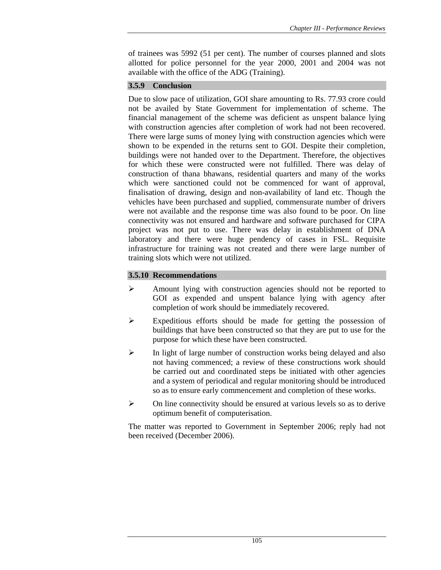of trainees was 5992 (51 per cent). The number of courses planned and slots allotted for police personnel for the year 2000, 2001 and 2004 was not available with the office of the ADG (Training).

# **3.5.9 Conclusion**

Due to slow pace of utilization, GOI share amounting to Rs. 77.93 crore could not be availed by State Government for implementation of scheme. The financial management of the scheme was deficient as unspent balance lying with construction agencies after completion of work had not been recovered. There were large sums of money lying with construction agencies which were shown to be expended in the returns sent to GOI. Despite their completion, buildings were not handed over to the Department. Therefore, the objectives for which these were constructed were not fulfilled. There was delay of construction of thana bhawans, residential quarters and many of the works which were sanctioned could not be commenced for want of approval, finalisation of drawing, design and non-availability of land etc. Though the vehicles have been purchased and supplied, commensurate number of drivers were not available and the response time was also found to be poor. On line connectivity was not ensured and hardware and software purchased for CIPA project was not put to use. There was delay in establishment of DNA laboratory and there were huge pendency of cases in FSL. Requisite infrastructure for training was not created and there were large number of training slots which were not utilized.

# **3.5.10 Recommendations**

- ¾ Amount lying with construction agencies should not be reported to GOI as expended and unspent balance lying with agency after completion of work should be immediately recovered.
- $\triangleright$  Expeditious efforts should be made for getting the possession of buildings that have been constructed so that they are put to use for the purpose for which these have been constructed.
- $\triangleright$  In light of large number of construction works being delayed and also not having commenced; a review of these constructions work should be carried out and coordinated steps be initiated with other agencies and a system of periodical and regular monitoring should be introduced so as to ensure early commencement and completion of these works.
- $\triangleright$  On line connectivity should be ensured at various levels so as to derive optimum benefit of computerisation.

The matter was reported to Government in September 2006; reply had not been received (December 2006).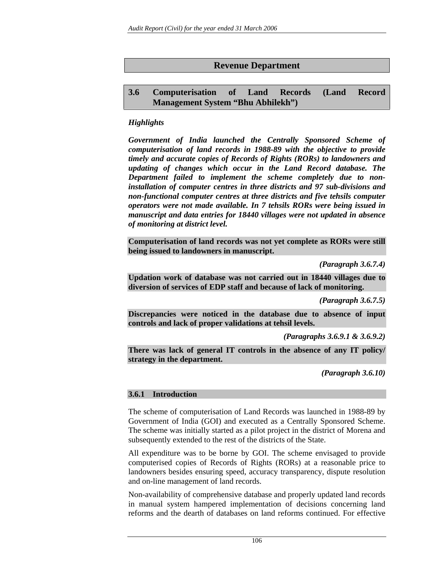# **Revenue Department**

# **3.6 Computerisation of Land Records (Land Record Management System "Bhu Abhilekh")**

# *Highlights*

*Government of India launched the Centrally Sponsored Scheme of computerisation of land records in 1988-89 with the objective to provide timely and accurate copies of Records of Rights (RORs) to landowners and updating of changes which occur in the Land Record database. The Department failed to implement the scheme completely due to noninstallation of computer centres in three districts and 97 sub-divisions and non-functional computer centres at three districts and five tehsils computer operators were not made available. In 7 tehsils RORs were being issued in manuscript and data entries for 18440 villages were not updated in absence of monitoring at district level.* 

**Computerisation of land records was not yet complete as RORs were still being issued to landowners in manuscript.** 

*(Paragraph 3.6.7.4)* 

**Updation work of database was not carried out in 18440 villages due to diversion of services of EDP staff and because of lack of monitoring.** 

*(Paragraph 3.6.7.5)* 

**Discrepancies were noticed in the database due to absence of input controls and lack of proper validations at tehsil levels.** 

*(Paragraphs 3.6.9.1 & 3.6.9.2)* 

**There was lack of general IT controls in the absence of any IT policy/ strategy in the department.** 

*(Paragraph 3.6.10)* 

## **3.6.1 Introduction**

The scheme of computerisation of Land Records was launched in 1988-89 by Government of India (GOI) and executed as a Centrally Sponsored Scheme. The scheme was initially started as a pilot project in the district of Morena and subsequently extended to the rest of the districts of the State.

All expenditure was to be borne by GOI. The scheme envisaged to provide computerised copies of Records of Rights (RORs) at a reasonable price to landowners besides ensuring speed, accuracy transparency, dispute resolution and on-line management of land records.

Non-availability of comprehensive database and properly updated land records in manual system hampered implementation of decisions concerning land reforms and the dearth of databases on land reforms continued. For effective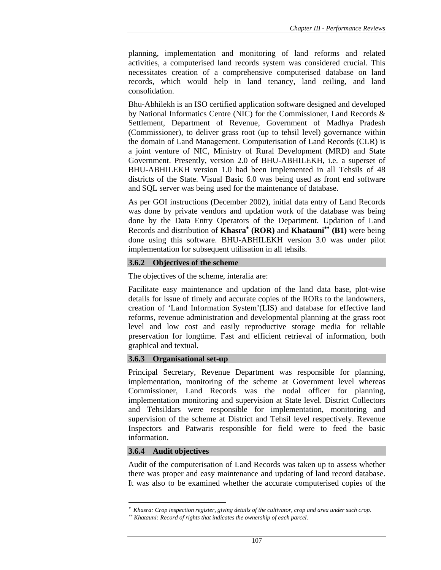planning, implementation and monitoring of land reforms and related activities, a computerised land records system was considered crucial. This necessitates creation of a comprehensive computerised database on land records, which would help in land tenancy, land ceiling, and land consolidation.

Bhu-Abhilekh is an ISO certified application software designed and developed by National Informatics Centre (NIC) for the Commissioner, Land Records & Settlement, Department of Revenue, Government of Madhya Pradesh (Commissioner), to deliver grass root (up to tehsil level) governance within the domain of Land Management. Computerisation of Land Records (CLR) is a joint venture of NIC, Ministry of Rural Development (MRD) and State Government. Presently, version 2.0 of BHU-ABHILEKH, i.e. a superset of BHU-ABHILEKH version 1.0 had been implemented in all Tehsils of 48 districts of the State. Visual Basic 6.0 was being used as front end software and SQL server was being used for the maintenance of database.

As per GOI instructions (December 2002), initial data entry of Land Records was done by private vendors and updation work of the database was being done by the Data Entry Operators of the Department. Updation of Land Records and distribution of **Khasra**<sup>∗</sup>  **(ROR)** and **Khatauni**∗∗ **(B1)** were being done using this software. BHU-ABHILEKH version 3.0 was under pilot implementation for subsequent utilisation in all tehsils.

## **3.6.2 Objectives of the scheme**

The objectives of the scheme, interalia are:

Facilitate easy maintenance and updation of the land data base, plot-wise details for issue of timely and accurate copies of the RORs to the landowners, creation of 'Land Information System'(LIS) and database for effective land reforms, revenue administration and developmental planning at the grass root level and low cost and easily reproductive storage media for reliable preservation for longtime. Fast and efficient retrieval of information, both graphical and textual.

## **3.6.3 Organisational set-up**

Principal Secretary, Revenue Department was responsible for planning, implementation, monitoring of the scheme at Government level whereas Commissioner, Land Records was the nodal officer for planning, implementation monitoring and supervision at State level. District Collectors and Tehsildars were responsible for implementation, monitoring and supervision of the scheme at District and Tehsil level respectively. Revenue Inspectors and Patwaris responsible for field were to feed the basic information.

### **3.6.4 Audit objectives**

 $\overline{\phantom{a}}$ 

Audit of the computerisation of Land Records was taken up to assess whether there was proper and easy maintenance and updating of land record database. It was also to be examined whether the accurate computerised copies of the

<sup>∗</sup> *Khasra: Crop inspection register, giving details of the cultivator, crop and area under such crop.*  ∗∗ *Khatauni: Record of rights that indicates the ownership of each parcel.*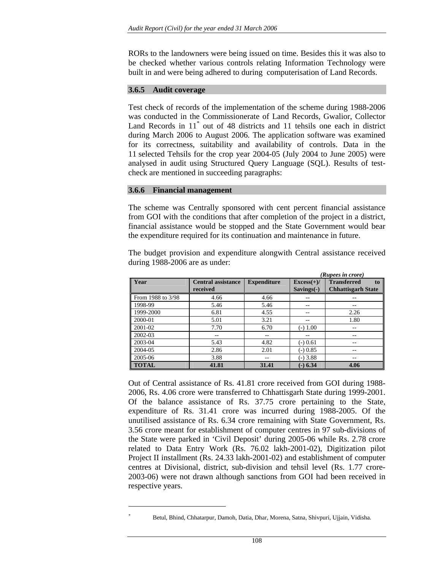RORs to the landowners were being issued on time. Besides this it was also to be checked whether various controls relating Information Technology were built in and were being adhered to during computerisation of Land Records.

### **3.6.5 Audit coverage**

Test check of records of the implementation of the scheme during 1988-2006 was conducted in the Commissionerate of Land Records, Gwalior, Collector Land Records in 11<sup>\*</sup> out of 48 districts and 11 tehsils one each in district during March 2006 to August 2006. The application software was examined for its correctness, suitability and availability of controls. Data in the 11 selected Tehsils for the crop year 2004-05 (July 2004 to June 2005) were analysed in audit using Structured Query Language (SQL). Results of testcheck are mentioned in succeeding paragraphs:

### **3.6.6 Financial management**

 *\**

The scheme was Centrally sponsored with cent percent financial assistance from GOI with the conditions that after completion of the project in a district, financial assistance would be stopped and the State Government would bear the expenditure required for its continuation and maintenance in future.

The budget provision and expenditure alongwith Central assistance received during 1988-2006 are as under:

|                   |                                       |                    |                              | (Rupees in crore)                                     |
|-------------------|---------------------------------------|--------------------|------------------------------|-------------------------------------------------------|
| Year              | <b>Central assistance</b><br>received | <b>Expenditure</b> | $Excess(+)/$<br>$Savings(-)$ | <b>Transferred</b><br>to<br><b>Chhattisgarh State</b> |
| From 1988 to 3/98 | 4.66                                  | 4.66               | --                           |                                                       |
| 1998-99           | 5.46                                  | 5.46               | --                           | --                                                    |
| 1999-2000         | 6.81                                  | 4.55               | --                           | 2.26                                                  |
| 2000-01           | 5.01                                  | 3.21               | --                           | 1.80                                                  |
| 2001-02           | 7.70                                  | 6.70               | $(-) 1.00$                   | --                                                    |
| 2002-03           | --                                    | $- -$              | $- -$                        | --                                                    |
| 2003-04           | 5.43                                  | 4.82               | $(-) 0.61$                   | $- -$                                                 |
| 2004-05           | 2.86                                  | 2.01               | $(-) 0.85$                   | --                                                    |
| 2005-06           | 3.88                                  | --                 | $(-)3.88$                    | $- -$                                                 |
| <b>TOTAL</b>      | 41.81                                 | 31.41              | $(-) 6.34$                   | 4.06                                                  |

Out of Central assistance of Rs. 41.81 crore received from GOI during 1988- 2006, Rs. 4.06 crore were transferred to Chhattisgarh State during 1999-2001. Of the balance assistance of Rs. 37.75 crore pertaining to the State, expenditure of Rs. 31.41 crore was incurred during 1988-2005. Of the unutilised assistance of Rs. 6.34 crore remaining with State Government, Rs. 3.56 crore meant for establishment of computer centres in 97 sub-divisions of the State were parked in 'Civil Deposit' during 2005-06 while Rs. 2.78 crore related to Data Entry Work (Rs. 76.02 lakh-2001-02), Digitization pilot Project II installment (Rs. 24.33 lakh-2001-02) and establishment of computer centres at Divisional, district, sub-division and tehsil level (Rs. 1.77 crore-2003-06) were not drawn although sanctions from GOI had been received in respective years.

Betul, Bhind, Chhatarpur, Damoh, Datia, Dhar, Morena, Satna, Shivpuri, Ujjain, Vidisha.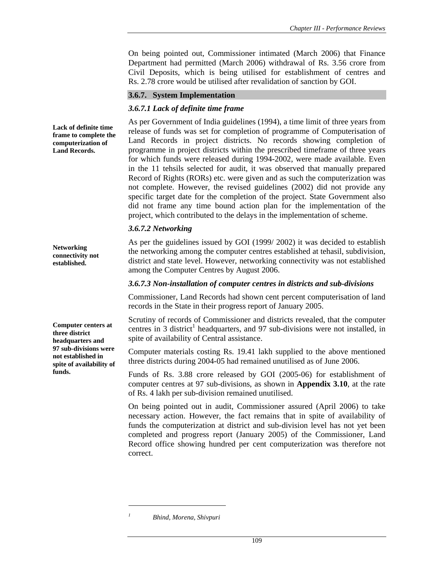On being pointed out, Commissioner intimated (March 2006) that Finance Department had permitted (March 2006) withdrawal of Rs. 3.56 crore from Civil Deposits, which is being utilised for establishment of centres and Rs. 2.78 crore would be utilised after revalidation of sanction by GOI.

# **3.6.7. System Implementation**

# *3.6.7.1 Lack of definite time frame*

As per Government of India guidelines (1994), a time limit of three years from release of funds was set for completion of programme of Computerisation of Land Records in project districts. No records showing completion of programme in project districts within the prescribed timeframe of three years for which funds were released during 1994-2002, were made available. Even in the 11 tehsils selected for audit, it was observed that manually prepared Record of Rights (RORs) etc. were given and as such the computerization was not complete. However, the revised guidelines (2002) did not provide any specific target date for the completion of the project. State Government also did not frame any time bound action plan for the implementation of the project, which contributed to the delays in the implementation of scheme.

## *3.6.7.2 Networking*

As per the guidelines issued by GOI (1999/ 2002) it was decided to establish the networking among the computer centres established at tehasil, subdivision, district and state level. However, networking connectivity was not established among the Computer Centres by August 2006.

### *3.6.7.3 Non-installation of computer centres in districts and sub-divisions*

Commissioner, Land Records had shown cent percent computerisation of land records in the State in their progress report of January 2005.

Scrutiny of records of Commissioner and districts revealed, that the computer centres in 3 district<sup>1</sup> headquarters, and 97 sub-divisions were not installed, in spite of availability of Central assistance.

Computer materials costing Rs. 19.41 lakh supplied to the above mentioned three districts during 2004-05 had remained unutilised as of June 2006.

Funds of Rs. 3.88 crore released by GOI (2005-06) for establishment of computer centres at 97 sub-divisions, as shown in **Appendix 3.10**, at the rate of Rs. 4 lakh per sub-division remained unutilised.

On being pointed out in audit, Commissioner assured (April 2006) to take necessary action. However, the fact remains that in spite of availability of funds the computerization at district and sub-division level has not yet been completed and progress report (January 2005) of the Commissioner, Land Record office showing hundred per cent computerization was therefore not correct.

**Lack of definite time frame to complete the computerization of Land Records.** 

**Computer centers at three district headquarters and 97 sub-divisions were not established in spite of availability of funds.** 

**Networking connectivity not established.** 

 $\overline{a}$ *1*

*Bhind, Morena, Shivpuri*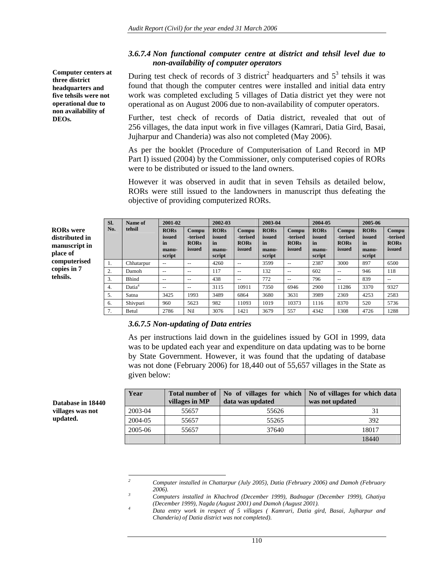## *3.6.7.4 Non functional computer centre at district and tehsil level due to non-availability of computer operators*

During test check of records of 3 district<sup>2</sup> headquarters and  $5^3$  tehsils it was found that though the computer centres were installed and initial data entry work was completed excluding 5 villages of Datia district yet they were not operational as on August 2006 due to non-availability of computer operators. **Computer centers at three district headquarters and five tehsils were not operational due to non availability of** 

Further, test check of records of Datia district, revealed that out of 256 villages, the data input work in five villages (Kamrari, Datia Gird, Basai, Jujharpur and Chanderia) was also not completed (May 2006).

As per the booklet (Procedure of Computerisation of Land Record in MP Part I) issued (2004) by the Commissioner, only computerised copies of RORs were to be distributed or issued to the land owners.

However it was observed in audit that in seven Tehsils as detailed below, RORs were still issued to the landowners in manuscript thus defeating the objective of providing computerized RORs.

|                                                                 | SI. | Name of            | 2001-02                                        |                                            | 2002-03                                        |                                            | 2003-04                                        |                                            | 2004-05                                        |                                            | 2005-06                                        |                                            |
|-----------------------------------------------------------------|-----|--------------------|------------------------------------------------|--------------------------------------------|------------------------------------------------|--------------------------------------------|------------------------------------------------|--------------------------------------------|------------------------------------------------|--------------------------------------------|------------------------------------------------|--------------------------------------------|
| <b>RORs</b> were<br>distributed in<br>manuscript in<br>place of | No. | tehsil             | <b>RORs</b><br>issued<br>in<br>manu-<br>script | Compu<br>-terised<br><b>RORs</b><br>issued | <b>RORs</b><br>issued<br>in<br>manu-<br>script | Compu<br>-terised<br><b>RORs</b><br>issued | <b>RORs</b><br>issued<br>in<br>manu-<br>script | Compu<br>-terised<br><b>RORs</b><br>issued | <b>RORs</b><br>issued<br>in<br>manu-<br>script | Compu<br>-terised<br><b>RORs</b><br>issued | <b>RORs</b><br>issued<br>in<br>manu-<br>script | Compu<br>-terised<br><b>RORs</b><br>issued |
| computerised                                                    | 1.  | Chhatarpur         | $-1$                                           | $- -$                                      | 4260                                           | $- -$                                      | 3599                                           | $- -$                                      | 2387                                           | 3000                                       | 897                                            | 6500                                       |
| copies in 7                                                     | 2.  | Damoh              | $-$                                            | $- -$                                      | 117                                            | $- -$                                      | 132                                            | $- -$                                      | 602                                            | $\hspace{0.05cm} -$                        | 946                                            | 118                                        |
| tehsils.                                                        | 3.  | <b>Bhind</b>       | $-$                                            | $- -$                                      | 438                                            | $- -$                                      | 772                                            | $- -$                                      | 796                                            | --                                         | 839                                            | $- -$                                      |
|                                                                 | 4.  | Datia <sup>4</sup> | $- -$                                          | $- -$                                      | 3115                                           | 10911                                      | 7350                                           | 6946                                       | 2900                                           | 11286                                      | 3370                                           | 9327                                       |
|                                                                 | 5.  | Satna              | 3425                                           | 1993                                       | 3489                                           | 6864                                       | 3680                                           | 3631                                       | 3989                                           | 2369                                       | 4253                                           | 2583                                       |
|                                                                 | 6.  | Shivpuri           | 960                                            | 5623                                       | 982                                            | 11093                                      | 1019                                           | 10373                                      | 1116                                           | 8370                                       | 520                                            | 5736                                       |
|                                                                 | 7.  | Betul              | 2786                                           | Nil                                        | 3076                                           | 1421                                       | 3679                                           | 557                                        | 4342                                           | 1308                                       | 4726                                           | 1288                                       |

#### *3.6.7.5 Non-updating of Data entries*

As per instructions laid down in the guidelines issued by GOI in 1999, data was to be updated each year and expenditure on data updating was to be borne by State Government. However, it was found that the updating of database was not done (February 2006) for 18,440 out of 55,657 villages in the State as given below:

| Year    | <b>Total number of</b><br>villages in MP | data was updated | No of villages for which   No of villages for which data<br>was not updated |
|---------|------------------------------------------|------------------|-----------------------------------------------------------------------------|
| 2003-04 | 55657                                    | 55626            | 31                                                                          |
| 2004-05 | 55657                                    | 55265            | 392                                                                         |
| 2005-06 | 55657                                    | 37640            | 18017                                                                       |
|         |                                          |                  | 18440                                                                       |

**Database in 18440 villages was not updated.** 

**DEOs.** 

 *2 Computer installed in Chattarpur (July 2005), Datia (February 2006) and Damoh (February 2006). 3*

*Computers installed in Khachrod (December 1999), Badnagar (December 1999), Ghatiya (December 1999), Nagda (August 2001) and Damoh (August 2001). 4*

*Data entry work in respect of 5 villages ( Kamrari, Datia gird, Basai, Jujharpur and Chanderia) of Datia district was not completed).*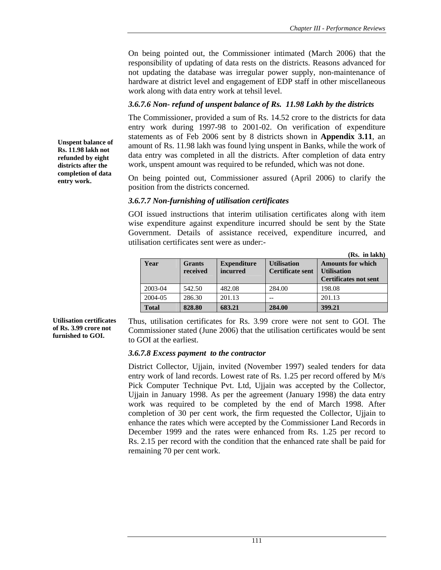On being pointed out, the Commissioner intimated (March 2006) that the responsibility of updating of data rests on the districts. Reasons advanced for not updating the database was irregular power supply, non-maintenance of hardware at district level and engagement of EDP staff in other miscellaneous work along with data entry work at tehsil level.

# *3.6.7.6 Non- refund of unspent balance of Rs. 11.98 Lakh by the districts*

The Commissioner, provided a sum of Rs. 14.52 crore to the districts for data entry work during 1997-98 to 2001-02. On verification of expenditure statements as of Feb 2006 sent by 8 districts shown in **Appendix 3.11**, an amount of Rs. 11.98 lakh was found lying unspent in Banks, while the work of data entry was completed in all the districts. After completion of data entry work, unspent amount was required to be refunded, which was not done.

On being pointed out, Commissioner assured (April 2006) to clarify the position from the districts concerned.

## *3.6.7.7 Non-furnishing of utilisation certificates*

GOI issued instructions that interim utilisation certificates along with item wise expenditure against expenditure incurred should be sent by the State Government. Details of assistance received, expenditure incurred, and utilisation certificates sent were as under:-

|              |                           |                                |                                               | (Rs. in lakh)                                                                  |
|--------------|---------------------------|--------------------------------|-----------------------------------------------|--------------------------------------------------------------------------------|
| Year         | <b>Grants</b><br>received | <b>Expenditure</b><br>incurred | <b>Utilisation</b><br><b>Certificate sent</b> | <b>Amounts for which</b><br><b>Utilisation</b><br><b>Certificates not sent</b> |
| 2003-04      | 542.50                    | 482.08                         | 284.00                                        | 198.08                                                                         |
| 2004-05      | 286.30                    | 201.13                         |                                               | 201.13                                                                         |
| <b>Total</b> | 828.80                    | 683.21                         | 284.00                                        | 399.21                                                                         |

**Utilisation certificates of Rs. 3.99 crore not furnished to GOI.** 

Thus, utilisation certificates for Rs. 3.99 crore were not sent to GOI. The Commissioner stated (June 2006) that the utilisation certificates would be sent to GOI at the earliest.

## *3.6.7.8 Excess payment to the contractor*

District Collector, Ujjain, invited (November 1997) sealed tenders for data entry work of land records. Lowest rate of Rs. 1.25 per record offered by M/s Pick Computer Technique Pvt. Ltd, Ujjain was accepted by the Collector, Ujjain in January 1998. As per the agreement (January 1998) the data entry work was required to be completed by the end of March 1998. After completion of 30 per cent work, the firm requested the Collector, Ujjain to enhance the rates which were accepted by the Commissioner Land Records in December 1999 and the rates were enhanced from Rs. 1.25 per record to Rs. 2.15 per record with the condition that the enhanced rate shall be paid for remaining 70 per cent work.

**Unspent balance of Rs. 11.98 lakh not refunded by eight districts after the completion of data entry work.**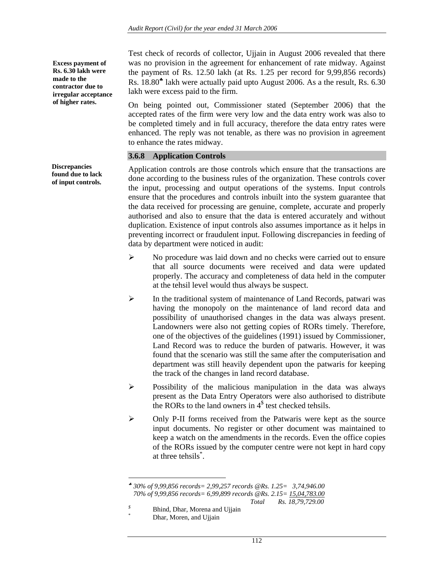**Excess payment of Rs. 6.30 lakh were made to the contractor due to irregular acceptance of higher rates.** 

**Discrepancies found due to lack of input controls.** 

Test check of records of collector, Ujjain in August 2006 revealed that there was no provision in the agreement for enhancement of rate midway. Against the payment of Rs. 12.50 lakh (at Rs. 1.25 per record for 9,99,856 records) Rs. 18.80♣ lakh were actually paid upto August 2006. As a the result, Rs. 6.30 lakh were excess paid to the firm.

On being pointed out, Commissioner stated (September 2006) that the accepted rates of the firm were very low and the data entry work was also to be completed timely and in full accuracy, therefore the data entry rates were enhanced. The reply was not tenable, as there was no provision in agreement to enhance the rates midway.

## **3.6.8 Application Controls**

Application controls are those controls which ensure that the transactions are done according to the business rules of the organization. These controls cover the input, processing and output operations of the systems. Input controls ensure that the procedures and controls inbuilt into the system guarantee that the data received for processing are genuine, complete, accurate and properly authorised and also to ensure that the data is entered accurately and without duplication. Existence of input controls also assumes importance as it helps in preventing incorrect or fraudulent input. Following discrepancies in feeding of data by department were noticed in audit:

- ¾ No procedure was laid down and no checks were carried out to ensure that all source documents were received and data were updated properly. The accuracy and completeness of data held in the computer at the tehsil level would thus always be suspect.
- $\triangleright$  In the traditional system of maintenance of Land Records, patwari was having the monopoly on the maintenance of land record data and possibility of unauthorised changes in the data was always present. Landowners were also not getting copies of RORs timely. Therefore, one of the objectives of the guidelines (1991) issued by Commissioner, Land Record was to reduce the burden of patwaris. However, it was found that the scenario was still the same after the computerisation and department was still heavily dependent upon the patwaris for keeping the track of the changes in land record database.
- $\triangleright$  Possibility of the malicious manipulation in the data was always present as the Data Entry Operators were also authorised to distribute the RORs to the land owners in  $4<sup>§</sup>$  test checked tehsils.
- ¾ Only P-II forms received from the Patwaris were kept as the source input documents. No register or other document was maintained to keep a watch on the amendments in the records. Even the office copies of the RORs issued by the computer centre were not kept in hard copy at three tehsils\* .

 $\overline{\phantom{a}}$ 

<sup>♣</sup> *30% of 9,99,856 records= 2,99,257 records @Rs. 1.25= 3,74,946.00 70% of 9,99,856 records= 6,99,899 records @Rs. 2.15= 15,04,783.00 Total Rs. 18,79,729.00* 

*<sup>\$</sup>* **Bhind, Dhar, Morena and Ujjain** 

Dhar, Moren, and Ujjain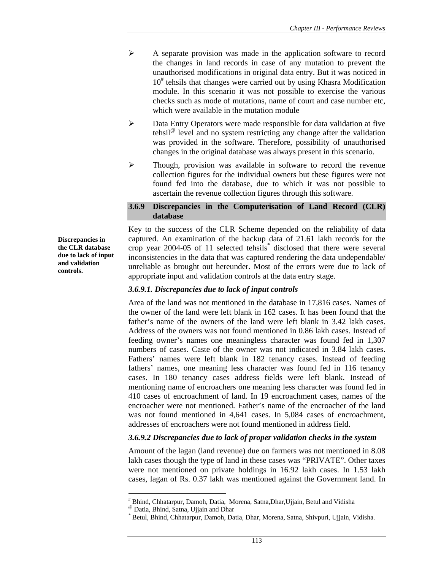- ¾ A separate provision was made in the application software to record the changes in land records in case of any mutation to prevent the unauthorised modifications in original data entry. But it was noticed in 10<sup>#</sup> tehsils that changes were carried out by using Khasra Modification module. In this scenario it was not possible to exercise the various checks such as mode of mutations, name of court and case number etc, which were available in the mutation module
- ¾ Data Entry Operators were made responsible for data validation at five tehsil<sup> $\omega$ </sup> level and no system restricting any change after the validation was provided in the software. Therefore, possibility of unauthorised changes in the original database was always present in this scenario.
- $\triangleright$  Though, provision was available in software to record the revenue collection figures for the individual owners but these figures were not found fed into the database, due to which it was not possible to ascertain the revenue collection figures through this software.

#### **3.6.9 Discrepancies in the Computerisation of Land Record (CLR) database**

Key to the success of the CLR Scheme depended on the reliability of data captured. An examination of the backup data of 21.61 lakh records for the crop year 2004-05 of 11 selected tehsils\* disclosed that there were several inconsistencies in the data that was captured rendering the data undependable/ unreliable as brought out hereunder. Most of the errors were due to lack of appropriate input and validation controls at the data entry stage.

### *3.6.9.1. Discrepancies due to lack of input controls*

Area of the land was not mentioned in the database in 17,816 cases. Names of the owner of the land were left blank in 162 cases. It has been found that the father's name of the owners of the land were left blank in 3.42 lakh cases. Address of the owners was not found mentioned in 0.86 lakh cases. Instead of feeding owner's names one meaningless character was found fed in 1,307 numbers of cases. Caste of the owner was not indicated in 3.84 lakh cases. Fathers' names were left blank in 182 tenancy cases. Instead of feeding fathers' names, one meaning less character was found fed in 116 tenancy cases. In 180 tenancy cases address fields were left blank. Instead of mentioning name of encroachers one meaning less character was found fed in 410 cases of encroachment of land. In 19 encroachment cases, names of the encroacher were not mentioned. Father's name of the encroacher of the land was not found mentioned in 4,641 cases. In 5,084 cases of encroachment, addresses of encroachers were not found mentioned in address field.

### *3.6.9.2 Discrepancies due to lack of proper validation checks in the system*

Amount of the lagan (land revenue) due on farmers was not mentioned in 8.08 lakh cases though the type of land in these cases was "PRIVATE". Other taxes were not mentioned on private holdings in 16.92 lakh cases. In 1.53 lakh cases, lagan of Rs. 0.37 lakh was mentioned against the Government land. In

l

**Discrepancies in the CLR database due to lack of input and validation controls.** 

<sup>#</sup> Bhind, Chhatarpur, Damoh, Datia, Morena, Satna,Dhar,Ujjain, Betul and Vidisha

*<sup>@</sup>* Datia, Bhind, Satna, Ujjain and Dhar *\** Betul, Bhind, Chhatarpur, Damoh, Datia, Dhar, Morena, Satna, Shivpuri, Ujjain, Vidisha.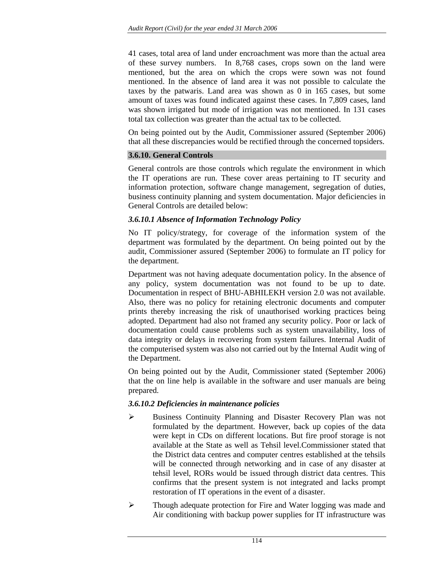41 cases, total area of land under encroachment was more than the actual area of these survey numbers. In 8,768 cases, crops sown on the land were mentioned, but the area on which the crops were sown was not found mentioned. In the absence of land area it was not possible to calculate the taxes by the patwaris. Land area was shown as 0 in 165 cases, but some amount of taxes was found indicated against these cases. In 7,809 cases, land was shown irrigated but mode of irrigation was not mentioned. In 131 cases total tax collection was greater than the actual tax to be collected.

On being pointed out by the Audit, Commissioner assured (September 2006) that all these discrepancies would be rectified through the concerned topsiders.

#### **3.6.10. General Controls**

General controls are those controls which regulate the environment in which the IT operations are run. These cover areas pertaining to IT security and information protection, software change management, segregation of duties, business continuity planning and system documentation. Major deficiencies in General Controls are detailed below:

#### *3.6.10.1 Absence of Information Technology Policy*

No IT policy/strategy, for coverage of the information system of the department was formulated by the department. On being pointed out by the audit, Commissioner assured (September 2006) to formulate an IT policy for the department.

Department was not having adequate documentation policy. In the absence of any policy, system documentation was not found to be up to date. Documentation in respect of BHU-ABHILEKH version 2.0 was not available. Also, there was no policy for retaining electronic documents and computer prints thereby increasing the risk of unauthorised working practices being adopted. Department had also not framed any security policy. Poor or lack of documentation could cause problems such as system unavailability, loss of data integrity or delays in recovering from system failures. Internal Audit of the computerised system was also not carried out by the Internal Audit wing of the Department.

On being pointed out by the Audit, Commissioner stated (September 2006) that the on line help is available in the software and user manuals are being prepared.

### *3.6.10.2 Deficiencies in maintenance policies*

- ¾ Business Continuity Planning and Disaster Recovery Plan was not formulated by the department. However, back up copies of the data were kept in CDs on different locations. But fire proof storage is not available at the State as well as Tehsil level.Commissioner stated that the District data centres and computer centres established at the tehsils will be connected through networking and in case of any disaster at tehsil level, RORs would be issued through district data centres. This confirms that the present system is not integrated and lacks prompt restoration of IT operations in the event of a disaster.
- ¾ Though adequate protection for Fire and Water logging was made and Air conditioning with backup power supplies for IT infrastructure was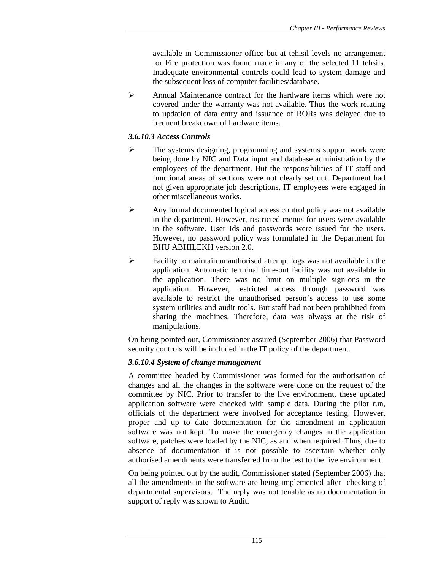available in Commissioner office but at tehisil levels no arrangement for Fire protection was found made in any of the selected 11 tehsils. Inadequate environmental controls could lead to system damage and the subsequent loss of computer facilities/database.

 $\triangleright$  Annual Maintenance contract for the hardware items which were not covered under the warranty was not available. Thus the work relating to updation of data entry and issuance of RORs was delayed due to frequent breakdown of hardware items.

### *3.6.10.3 Access Controls*

- ¾ The systems designing, programming and systems support work were being done by NIC and Data input and database administration by the employees of the department. But the responsibilities of IT staff and functional areas of sections were not clearly set out. Department had not given appropriate job descriptions, IT employees were engaged in other miscellaneous works.
- ¾ Any formal documented logical access control policy was not available in the department. However, restricted menus for users were available in the software. User Ids and passwords were issued for the users. However, no password policy was formulated in the Department for BHU ABHILEKH version 2.0.
- $\triangleright$  Facility to maintain unauthorised attempt logs was not available in the application. Automatic terminal time-out facility was not available in the application. There was no limit on multiple sign-ons in the application. However, restricted access through password was available to restrict the unauthorised person's access to use some system utilities and audit tools. But staff had not been prohibited from sharing the machines. Therefore, data was always at the risk of manipulations.

On being pointed out, Commissioner assured (September 2006) that Password security controls will be included in the IT policy of the department.

### *3.6.10.4 System of change management*

A committee headed by Commissioner was formed for the authorisation of changes and all the changes in the software were done on the request of the committee by NIC. Prior to transfer to the live environment, these updated application software were checked with sample data. During the pilot run, officials of the department were involved for acceptance testing. However, proper and up to date documentation for the amendment in application software was not kept. To make the emergency changes in the application software, patches were loaded by the NIC, as and when required. Thus, due to absence of documentation it is not possible to ascertain whether only authorised amendments were transferred from the test to the live environment.

On being pointed out by the audit, Commissioner stated (September 2006) that all the amendments in the software are being implemented after checking of departmental supervisors. The reply was not tenable as no documentation in support of reply was shown to Audit.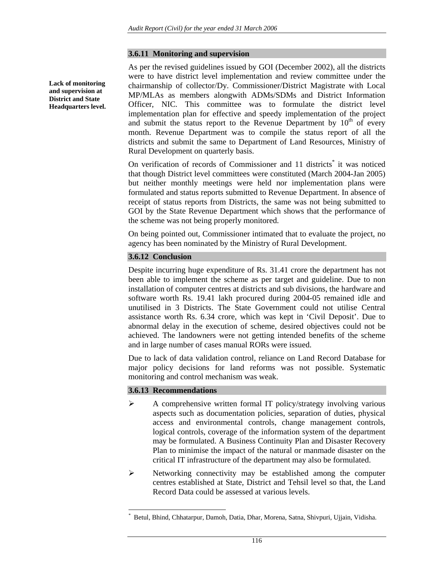#### **3.6.11 Monitoring and supervision**

As per the revised guidelines issued by GOI (December 2002), all the districts were to have district level implementation and review committee under the chairmanship of collector/Dy. Commissioner/District Magistrate with Local MP/MLAs as members alongwith ADMs/SDMs and District Information Officer, NIC. This committee was to formulate the district level implementation plan for effective and speedy implementation of the project and submit the status report to the Revenue Department by  $10<sup>th</sup>$  of every month. Revenue Department was to compile the status report of all the districts and submit the same to Department of Land Resources, Ministry of Rural Development on quarterly basis.

On verification of records of Commissioner and 11 districts<sup>\*</sup> it was noticed that though District level committees were constituted (March 2004-Jan 2005) but neither monthly meetings were held nor implementation plans were formulated and status reports submitted to Revenue Department. In absence of receipt of status reports from Districts, the same was not being submitted to GOI by the State Revenue Department which shows that the performance of the scheme was not being properly monitored.

On being pointed out, Commissioner intimated that to evaluate the project, no agency has been nominated by the Ministry of Rural Development.

### **3.6.12 Conclusion**

Despite incurring huge expenditure of Rs. 31.41 crore the department has not been able to implement the scheme as per target and guideline. Due to non installation of computer centres at districts and sub divisions, the hardware and software worth Rs. 19.41 lakh procured during 2004-05 remained idle and unutilised in 3 Districts. The State Government could not utilise Central assistance worth Rs. 6.34 crore, which was kept in 'Civil Deposit'. Due to abnormal delay in the execution of scheme, desired objectives could not be achieved. The landowners were not getting intended benefits of the scheme and in large number of cases manual RORs were issued.

Due to lack of data validation control, reliance on Land Record Database for major policy decisions for land reforms was not possible. Systematic monitoring and control mechanism was weak.

#### **3.6.13 Recommendations**

 $\overline{a}$ 

- ¾ A comprehensive written formal IT policy/strategy involving various aspects such as documentation policies, separation of duties, physical access and environmental controls, change management controls, logical controls, coverage of the information system of the department may be formulated. A Business Continuity Plan and Disaster Recovery Plan to minimise the impact of the natural or manmade disaster on the critical IT infrastructure of the department may also be formulated.
- $\triangleright$  Networking connectivity may be established among the computer centres established at State, District and Tehsil level so that, the Land Record Data could be assessed at various levels.

**Lack of monitoring and supervision at District and State Headquarters level.** 

*<sup>\*</sup>* Betul, Bhind, Chhatarpur, Damoh, Datia, Dhar, Morena, Satna, Shivpuri, Ujjain, Vidisha.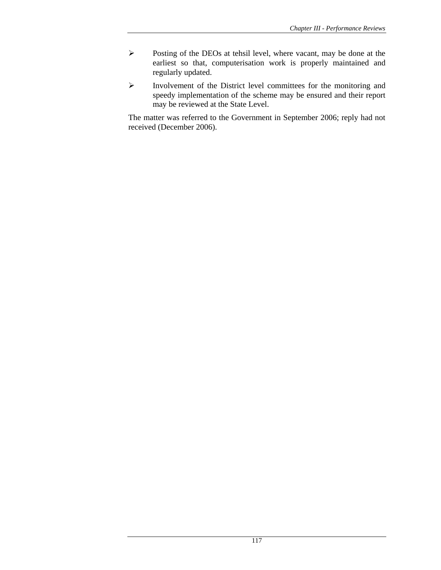- ¾ Posting of the DEOs at tehsil level, where vacant, may be done at the earliest so that, computerisation work is properly maintained and regularly updated.
- ¾ Involvement of the District level committees for the monitoring and speedy implementation of the scheme may be ensured and their report may be reviewed at the State Level.

The matter was referred to the Government in September 2006; reply had not received (December 2006).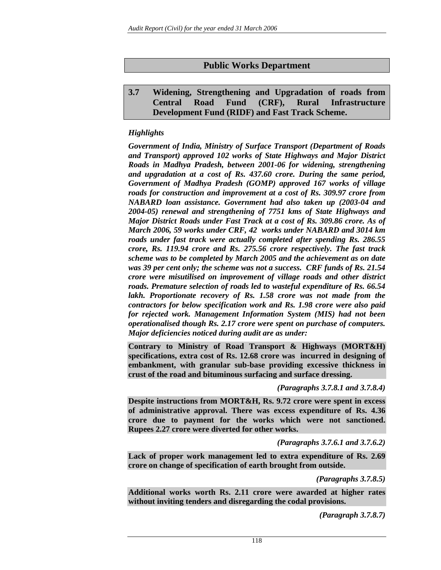# **Public Works Department**

## **3.7 Widening, Strengthening and Upgradation of roads from Central Road Fund (CRF), Rural Infrastructure Development Fund (RIDF) and Fast Track Scheme.**

## *Highlights*

*Government of India, Ministry of Surface Transport (Department of Roads and Transport) approved 102 works of State Highways and Major District Roads in Madhya Pradesh, between 2001-06 for widening, strengthening and upgradation at a cost of Rs. 437.60 crore. During the same period, Government of Madhya Pradesh (GOMP) approved 167 works of village roads for construction and improvement at a cost of Rs. 309.97 crore from NABARD loan assistance. Government had also taken up (2003-04 and 2004-05) renewal and strengthening of 7751 kms of State Highways and Major District Roads under Fast Track at a cost of Rs. 309.86 crore. As of March 2006, 59 works under CRF, 42 works under NABARD and 3014 km roads under fast track were actually completed after spending Rs. 286.55 crore, Rs. 119.94 crore and Rs. 275.56 crore respectively. The fast track scheme was to be completed by March 2005 and the achievement as on date was 39 per cent only; the scheme was not a success. CRF funds of Rs. 21.54 crore were misutilised on improvement of village roads and other district roads. Premature selection of roads led to wasteful expenditure of Rs. 66.54 lakh. Proportionate recovery of Rs. 1.58 crore was not made from the contractors for below specification work and Rs. 1.98 crore were also paid for rejected work. Management Information System (MIS) had not been operationalised though Rs. 2.17 crore were spent on purchase of computers. Major deficiencies noticed during audit are as under:* 

**Contrary to Ministry of Road Transport & Highways (MORT&H) specifications, extra cost of Rs. 12.68 crore was incurred in designing of embankment, with granular sub-base providing excessive thickness in crust of the road and bituminous surfacing and surface dressing.** 

*(Paragraphs 3.7.8.1 and 3.7.8.4)*

**Despite instructions from MORT&H, Rs. 9.72 crore were spent in excess of administrative approval. There was excess expenditure of Rs. 4.36 crore due to payment for the works which were not sanctioned. Rupees 2.27 crore were diverted for other works.** 

*(Paragraphs 3.7.6.1 and 3.7.6.2)* 

**Lack of proper work management led to extra expenditure of Rs. 2.69 crore on change of specification of earth brought from outside.** 

*(Paragraphs 3.7.8.5)*

**Additional works worth Rs. 2.11 crore were awarded at higher rates without inviting tenders and disregarding the codal provisions.** 

*(Paragraph 3.7.8.7)*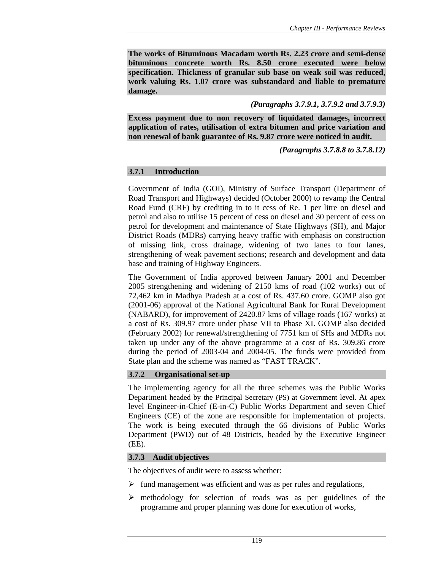**The works of Bituminous Macadam worth Rs. 2.23 crore and semi-dense bituminous concrete worth Rs. 8.50 crore executed were below specification. Thickness of granular sub base on weak soil was reduced, work valuing Rs. 1.07 crore was substandard and liable to premature damage.** 

### *(Paragraphs 3.7.9.1, 3.7.9.2 and 3.7.9.3)*

**Excess payment due to non recovery of liquidated damages, incorrect application of rates, utilisation of extra bitumen and price variation and non renewal of bank guarantee of Rs. 9.87 crore were noticed in audit.** 

*(Paragraphs 3.7.8.8 to 3.7.8.12)* 

### **3.7.1 Introduction**

Government of India (GOI), Ministry of Surface Transport (Department of Road Transport and Highways) decided (October 2000) to revamp the Central Road Fund (CRF) by crediting in to it cess of Re. 1 per litre on diesel and petrol and also to utilise 15 percent of cess on diesel and 30 percent of cess on petrol for development and maintenance of State Highways (SH), and Major District Roads (MDRs) carrying heavy traffic with emphasis on construction of missing link, cross drainage, widening of two lanes to four lanes, strengthening of weak pavement sections; research and development and data base and training of Highway Engineers.

The Government of India approved between January 2001 and December 2005 strengthening and widening of 2150 kms of road (102 works) out of 72,462 km in Madhya Pradesh at a cost of Rs. 437.60 crore. GOMP also got (2001-06) approval of the National Agricultural Bank for Rural Development (NABARD), for improvement of 2420.87 kms of village roads (167 works) at a cost of Rs. 309.97 crore under phase VII to Phase XI. GOMP also decided (February 2002) for renewal/strengthening of 7751 km of SHs and MDRs not taken up under any of the above programme at a cost of Rs. 309.86 crore during the period of 2003-04 and 2004-05. The funds were provided from State plan and the scheme was named as "FAST TRACK".

## **3.7.2 Organisational set-up**

The implementing agency for all the three schemes was the Public Works Department headed by the Principal Secretary (PS) at Government level. At apex level Engineer-in-Chief (E-in-C) Public Works Department and seven Chief Engineers (CE) of the zone are responsible for implementation of projects. The work is being executed through the 66 divisions of Public Works Department (PWD) out of 48 Districts, headed by the Executive Engineer (EE).

### **3.7.3 Audit objectives**

The objectives of audit were to assess whether:

- $\triangleright$  fund management was efficient and was as per rules and regulations,
- ¾ methodology for selection of roads was as per guidelines of the programme and proper planning was done for execution of works,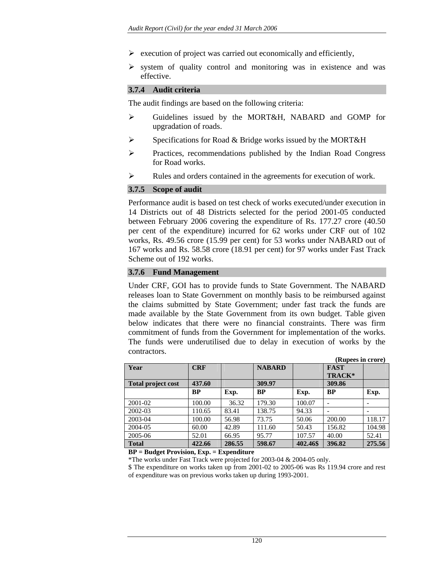- $\triangleright$  execution of project was carried out economically and efficiently,
- $\triangleright$  system of quality control and monitoring was in existence and was effective.

#### **3.7.4 Audit criteria**

The audit findings are based on the following criteria:

- ¾ Guidelines issued by the MORT&H, NABARD and GOMP for upgradation of roads.
- $\triangleright$  Specifications for Road & Bridge works issued by the MORT&H
- ¾ Practices, recommendations published by the Indian Road Congress for Road works.
- ¾ Rules and orders contained in the agreements for execution of work.

#### **3.7.5 Scope of audit**

Performance audit is based on test check of works executed/under execution in 14 Districts out of 48 Districts selected for the period 2001-05 conducted between February 2006 covering the expenditure of Rs. 177.27 crore (40.50 per cent of the expenditure) incurred for 62 works under CRF out of 102 works, Rs. 49.56 crore (15.99 per cent) for 53 works under NABARD out of 167 works and Rs. 58.58 crore (18.91 per cent) for 97 works under Fast Track Scheme out of 192 works.

#### **3.7.6 Fund Management**

Under CRF, GOI has to provide funds to State Government. The NABARD releases loan to State Government on monthly basis to be reimbursed against the claims submitted by State Government; under fast track the funds are made available by the State Government from its own budget. Table given below indicates that there were no financial constraints. There was firm commitment of funds from the Government for implementation of the works. The funds were underutilised due to delay in execution of works by the contractors.

|                           |            |        |               |          | (Rupees in crore) |                          |
|---------------------------|------------|--------|---------------|----------|-------------------|--------------------------|
| Year                      | <b>CRF</b> |        | <b>NABARD</b> |          | <b>FAST</b>       |                          |
|                           |            |        |               |          | TRACK*            |                          |
| <b>Total project cost</b> | 437.60     |        | 309.97        |          | 309.86            |                          |
|                           | <b>BP</b>  | Exp.   | <b>BP</b>     | Exp.     | <b>BP</b>         | Exp.                     |
| 2001-02                   | 100.00     | 36.32  | 179.30        | 100.07   |                   | $\overline{\phantom{a}}$ |
| 2002-03                   | 110.65     | 83.41  | 138.75        | 94.33    |                   |                          |
| 2003-04                   | 100.00     | 56.98  | 73.75         | 50.06    | 200.00            | 118.17                   |
| 2004-05                   | 60.00      | 42.89  | 111.60        | 50.43    | 156.82            | 104.98                   |
| 2005-06                   | 52.01      | 66.95  | 95.77         | 107.57   | 40.00             | 52.41                    |
| <b>Total</b>              | 422.66     | 286.55 | 598.67        | 402.46\$ | 396.82            | 275.56                   |

**BP = Budget Provision, Exp. = Expenditure** 

\*The works under Fast Track were projected for 2003-04 & 2004-05 only.

\$ The expenditure on works taken up from 2001-02 to 2005-06 was Rs 119.94 crore and rest of expenditure was on previous works taken up during 1993-2001.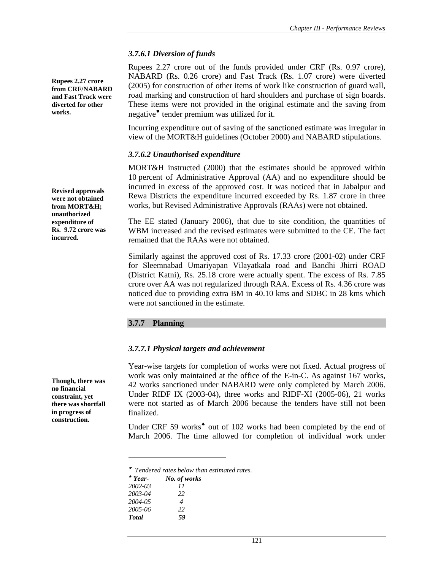#### *3.7.6.1 Diversion of funds*

Rupees 2.27 crore out of the funds provided under CRF (Rs. 0.97 crore), NABARD (Rs. 0.26 crore) and Fast Track (Rs. 1.07 crore) were diverted (2005) for construction of other items of work like construction of guard wall, road marking and construction of hard shoulders and purchase of sign boards. These items were not provided in the original estimate and the saving from negative♥ tender premium was utilized for it.

Incurring expenditure out of saving of the sanctioned estimate was irregular in view of the MORT&H guidelines (October 2000) and NABARD stipulations.

#### *3.7.6.2 Unauthorised expenditure*

MORT&H instructed (2000) that the estimates should be approved within 10 percent of Administrative Approval (AA) and no expenditure should be incurred in excess of the approved cost. It was noticed that in Jabalpur and Rewa Districts the expenditure incurred exceeded by Rs. 1.87 crore in three works, but Revised Administrative Approvals (RAAs) were not obtained.

The EE stated (January 2006), that due to site condition, the quantities of WBM increased and the revised estimates were submitted to the CE. The fact remained that the RAAs were not obtained.

Similarly against the approved cost of Rs. 17.33 crore (2001-02) under CRF for Sleemnabad Umariyapan Vilayatkala road and Bandhi Jhirri ROAD (District Katni), Rs. 25.18 crore were actually spent. The excess of Rs. 7.85 crore over AA was not regularized through RAA. Excess of Rs. 4.36 crore was noticed due to providing extra BM in 40.10 kms and SDBC in 28 kms which were not sanctioned in the estimate.

### **3.7.7 Planning**

### *3.7.7.1 Physical targets and achievement*

Year-wise targets for completion of works were not fixed. Actual progress of work was only maintained at the office of the E-in-C. As against 167 works, 42 works sanctioned under NABARD were only completed by March 2006. Under RIDF IX (2003-04), three works and RIDF-XI (2005-06), 21 works were not started as of March 2006 because the tenders have still not been finalized.

Under CRF 59 works<sup>4</sup> out of 102 works had been completed by the end of March 2006. The time allowed for completion of individual work under

<sup>♥</sup> *Tendered rates below than estimated rates.* 

| $*$ Year-     | No. of works |
|---------------|--------------|
| 2002-03       | 11           |
| 2003-04       | 22           |
| 2004-05       | 4            |
| 2005-06       | 22           |
| <b>T</b> otal | 59           |

 $\overline{a}$ 

**Though, there was no financial constraint, yet there was shortfall in progress of construction.** 

**Rupees 2.27 crore from CRF/NABARD and Fast Track were diverted for other** 

**Revised approvals were not obtained from MORT&H; unauthorized expenditure of Rs. 9.72 crore was** 

**incurred.** 

**works.**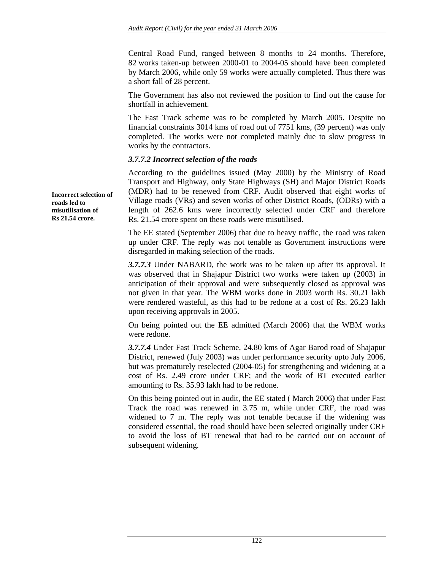Central Road Fund, ranged between 8 months to 24 months. Therefore, 82 works taken-up between 2000-01 to 2004-05 should have been completed by March 2006, while only 59 works were actually completed. Thus there was a short fall of 28 percent.

The Government has also not reviewed the position to find out the cause for shortfall in achievement.

The Fast Track scheme was to be completed by March 2005. Despite no financial constraints 3014 kms of road out of 7751 kms, (39 percent) was only completed. The works were not completed mainly due to slow progress in works by the contractors.

### *3.7.7.2 Incorrect selection of the roads*

According to the guidelines issued (May 2000) by the Ministry of Road Transport and Highway, only State Highways (SH) and Major District Roads (MDR) had to be renewed from CRF. Audit observed that eight works of Village roads (VRs) and seven works of other District Roads, (ODRs) with a length of 262.6 kms were incorrectly selected under CRF and therefore Rs. 21.54 crore spent on these roads were misutilised.

The EE stated (September 2006) that due to heavy traffic, the road was taken up under CRF. The reply was not tenable as Government instructions were disregarded in making selection of the roads.

*3.7.7.3* Under NABARD, the work was to be taken up after its approval. It was observed that in Shajapur District two works were taken up (2003) in anticipation of their approval and were subsequently closed as approval was not given in that year. The WBM works done in 2003 worth Rs. 30.21 lakh were rendered wasteful, as this had to be redone at a cost of Rs. 26.23 lakh upon receiving approvals in 2005.

On being pointed out the EE admitted (March 2006) that the WBM works were redone.

*3.7.7.4* Under Fast Track Scheme, 24.80 kms of Agar Barod road of Shajapur District, renewed (July 2003) was under performance security upto July 2006, but was prematurely reselected (2004-05) for strengthening and widening at a cost of Rs. 2.49 crore under CRF; and the work of BT executed earlier amounting to Rs. 35.93 lakh had to be redone.

On this being pointed out in audit, the EE stated ( March 2006) that under Fast Track the road was renewed in 3.75 m, while under CRF, the road was widened to 7 m. The reply was not tenable because if the widening was considered essential, the road should have been selected originally under CRF to avoid the loss of BT renewal that had to be carried out on account of subsequent widening.

**Incorrect selection of roads led to misutilisation of Rs 21.54 crore.**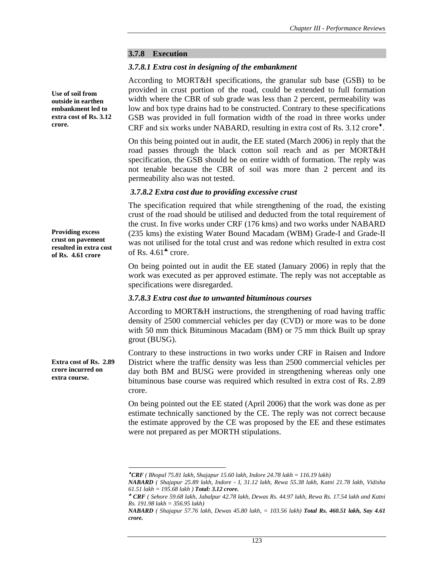#### **3.7.8 Execution**

#### *3.7.8.1 Extra cost in designing of the embankment*

According to MORT&H specifications, the granular sub base (GSB) to be provided in crust portion of the road, could be extended to full formation width where the CBR of sub grade was less than 2 percent, permeability was low and box type drains had to be constructed. Contrary to these specifications GSB was provided in full formation width of the road in three works under CRF and six works under NABARD, resulting in extra cost of Rs. 3.12 crore<sup>\*</sup>.

On this being pointed out in audit, the EE stated (March 2006) in reply that the road passes through the black cotton soil reach and as per MORT&H specification, the GSB should be on entire width of formation. The reply was not tenable because the CBR of soil was more than 2 percent and its permeability also was not tested.

#### *3.7.8.2 Extra cost due to providing excessive crust*

The specification required that while strengthening of the road, the existing crust of the road should be utilised and deducted from the total requirement of the crust. In five works under CRF (176 kms) and two works under NABARD (235 kms) the existing Water Bound Macadam (WBM) Grade-I and Grade-II was not utilised for the total crust and was redone which resulted in extra cost of Rs.  $4.61^{\bullet}$  crore.

On being pointed out in audit the EE stated (January 2006) in reply that the work was executed as per approved estimate. The reply was not acceptable as specifications were disregarded.

#### *3.7.8.3 Extra cost due to unwanted bituminous courses*

According to MORT&H instructions, the strengthening of road having traffic density of 2500 commercial vehicles per day (CVD) or more was to be done with 50 mm thick Bituminous Macadam (BM) or 75 mm thick Built up spray grout (BUSG).

Contrary to these instructions in two works under CRF in Raisen and Indore District where the traffic density was less than 2500 commercial vehicles per day both BM and BUSG were provided in strengthening whereas only one bituminous base course was required which resulted in extra cost of Rs. 2.89 crore.

On being pointed out the EE stated (April 2006) that the work was done as per estimate technically sanctioned by the CE. The reply was not correct because the estimate approved by the CE was proposed by the EE and these estimates were not prepared as per MORTH stipulations.

**Use of soil from outside in earthen embankment led to extra cost of Rs. 3.12 crore.** 

**Providing excess crust on pavement resulted in extra cost of Rs. 4.61 crore** 

**Extra cost of Rs. 2.89 crore incurred on extra course.** 

l

 $^{\bullet}$ CRF (Bhopal 75.81 lakh, Shajapur 15.60 lakh, Indore 24.78 lakh = 116.19 lakh)

*NABARD ( Shajapur 25.89 lakh, Indore - I, 31.12 lakh, Rewa 55.38 lakh, Katni 21.78 lakh, Vidisha 61.51 lakh = 195.68 lakh ) Total: 3.12 crore.* 

<sup>♣</sup> *CRF ( Sehore 59.68 lakh, Jabalpur 42.78 lakh, Dewas Rs. 44.97 lakh, Rewa Rs. 17.54 lakh and Katni Rs. 191.98 lakh = 356.95 lakh)* 

*NABARD ( Shajapur 57.76 lakh, Dewas 45.80 lakh, = 103.56 lakh) Total Rs. 460.51 lakh, Say 4.61 crore.*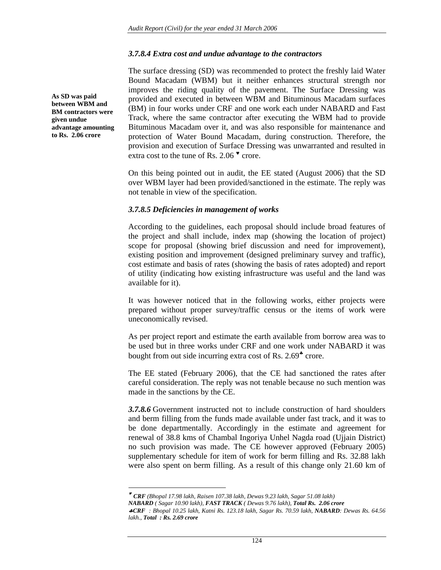#### *3.7.8.4 Extra cost and undue advantage to the contractors*

The surface dressing (SD) was recommended to protect the freshly laid Water Bound Macadam (WBM) but it neither enhances structural strength nor improves the riding quality of the pavement. The Surface Dressing was provided and executed in between WBM and Bituminous Macadam surfaces (BM) in four works under CRF and one work each under NABARD and Fast Track, where the same contractor after executing the WBM had to provide Bituminous Macadam over it, and was also responsible for maintenance and protection of Water Bound Macadam, during construction. Therefore, the provision and execution of Surface Dressing was unwarranted and resulted in extra cost to the tune of Rs. 2.06 ♥ crore.

On this being pointed out in audit, the EE stated (August 2006) that the SD over WBM layer had been provided/sanctioned in the estimate. The reply was not tenable in view of the specification.

#### *3.7.8.5 Deficiencies in management of works*

According to the guidelines, each proposal should include broad features of the project and shall include, index map (showing the location of project) scope for proposal (showing brief discussion and need for improvement), existing position and improvement (designed preliminary survey and traffic), cost estimate and basis of rates (showing the basis of rates adopted) and report of utility (indicating how existing infrastructure was useful and the land was available for it).

It was however noticed that in the following works, either projects were prepared without proper survey/traffic census or the items of work were uneconomically revised.

As per project report and estimate the earth available from borrow area was to be used but in three works under CRF and one work under NABARD it was bought from out side incurring extra cost of Rs. 2.69<sup> $*$ </sup> crore.

The EE stated (February 2006), that the CE had sanctioned the rates after careful consideration. The reply was not tenable because no such mention was made in the sanctions by the CE.

*3.7.8.6* Government instructed not to include construction of hard shoulders and berm filling from the funds made available under fast track, and it was to be done departmentally. Accordingly in the estimate and agreement for renewal of 38.8 kms of Chambal Ingoriya Unhel Nagda road (Ujjain District) no such provision was made. The CE however approved (February 2005) supplementary schedule for item of work for berm filling and Rs. 32.88 lakh were also spent on berm filling. As a result of this change only 21.60 km of

♥ *CRF (Bhopal 17.98 lakh, Raisen 107.38 lakh, Dewas 9.23 lakh, Sagar 51.08 lakh)* 

l

**As SD was paid between WBM and BM contractors were given undue advantage amounting to Rs. 2.06 crore** 

*NABARD ( Sagar 10.90 lakh), FAST TRACK ( Dewas 9.76 lakh), Total Rs. 2.06 crore* 

<sup>♣</sup>*CRF : Bhopal 10.25 lakh, Katni Rs. 123.18 lakh, Sagar Rs. 70.59 lakh, NABARD: Dewas Rs. 64.56 lakh., Total : Rs. 2.69 crore*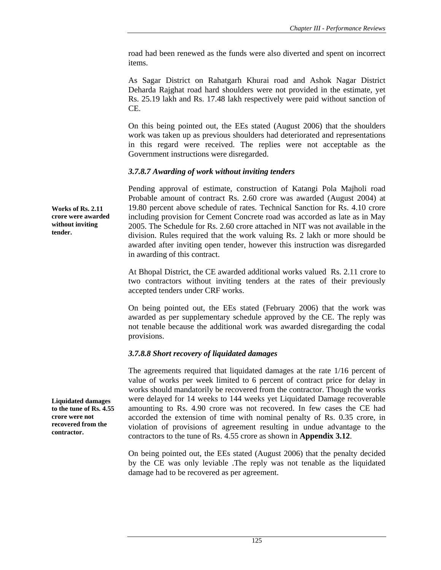road had been renewed as the funds were also diverted and spent on incorrect items.

As Sagar District on Rahatgarh Khurai road and Ashok Nagar District Deharda Rajghat road hard shoulders were not provided in the estimate, yet Rs. 25.19 lakh and Rs. 17.48 lakh respectively were paid without sanction of CE.

On this being pointed out, the EEs stated (August 2006) that the shoulders work was taken up as previous shoulders had deteriorated and representations in this regard were received. The replies were not acceptable as the Government instructions were disregarded.

### *3.7.8.7 Awarding of work without inviting tenders*

Pending approval of estimate, construction of Katangi Pola Majholi road Probable amount of contract Rs. 2.60 crore was awarded (August 2004) at 19.80 percent above schedule of rates. Technical Sanction for Rs. 4.10 crore including provision for Cement Concrete road was accorded as late as in May 2005. The Schedule for Rs. 2.60 crore attached in NIT was not available in the division. Rules required that the work valuing Rs. 2 lakh or more should be awarded after inviting open tender, however this instruction was disregarded in awarding of this contract.

At Bhopal District, the CE awarded additional works valued Rs. 2.11 crore to two contractors without inviting tenders at the rates of their previously accepted tenders under CRF works.

On being pointed out, the EEs stated (February 2006) that the work was awarded as per supplementary schedule approved by the CE. The reply was not tenable because the additional work was awarded disregarding the codal provisions.

## *3.7.8.8 Short recovery of liquidated damages*

The agreements required that liquidated damages at the rate 1/16 percent of value of works per week limited to 6 percent of contract price for delay in works should mandatorily be recovered from the contractor. Though the works were delayed for 14 weeks to 144 weeks yet Liquidated Damage recoverable amounting to Rs. 4.90 crore was not recovered. In few cases the CE had accorded the extension of time with nominal penalty of Rs. 0.35 crore, in violation of provisions of agreement resulting in undue advantage to the contractors to the tune of Rs. 4.55 crore as shown in **Appendix 3.12**.

On being pointed out, the EEs stated (August 2006) that the penalty decided by the CE was only leviable .The reply was not tenable as the liquidated damage had to be recovered as per agreement.

**Works of Rs. 2.11 crore were awarded without inviting tender.** 

**Liquidated damages to the tune of Rs. 4.55 crore were not recovered from the contractor.**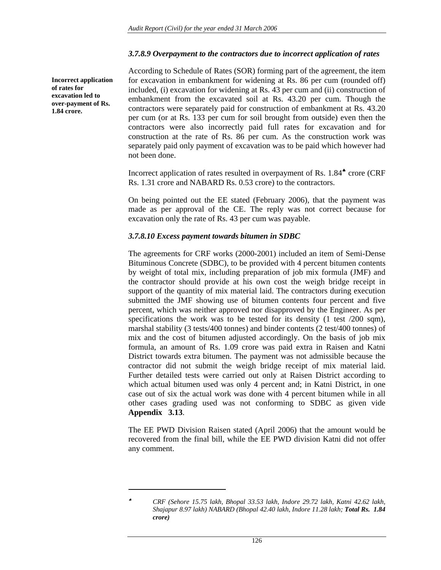#### *3.7.8.9 Overpayment to the contractors due to incorrect application of rates*

**Incorrect application of rates for excavation led to over-payment of Rs. 1.84 crore.** 

l

According to Schedule of Rates (SOR) forming part of the agreement, the item for excavation in embankment for widening at Rs. 86 per cum (rounded off) included, (i) excavation for widening at Rs. 43 per cum and (ii) construction of embankment from the excavated soil at Rs. 43.20 per cum. Though the contractors were separately paid for construction of embankment at Rs. 43.20 per cum (or at Rs. 133 per cum for soil brought from outside) even then the contractors were also incorrectly paid full rates for excavation and for construction at the rate of Rs. 86 per cum. As the construction work was separately paid only payment of excavation was to be paid which however had not been done.

Incorrect application of rates resulted in overpayment of Rs. 1.84♠ crore (CRF Rs. 1.31 crore and NABARD Rs. 0.53 crore) to the contractors.

On being pointed out the EE stated (February 2006), that the payment was made as per approval of the CE. The reply was not correct because for excavation only the rate of Rs. 43 per cum was payable.

#### *3.7.8.10 Excess payment towards bitumen in SDBC*

The agreements for CRF works (2000-2001) included an item of Semi-Dense Bituminous Concrete (SDBC), to be provided with 4 percent bitumen contents by weight of total mix, including preparation of job mix formula (JMF) and the contractor should provide at his own cost the weigh bridge receipt in support of the quantity of mix material laid. The contractors during execution submitted the JMF showing use of bitumen contents four percent and five percent, which was neither approved nor disapproved by the Engineer. As per specifications the work was to be tested for its density (1 test /200 sqm), marshal stability (3 tests/400 tonnes) and binder contents (2 test/400 tonnes) of mix and the cost of bitumen adjusted accordingly. On the basis of job mix formula, an amount of Rs. 1.09 crore was paid extra in Raisen and Katni District towards extra bitumen. The payment was not admissible because the contractor did not submit the weigh bridge receipt of mix material laid. Further detailed tests were carried out only at Raisen District according to which actual bitumen used was only 4 percent and; in Katni District, in one case out of six the actual work was done with 4 percent bitumen while in all other cases grading used was not conforming to SDBC as given vide **Appendix 3.13**.

The EE PWD Division Raisen stated (April 2006) that the amount would be recovered from the final bill, while the EE PWD division Katni did not offer any comment.

<sup>♠</sup> *CRF (Sehore 15.75 lakh, Bhopal 33.53 lakh, Indore 29.72 lakh, Katni 42.62 lakh, Shajapur 8.97 lakh) NABARD (Bhopal 42.40 lakh, Indore 11.28 lakh; Total Rs. 1.84 crore)*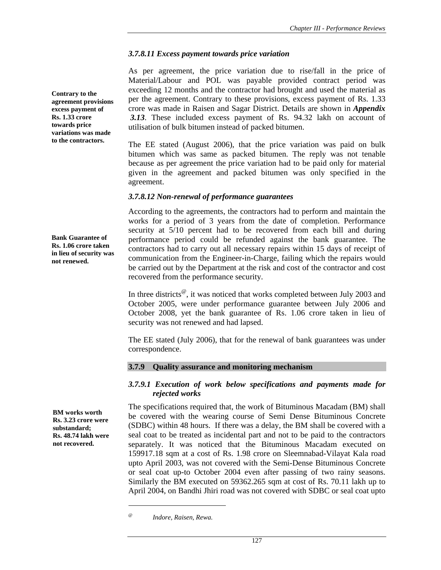### *3.7.8.11 Excess payment towards price variation*

As per agreement, the price variation due to rise/fall in the price of Material/Labour and POL was payable provided contract period was exceeding 12 months and the contractor had brought and used the material as per the agreement. Contrary to these provisions, excess payment of Rs. 1.33 crore was made in Raisen and Sagar District. Details are shown in *Appendix 3.13*. These included excess payment of Rs. 94.32 lakh on account of utilisation of bulk bitumen instead of packed bitumen.

The EE stated (August 2006), that the price variation was paid on bulk bitumen which was same as packed bitumen. The reply was not tenable because as per agreement the price variation had to be paid only for material given in the agreement and packed bitumen was only specified in the agreement.

### *3.7.8.12 Non-renewal of performance guarantees*

According to the agreements, the contractors had to perform and maintain the works for a period of 3 years from the date of completion. Performance security at 5/10 percent had to be recovered from each bill and during performance period could be refunded against the bank guarantee. The contractors had to carry out all necessary repairs within 15 days of receipt of communication from the Engineer-in-Charge, failing which the repairs would be carried out by the Department at the risk and cost of the contractor and cost recovered from the performance security.

In three districts<sup> $@$ </sup>, it was noticed that works completed between July 2003 and October 2005, were under performance guarantee between July 2006 and October 2008, yet the bank guarantee of Rs. 1.06 crore taken in lieu of security was not renewed and had lapsed.

The EE stated (July 2006), that for the renewal of bank guarantees was under correspondence.

### **3.7.9 Quality assurance and monitoring mechanism**

#### *3.7.9.1 Execution of work below specifications and payments made for rejected works*

The specifications required that, the work of Bituminous Macadam (BM) shall be covered with the wearing course of Semi Dense Bituminous Concrete (SDBC) within 48 hours. If there was a delay, the BM shall be covered with a seal coat to be treated as incidental part and not to be paid to the contractors separately. It was noticed that the Bituminous Macadam executed on 159917.18 sqm at a cost of Rs. 1.98 crore on Sleemnabad-Vilayat Kala road upto April 2003, was not covered with the Semi-Dense Bituminous Concrete or seal coat up-to October 2004 even after passing of two rainy seasons. Similarly the BM executed on 59362.265 sqm at cost of Rs. 70.11 lakh up to April 2004, on Bandhi Jhiri road was not covered with SDBC or seal coat upto

 $\overline{a}$ 

**Contrary to the agreement provisions excess payment of Rs. 1.33 crore towards price variations was made to the contractors.** 

**Bank Guarantee of Rs. 1.06 crore taken in lieu of security was not renewed.** 

**BM works worth Rs. 3.23 crore were substandard; Rs. 48.74 lakh were not recovered.** 

*<sup>@</sup> Indore, Raisen, Rewa.*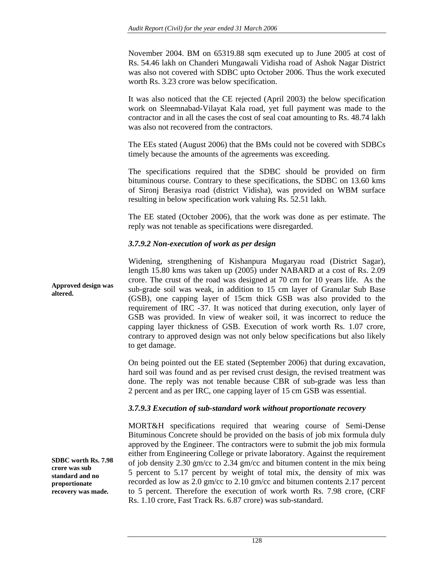November 2004. BM on 65319.88 sqm executed up to June 2005 at cost of Rs. 54.46 lakh on Chanderi Mungawali Vidisha road of Ashok Nagar District was also not covered with SDBC upto October 2006. Thus the work executed worth Rs. 3.23 crore was below specification.

It was also noticed that the CE rejected (April 2003) the below specification work on Sleemnabad-Vilayat Kala road, yet full payment was made to the contractor and in all the cases the cost of seal coat amounting to Rs. 48.74 lakh was also not recovered from the contractors.

The EEs stated (August 2006) that the BMs could not be covered with SDBCs timely because the amounts of the agreements was exceeding.

The specifications required that the SDBC should be provided on firm bituminous course. Contrary to these specifications, the SDBC on 13.60 kms of Sironj Berasiya road (district Vidisha), was provided on WBM surface resulting in below specification work valuing Rs. 52.51 lakh.

The EE stated (October 2006), that the work was done as per estimate. The reply was not tenable as specifications were disregarded.

### *3.7.9.2 Non-execution of work as per design*

Widening, strengthening of Kishanpura Mugaryau road (District Sagar), length 15.80 kms was taken up (2005) under NABARD at a cost of Rs. 2.09 crore. The crust of the road was designed at 70 cm for 10 years life. As the sub-grade soil was weak, in addition to 15 cm layer of Granular Sub Base (GSB), one capping layer of 15cm thick GSB was also provided to the requirement of IRC -37. It was noticed that during execution, only layer of GSB was provided. In view of weaker soil, it was incorrect to reduce the capping layer thickness of GSB. Execution of work worth Rs. 1.07 crore, contrary to approved design was not only below specifications but also likely to get damage. **Approved design was altered.** 

> On being pointed out the EE stated (September 2006) that during excavation, hard soil was found and as per revised crust design, the revised treatment was done. The reply was not tenable because CBR of sub-grade was less than 2 percent and as per IRC, one capping layer of 15 cm GSB was essential.

### *3.7.9.3 Execution of sub-standard work without proportionate recovery*

MORT&H specifications required that wearing course of Semi-Dense Bituminous Concrete should be provided on the basis of job mix formula duly approved by the Engineer. The contractors were to submit the job mix formula either from Engineering College or private laboratory. Against the requirement of job density 2.30 gm/cc to 2.34 gm/cc and bitumen content in the mix being 5 percent to 5.17 percent by weight of total mix, the density of mix was recorded as low as 2.0 gm/cc to 2.10 gm/cc and bitumen contents 2.17 percent to 5 percent. Therefore the execution of work worth Rs. 7.98 crore, (CRF Rs. 1.10 crore, Fast Track Rs. 6.87 crore) was sub-standard.

**SDBC worth Rs. 7.98 crore was sub standard and no proportionate recovery was made.**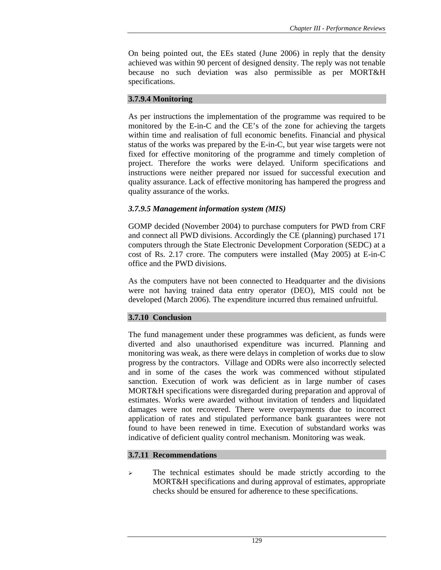On being pointed out, the EEs stated (June 2006) in reply that the density achieved was within 90 percent of designed density. The reply was not tenable because no such deviation was also permissible as per MORT&H specifications.

### **3.7.9.4 Monitoring**

As per instructions the implementation of the programme was required to be monitored by the E-in-C and the CE's of the zone for achieving the targets within time and realisation of full economic benefits. Financial and physical status of the works was prepared by the E-in-C, but year wise targets were not fixed for effective monitoring of the programme and timely completion of project. Therefore the works were delayed. Uniform specifications and instructions were neither prepared nor issued for successful execution and quality assurance. Lack of effective monitoring has hampered the progress and quality assurance of the works.

### *3.7.9.5 Management information system (MIS)*

GOMP decided (November 2004) to purchase computers for PWD from CRF and connect all PWD divisions. Accordingly the CE (planning) purchased 171 computers through the State Electronic Development Corporation (SEDC) at a cost of Rs. 2.17 crore. The computers were installed (May 2005) at E-in-C office and the PWD divisions.

As the computers have not been connected to Headquarter and the divisions were not having trained data entry operator (DEO), MIS could not be developed (March 2006). The expenditure incurred thus remained unfruitful.

## **3.7.10 Conclusion**

The fund management under these programmes was deficient, as funds were diverted and also unauthorised expenditure was incurred. Planning and monitoring was weak, as there were delays in completion of works due to slow progress by the contractors. Village and ODRs were also incorrectly selected and in some of the cases the work was commenced without stipulated sanction. Execution of work was deficient as in large number of cases MORT&H specifications were disregarded during preparation and approval of estimates. Works were awarded without invitation of tenders and liquidated damages were not recovered. There were overpayments due to incorrect application of rates and stipulated performance bank guarantees were not found to have been renewed in time. Execution of substandard works was indicative of deficient quality control mechanism. Monitoring was weak.

### **3.7.11 Recommendations**

 $\geq$  The technical estimates should be made strictly according to the MORT&H specifications and during approval of estimates, appropriate checks should be ensured for adherence to these specifications.